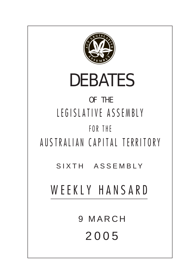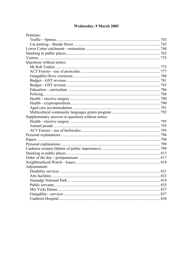# Wednesday, 9 March 2005

| Petitions:                                         |  |
|----------------------------------------------------|--|
|                                                    |  |
|                                                    |  |
|                                                    |  |
|                                                    |  |
|                                                    |  |
| Questions without notice:                          |  |
|                                                    |  |
|                                                    |  |
|                                                    |  |
|                                                    |  |
|                                                    |  |
|                                                    |  |
|                                                    |  |
|                                                    |  |
|                                                    |  |
|                                                    |  |
|                                                    |  |
| Supplementary answers to questions without notice: |  |
|                                                    |  |
|                                                    |  |
|                                                    |  |
|                                                    |  |
|                                                    |  |
|                                                    |  |
|                                                    |  |
|                                                    |  |
|                                                    |  |
|                                                    |  |
| Adjournment:                                       |  |
|                                                    |  |
|                                                    |  |
|                                                    |  |
|                                                    |  |
|                                                    |  |
|                                                    |  |
|                                                    |  |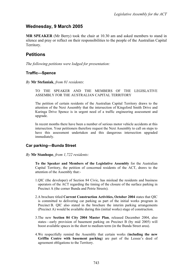## **Wednesday, 9 March 2005**

**MR SPEAKER** (Mr Berry) took the chair at 10.30 am and asked members to stand in silence and pray or reflect on their responsibilities to the people of the Australian Capital Territory.

## **Petitions**

*The following petitions were lodged for presentation:*

### <span id="page-2-0"></span>**Traffic—Spence**

*By* **Mr Stefaniak**, *from 81 residents*:

TO THE SPEAKER AND THE MEMBERS OF THE LEGISLATIVE ASSEMBLY FOR THE AUSTRALIAN CAPITAL TERRITORY

The petition of certain residents of the Australian Capital Territory draws to the attention of the Next Assembly that the intersection of Kingsford Smith Drive and Kuringa Drive Spence is in urgent need of a traffic engineering assessment and upgrade.

In recent months there have been a number of serious motor vehicle accidents at this intersection. Your petitioners therefore request the Next Assembly to call on steps to have this assessment undertaken and this dangerous intersection upgraded immediately.

### <span id="page-2-1"></span>**Car parking—Bunda Street**

#### *By* **Mr Stanhope**, *from 1,722 residents:*

**To the Speaker and Members of the Legislative Assembly** for the Australian Capital Territory, the petition of concerned residents of the ACT, draws to the attention of the Assembly that:-

- 1.QIC (the developer) of Section 84 Civic, has mislead the residents and business operators of the ACT regarding the timing of the closure of the surface parking in Precinct A (the corner Bunda and Petrie Streets).
- 2.A brochure titled **Current Construction Activities, October 2004** states that QIC is committed to delivering car parking as part of the initial works program in Precinct B. QIC also stated in the brochure the interim parking arrangements (Precinct A) would be available during this (initial works) stage of construction.
- 3.The new **Section 84 City 2004 Master Plan**, released December 2004, also states—early provision of basement parking on Precinct B (by mid 2005) will boost available spaces in the short to medium term (in the Bunda Street area).
- 4.We respectfully remind the Assembly that certain works (**including the new Griffin Centre with basement parking**) are part of the Lessee's deed of agreement obligations to the Territory.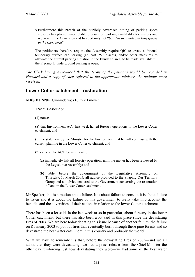5.Furthermore this breach of the publicly advertised timing of parking space closures has placed unacceptable pressure on parking availability for visitors and workers in the Civic area and has certainly not "*boosted available parking spaces in the short term*".

The petitioners therefore request the Assembly require QIC to create additional temporary surface car parking (at least 250 places), and/or other measures to alleviate the current parking situation in the Bunda St area, to be made available till the Precinct B underground parking is open.

*The Clerk having announced that the terms of the petitions would be recorded in Hansard and a copy of each referred to the appropriate minister, the petitions were received.*

## <span id="page-3-0"></span>**Lower Cotter catchment—restoration**

**MRS DUNNE** (Ginninderra) (10.32): I move:

That this Assembly:

(1) notes:

(a) that Environment ACT last week halted forestry operations in the Lower Cotter catchment; and

(b) the statement by the Minister for the Environment that he will continue with the current planting in the Lower Cotter catchment; and

(2) calls on the ACT Government to:

- (a) immediately halt all forestry operations until the matter has been reviewed by the Legislative Assembly; and
- (b) table, before the adjournment of the Legislative Assembly on Thursday, 10 March 2005, all advice provided to the Shaping Our Territory Group and all advice tendered to the Government concerning the restoration of land in the Lower Cotter catchment.

Mr Speaker, this is a motion about failure. It is about failure to consult, it is about failure to listen and it is about the failure of this government to really take into account the benefits and the adversities of their actions in relation to the lower Cotter catchment.

There has been a lot said, in the last week or so in particular, about forestry in the lower Cotter catchment, but there has also been a lot said in this place since the devastating fires of 2003. We are here today debating this issue because of another failure: the failure on 8 January 2003 to put out fires that eventually burnt through these pine forests and so devastated the best water catchment in this country and probably the world.

What we have to remember is that, before the devastating fires of 2003—and we all admit that they were devastating; we had a press release from the Chief Minister the other day reinforcing just how devastating they were—we had some of the best water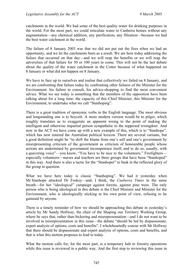catchments in the world. We had some of the best quality water for drinking purposes in the world. For the most part, we could reticulate water to Canberra homes without any augmentation—any chemical addition, any purification, any filtration—because we had the best water catchment in the world.

The failure of 8 January 2003 was that we did not put out the fires when we had an opportunity, and we let the catchments burn as a result. We are here today addressing the failure that occurred on that day—and we will reap the benefits or we will reap the adversities of that failure for 50 or 100 years to come. This will not be the last debate about the quality of the water catchment in the Cotter because of what happened on 8 January or what did not happen on 8 January.

We have to face up to ourselves and realise that collectively we failed on 8 January, and we are confronting that failure today by confronting other failures of the Minister for the Environment: his failure to consult, his advice-shopping to find the most convenient advice. What we see today is something that the members of the opposition have been talking about for a long time: the capacity of this Chief Minister, this Minister for the Environment, to undertake what we call "Stanhoping".

There is a great tradition of eponymic verbs in the English language. The most obvious and longstanding one is to boycott. A more modern version would be to pilger, which roughly translates as to exaggerate an apparent wrong to the point of making the intelligent and otherwise impartial person sympathetic to the supposed wrongdoer. And now in the ACT we have come up with a new example of this, which is to "Stanhope", which has now entered the Australian political lexicon. There are several variants, but a good definition might be "to shift the blame from one's self and one's government by misrepresenting criticism of the government as criticism of honourable people whose actions are undermined by government incompetence itself, and to do so, usually, with a quavering voice"—you know, "You have to be nice to the volunteers." Firefighters especially volunteers—nurses and teachers are three groups that have been "Stanhoped" in this way. And there is also a tactic for the "Stanhoper" to bask in the reflected glory of the group in question.

What we have here today is classic "Stanhoping". We had it yesterday when Mr Stanhope attacked Dr Foskey—and, I think, the *Canberra Times* in the same breath—for her "ideological" campaign against forests, against pine trees. The only person who is being ideological in this debate is the Chief Minister and Minister for the Environment, who is ideologically sticking to his own point of view, refusing to be gainsaid by anyone.

There is a timely reminder of how we should be approaching this debate in yesterday's article by Mr Sandy Hollway, the chair of the Shaping our Territory Working Group, where he says that, rather than bickering and misrepresentation—and I do not want to be involved in misrepresentation in this issue—the debate "should be led by dispassionate, expert analysis of options, costs and benefits". I wholeheartedly concur with Mr Hollway that there should be dispassionate and expert analysis of options, costs and benefits, and that is what this motion proposes to lead to today.

What the motion calls for, for the most part, is a temporary halt to forestry operations while this issue is reviewed in a public way. And the first step to reviewing this issue in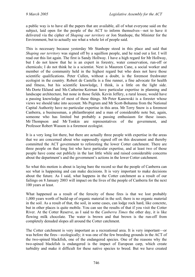a public way is to have all the papers that are available, all of what everyone said on the subject, laid open for the people of the ACT to inform themselves—not to have it delivered via the cipher of *Shaping our territory* or Jon Stanhope, the Minister for the Environment, but to actually see what a whole lot of people said.

This is necessary because yesterday Mr Stanhope stood in this place and said that *Shaping our territory* was signed off by a squillion people, and he read out a list. I will read out this list again. The first is Sandy Hollway. I have a high regard for Mr Hollway, but I do not know that he is an expert in forestry, water conservation, run-off or chemicals; I do not think he is a scientist. Next is Maureen Cane, a social worker and member of the community held in the highest regard but who does not have those scientific qualifications. Peter Cullen, without a doubt, is the foremost freshwater ecologist in the country. Robert de Castella is a fine runner, a fine advocate for health and fitness, but his scientific knowledge, I think, is a little on the light side. Ms Dorte Eklund and Ms Catherine Keirnan have particular expertise in planning and landscape architecture, but none in those fields. Kevin Jeffery, a rural lessee, would have a passing knowledge of most of these things. Mr Peter Kanowski is a forester whose views we should take into account. Ms Pegrum and Mr Scott-Bohanna from the National Capital Authority have no particular expertise in this area. Mr Terry Snow is a foremost Canberra, a businessman, a philanthropist and a man of considerable note but, again, someone who has limited but probably a passing enthusiasm for these issues. Mr Thompson and Mr Tonkin are representatives of the government, and Professor Robert Wasson is a foremost ecologist.

It is a very long list there, but there are actually three people with expertise in the areas that we are concerned about who supposedly signed off on this document and thereby committed the ACT government to reforesting the lower Cotter catchment. There are three people on that long list who have particular expertise, and at least two of those people have come out publicly in the last little while and raised considerable concerns about the department's and the government's actions in the lower Cotter catchment.

So what this motion is about is laying bare the record so that the people of Canberra can see what is happening and can make decisions. It is very important to make decisions about the future. As I said, what happens in the Cotter catchment as a result of our failings on 8 January 2003 will impact on the lives of the people of Canberra for the next 100 years at least.

What happened as a result of the ferocity of those fires is that we lost probably 1,000 years worth of build-up of organic material in the soil; there is no organic material in the soil. As a result of that, the soil, in some cases, can lodge rock hard, like concrete, but in other places is quite mobile. You can see the results of that if you visit the Cotter River. At the Cotter Reserve, as I said to the *Canberra Times* the other day, it is like flowing milk chocolate. The water is brown and that brown is the run-off from completely denuded slopes all around the Cotter catchment.

The Cotter catchment is very important as a recreational area. It is very important—or was before the fires—ecologically; it was one of the few breeding grounds in the ACT of the two-spined blackfish, one of the endangered species. One of the reasons why the two-spined blackfish is endangered is the impact of European carp, which create turbidity and make it difficult for these native species to breed. But we have created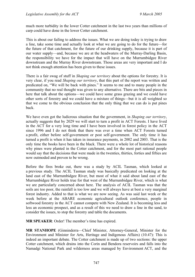much more turbidity in the lower Cotter catchment in the last two years than millions of carp could have done in the lower Cotter catchment.

This is about our failing to address the issues. What we are doing today is trying to draw a line, take some time and actually look at what we are going to do for the future—for the future of that catchment, for the future of our drinking supply, because it is part of our water supply—and, because we are at the headwaters of the Murray-Darling Basin, the responsibility we have for the impact that will have on the Murrumbidgee River downstream and the Murray River downstream. Those areas are very important and I do not think enough attention has been given to these issues.

There is a fair swag of stuff in *Shaping our territory* about the options for forestry. It is very clear, if you read *Shaping our territory*, that this part of the report was written and predicated on, "We will be back with pines." It seems to me and to many people in the community that no real thought was given to any alternative. There are bits and pieces in here that talk about the options—we could have some grass grazing and we could have other sorts of forestry and we could have a mixture of things—but it is all weighted so that we come to the obvious conclusion that the only thing that we can do is put pines back.

We have even got the ludicrous situation that the government, in *Shaping our territory*, actually suggests that by 2029 we will start to turn a profit in ACT Forests. I have lived in the ACT for a very long time and I have been involved in forest policy in the ACT since 1996 and I do not think that there was ever a time when ACT Forests turned a profit, either before self-government or post self-government. The only time it has turned a profit is when it has taken in insurance payments, in 2002 and 2003. That is the only time the books have been in the black. There were a whole lot of historical reasons why pines were planted in the Cotter catchment, and for the most part rational people would say that the decisions that were made in the twenties, thirties, forties and fifties are now outmoded and proven to be wrong.

Before the fires broke out, there was a study by ACIL Tasman, which looked at a previous study. The ACIL Tasman study was basically predicated on looking at the land east of the Murrumbidgee River, but most of what it said about land east of the Murrumbidgee River holds true for that west of the Murrumbidgee River, which is what we are particularly concerned about here. The analysis of ACIL Tasman was that the soils are too poor, the rainfall is too low and we will always have at best a very marginal forest industry. Added to that is what we are now seeing. As was said last week or the week before at the ABARE economic agricultural outlook conference, people in softwood forestry in the ACT cannot compete with New Zealand. It is becoming less and less an economic prospect, and as a result of this we need to draw a line in the sand, to consider the issues, to stop the forestry and table the documents.

**MR SPEAKER**: Order! The member's time has expired.

**MR STANHOPE** (Ginninderra—Chief Minister, Attorney-General, Minister for the Environment and Minister for Arts, Heritage and Indigenous Affairs) (10.47): This is indeed an important debate. The Cotter catchment is made up of two sections: the upper Cotter catchment, which drains into the Corin and Bendora reservoirs and falls into the Namadgi National Park and wilderness areas managed by Environment ACT, and the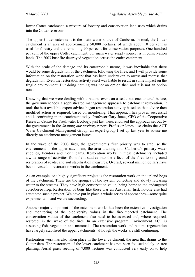lower Cotter catchment, a mixture of forestry and conservation land uses which drains into the Cotter reservoir.

The upper Cotter catchment is the main water source of Canberra. In total, the Cotter catchment is an area of approximately 50,000 hectares, of which about 10 per cent is used for forestry and the remaining 90 per cent for conservation purposes. One hundred per cent of the upper Cotter catchment, our main water supply source, is in conservation lands. The 2003 bushfire destroyed vegetation across the entire catchment.

With the scale of the damage and its catastrophic nature, it was inevitable that there would be some degradation of the catchment following the fires, and I will provide some information on the restoration work that has been undertaken to arrest and redress that degradation. Even the restoration activity itself was liable to result in some impact on the fragile environment. But doing nothing was not an option then and it is not an option now.

Knowing that we were dealing with a natural event on a scale not encountered before, the government took a sophisticated management approach to catchment restoration. It took the best available expert advice, began restoration activity based on that advice then modified action as required, based on monitoring. That approach has proven successful and is continuing in the catchment today. Professor Gary Jones, CEO of the Cooperative Research Centre for Freshwater Ecology, just last week endorsed the approach set out by the government in the *Shaping our territory* report. Professor Jones also chairs the ACT Water Catchment Management Group, an expert group I set up last year to advise me directly on catchment management issues.

In the wake of the 2003 fires, the government's first priority was to stabilise the environment in the upper catchment, the area draining into Canberra's primary water supplies, Bendora and Corin dams. Restoration works in these catchments included a wide range of activities from field studies into the effects of the fires to on-ground restoration of roads, and soil stabilisation measures. Overall, several million dollars have been invested in restoration works in the catchment.

As an example, one highly significant project is the restoration work on the upland bogs of the catchment. These are the sponges of the system, collecting and slowly releasing water to the streams. They have high conservation value, being home to the endangered corroboree frog. Restoration of bogs like these was an Australian first; no-one else had attempted such a project. We have put in place a whole series of approaches—some quite experimental—and we are succeeding.

Another major component of the catchment works has been the extensive investigation and monitoring of the biodiversity values in the fire-impacted catchment. The conservation values of the catchment also need to be assessed and, where required, restored, in the wake of the fires. In an extensive program, Environment ACT is assessing fish, vegetation and mammals. The restoration work and natural regeneration have largely stabilised the upper catchments, although the works are still continuing.

Restoration work has also taken place in the lower catchment, the area that drains to the Cotter dam. The restoration of the lower catchment has not been focused solely on tree planting. Aerial grass seeding of 7,000 hectares was conducted very early on to help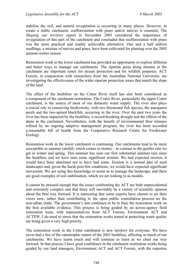stabilise the soil, and natural revegetation is occurring in many places. However, to create a stable catchment, reafforestation with pines and/or natives is essential. The *Shaping our territory* report in November 2003 considered the importance of revegetation of this part of the catchment and concluded that reafforestation with pines was the more practical and readily achievable alternative. One and a half million seedlings, a mixture of natives and pines, have been cultivated for planting over the 2005 autumn-winter season.

Restoration work in the lower catchment has provided an opportunity to explore different and better ways to manage our catchments. The riparian areas along streams in the catchment are important zones for stream protection and for wildlife purposes. ACT Forests, in conjunction with researchers from the Australian National University, are investigating the effectiveness of the wider riparian protection zones that match the slope of the land.

The effect of the bushfires on the Cotter River itself has also been considered as a component of the catchment restoration. The Cotter River, particularly the upper Cotter catchment, is the source of most of our domestic water supply. The river also plays a crucial role in conserving biodiversity, with two threatened fish species, the macquarie perch and the two-spined blackfish, occurring in the river. Over the past two years the river has been impacted by the bushfires, a record-breaking drought and the effects of the dams in the catchment. Nevertheless, with the benefit of environmental flow releases refined by an ongoing adaptive management program, the river has been accorded a reasonable bill of health from the Cooperative Research Centre for Freshwater Ecology.

Restoration work in the lower catchment is continuing. Our catchments tend to be more susceptible to summer rainfall, which comes in storms—in contrast to the gentler rain we get in winter and spring. This summer has seen our first substantial summer rain since the bushfires and we have seen some significant erosion. We had expected erosion; it would have been abnormal not to have had some. Erosion is a normal part of such landscapes and, given the harsh post-fire conditions, we would have expected significant movement. We are using this knowledge to assist us to manage the landscape, and there are good examples of soil stabilisation, which we are looking to as models.

It cannot be stressed enough that the issues confronting the ACT are both unprecedented and extremely complex and that there will inevitably be a variety of scientific opinion about the best way forward. It is interesting that some experts have chosen to air their views now, rather than contributing to the open public consultation process on the non-urban study. The government's aim continues to be to base the restoration work on the best available evidence. This process is being guided by an across-agency field restoration team, with representatives from ACT Forests, Environment ACT and ACTEW. I do need to stress that the restoration works aimed at protecting water quality are being given a very high priority.

The restoration work in the Cotter catchment is new territory for everyone. We have never had a fire of the catastrophic nature of the 2003 bushfires, affecting so much of our catchments. We have learnt much and will continue to learn as we chart our way forward. In that process I have great confidence in the catchment restoration works being guided by our land managers, Environment ACT and ACT Forests, with the expertise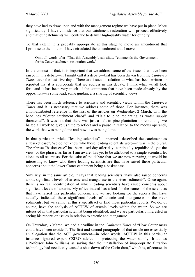they have had to draw upon and with the management regime we have put in place. More significantly, I have confidence that our catchment restoration will proceed effectively and that our catchments will continue to deliver high-quality water for our city.

To that extent, it is probably appropriate at this stage to move an amendment that I propose to the motion. I have circulated the amendment and I move:

Omit all words after "That this Assembly", substitute "commends the Government for its Cotter catchment restoration work.".

In the context of that, it is important that we address some of the issues that have been raised in this debate—if I might call it a debate—that has been driven from the *Canberra Times* over the last five days. There are issues in relation to what has been written or reported that it is appropriate that we address in this debate. I think what we all look for—and it has been very much of the comments that have been made already by the opposition—is some lead, some guidance, a sharing of scientific views.

There has been much reference to scientists and scientific views within the *Canberra Times* and it is necessary that we address some of those. For instance, there was a non-attributed reference in the first of the articles on Wednesday, 2 March, with the headlines "Cotter catchment chaos" and "Halt to pine replanting as water supply threatened". It was not that there was just a halt to pine plantation or replanting; we halted all work to give us time to reflect and a pause in relation to the modus operandi, the work that was being done and how it was being done.

In that particular article, "leading scientists"—unnamed—described the catchment as a "basket case". We do not know who those leading scientists were—it was in the plural. The phrase "basket case" has been used day after day, continually republished; yet the view, or the phrase, as far as I am aware, has yet to be attributed to a single scientist, let alone to all scientists. For the sake of the debate that we are now pursuing, it would be interesting to know who these leading scientists are that have raised these particular concerns about the lower Cotter catchment being a basket case.

Similarly, in the same article, it says that leading scientists "have also raised concerns about significant levels of arsenic and manganese in the river sediments". Once again, there is no real identification of which leading scientists have raised concerns about significant levels of arsenic. My office indeed has asked for the names of the scientists that have raised this particular concern, and we are looking for the reports that have actually indicated these significant levels of arsenic and manganese in the river sediments, but we cannot at this stage attract or find those particular reports. We do, of course, have the analysis of ACTEW of arsenic levels within the water. So we are interested in that particular scientist being identified, and we are particularly interested in seeing his reports on issues in relation to arsenic and manganese.

On Thursday, 3 March, we had a headline in the *Canberra Times* of "How Cotter mess could have been avoided". The first and second paragraphs of that article are essentially an allegation that the ACT government—in other words, ACTEW in this particular instance—ignored expert CSIRO advice on protecting the water supply. It quotes a Professor John Williams as saying that the "installation of inappropriate filtration technology had needlessly caused a shut-down of the Corin dam," which is, of course, in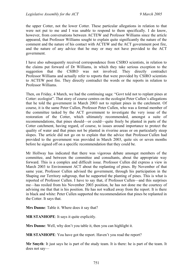the upper Cotter, not the lower Cotter. These particular allegations in relation to that were not put to me and I was unable to respond to them specifically. I do know, however, from conversations between ACTEW and Professor Williams since the article appeared, that Professor Williams sought to explain quite significantly the nature of the comment and the nature of his contact with ACTEW and the ACT government post fire, and the nature of any advice that he may or may not have provided to the ACT government.

I have also subsequently received correspondence from CSIRO scientists, in relation to the claims put forward of Dr Williams, in which they take serious exception to the suggestion that the CSIRO was not involved. They directly contradict Professor Williams and actually refer to reports that were provided by CSIRO scientists to ACTEW post fire. They directly contradict the words or the reports in relation to Professor Williams.

Then, on Friday, 4 March, we had the continuing saga: "Govt told not to replant pines at Cotter: ecologist". That story of course centres on the ecologist Peter Cullen's allegations that he told the government in March 2003 not to replant pines in the catchment. Of course, it is the same Peter Cullen, Professor Peter Cullen, who was a formal member of the committee tasked by the ACT government to investigate the very issue of the restoration of the Cotter, which ultimately recommended, amongst a suite of recommendations, that pines should—or could—quite freely be planted in parts of the Cotter catchment, having regard, of course, to issues around importance to protect the quality of water and that pines not be planted in riverine areas or on particularly steep slopes. The article did not go on to explain that the advice that Professor Cullen had provided to the government was provided in March 2003, quite six or seven months before he signed off on a specific recommendation that they could be.

Mr Hollway has indicated that there was vigorous debate amongst members of the committee, and between the committee and consultants, about the appropriate way forward. This is a complex and difficult issue. Professor Cullen did express a view in March 2003 to Environment ACT about the replanting of pines. By November of that same year, Professor Cullen advised the government, through his participation in the Shaping our Territory subgroup, that he supported the planting of pines. This is what is reported of Professor Cullen. I have to say that, if Professor Cullen—and this surprises me—has resiled from his November 2003 position, he has not done me the courtesy of advising me that that is his position. He has not walked away from the report. It is there in black and white: Peter Cullen supported the recommendation that pines be replanted in the Cotter. It says that.

**Mrs Dunne**: Table it. Where does it say that?

**MR STANHOPE**: It says it quite explicitly.

**Mrs Dunne**: Well, why don't you table it, then you can highlight it.

**MR STANHOPE**: You have got the report. Haven't you read the report?

**Mr Smyth**: It just says he is part of the study team. It is there: he is part of the team. It does not say—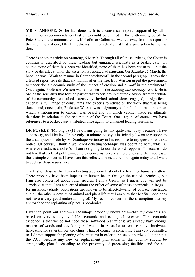**MR STANHOPE**: So he has done it. It is a consensus report, supported by all a unanimous recommendation that pines could be planted in the Cotter—signed off by Peter Cullen; a unanimous report. If Professor Cullen has walked away from the report or the recommendations, I think it behoves him to indicate that that is precisely what he has done.

There is another article on Saturday, 5 March. Through all of these articles, the Cotter is continually described by these leading but unnamed scientists as a basket case. Of course, none of them has been yet identified, none of them has been yet named, but the story or the allegation or the assertion is repeated ad nauseam. On Saturday, 5 March, the headline was "Work to resume in Cotter catchment". In the second paragraph it says that a leaked report reveals that, six months after the fire, Bob Wasson urged the government to undertake a thorough study of the impact of erosion and run-off in the catchment." Once again, Professor Wasson was a member of the *Shaping our territory* report. He is one of the scientists that formed part of that expert group that took advice from the whole of the community—consulted extensively, invited submissions, engaged, at significant expense, a full range of consultants and experts to advise on the work that was being done—and, once again, Professor Wasson was a signatory to the final, ultimate report on which a submission to cabinet was based and on which cabinet made its ultimate decisions in relation to the restoration of the Cotter. Once again, of course, we have references to a basket case, attributed, once again, to unnamed leading scientists.

**DR FOSKEY** (Molonglo) (11.03): I am going to talk quite fast today because I have a lot to say, and I believe I have only 10 minutes to say it in. Initially I want to respond to the assumptions made by Mr Stanhope yesterday in his response to my question without notice. Of course, I think a well-tried debating technique was operating here, which is where one reduces another's—I am not going to use the word "opponent" because I do not like that style of politics—complex concerns to very simple ones and then addresses those simple concerns. I have seen this reflected in media reports again today and I want to address those issues here.

The first of those is that I am reflecting a concern that only the health of humans matters. There probably have been impacts on human health through the use of chemicals, but I am also concerned about other species. I am a Green, so I guess you will not be surprised at that. I am concerned about the effect of some of these chemicals on frogs for instance, tadpole populations are known to be affected—and, of course, vegetation and all the other spectrum of animal and plant life that I am sure that Mr Stanhope does not have a very good understanding of. My second concern is the assumption that my approach to the replanting of pines is ideological.

I want to point out again—Mr Stanhope probably knows this—that my concerns are based on very widely available economic and ecological research. The economic evidence is that we do not need these softwood plantations; we already have enough mature softwoods and developing softwoods in Australia to replace native hardwood harvesting for sawn timber and chips. That, of course, is something I am very committed to. I do not support the planting of plantations in order to phase out hardwood logging in the ACT because any new or replacement plantations in this country should be strategically placed according to the proximity of processing facilities and the soil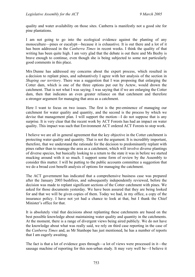quality and water availability on those sites. Canberra is manifestly not a good site for pine plantations.

I am not going to go into the ecological evidence against the planting of any monoculture—pines or eucalypt—because it is exhaustive. It is out there and a lot of it has been addressed in the *Canberra Times* in recent weeks. I think the quality of that writing has been quite high. I am very glad that the debate is out there and Ms Beeby is brave enough to continue, even though she is being subjected to some not particularly good comments in this place.

Mrs Dunne has addressed my concerns about the expert process, which resulted in a decision to replant pines, and substantively I agree with her analysis of the section in *Shaping our territory*. There was a suggestion that I was proposing that enlarging the Cotter dam, which is one of the three options put out by Actew, would drown the catchment. That is not what I was saying. I was saying that if we are enlarging the Cotter dam, then that indicates an even greater reliance on that catchment and therefore a stronger argument for managing that area as a catchment.

Here I want to focus on two issues. The first is the pre-eminence of managing our catchment for water quality and quantity, and the second is the process by which we devise that management plan. I will support the motion—I do not suppose that is any surprise. It is very clear that the recent work by ACT Forests has had an impact on water quality. This impact was such that Environment ACT ordered ACT Forests to stop work.

I believe we are all in general agreement that the key objective in the Cotter catchment is protecting water quality and quantity. That is not the argument. It is incredibly important, therefore, that we understand the rationale for the decision to predominantly replant with pines rather than to manage the area as a catchment, which will involve diverse plantings of diverse species, but basically looking to a return to the state it was in before we started mucking around with it so much. I support some form of review by the Assembly to consider this matter. I will be putting to the public accounts committee a suggestion that we do a broad cost benefit analysis of options for managing the catchment.

The ACT government has indicated that a comprehensive business case was prepared after the January 2003 bushfires, and subsequently independently reviewed, before the decision was made to replant significant sections of the Cotter catchment with pines. We asked for those documents yesterday. We have been assured that they are being looked for and that we will be given copies of them. Today we had, in my office, a copy of the insurance policy. I have not yet had a chance to look at that, but I thank the Chief Minister's office for that.

It is absolutely vital that decisions about replanting these catchments are based on the best possible knowledge about maintaining water quality and quantity in the catchments. At the moment, there is a range of divergent views being aired publicly. We do not have the knowledge about what was really said, we rely on third case reporting in the case of the *Canberra Times* and, as Mr Stanhope has just mentioned, he has a number of reports that I am eagerly awaiting.

The fact is that a lot of evidence goes through—a lot of views were processed in it—the sausage machine of reporting for this non-urban study. It may very well be—I believe it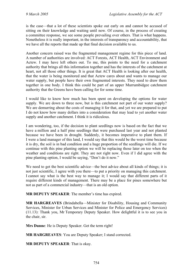is the case—that a lot of these scientists spoke out early on and cannot be accused of sitting on their knowledge and waiting until now. Of course, in the process of creating a committee response, we see some people prevailing over others. That is what happens. Nonetheless it is really important, in the interests of transparency and accountability, that we have all the reports that made up that final decision available to us.

Another concern raised was the fragmented management regime for this piece of land. A number of authorities are involved: ACT Forests, ACT Health, ACT Environment and Actew. I may have left others out. To me, this points to the need for a catchment authority that brings all this information together and has the interests of the catchment at heart, not all those other things. It is great that ACT Health is looking after our health, that the water is being monitored and that Actew cares about and wants to manage our water supply, but people have their own fragmented interests. They need to draw them together in one body. I think this could be part of an upper Murrumbidgee catchment authority that the Greens have been calling for for some time.

I would like to know how much has been spent on developing the options for water supply. We are down to three now, but is this catchment not part of our water supply? We are demurring about the costs of managing it for that, and yet we are prepared to put I do not know how many dollars into a consideration that may lead to yet another water supply and another catchment. I think it is ridiculous.

I am wondering, too, if the decision to plant seedlings now is based on the fact that we have a million and a half pine seedlings that were purchased last year and not planted because we have been in drought. Suddenly, it becomes imperative to plant them. If I were a land manager of this land, I would say that this would be the worst time because it is dry, the soil is in bad condition and a huge proportion of the seedlings will die. If we continue with this pine planting option we will be replacing those later on too when the weather and conditions are right. They are not right now. Even if I did agree with the pine planting option, I would be saying, "Don't do it now."

We need to get the best scientific advice—the best advice about all kinds of things; it is not just scientific, I agree with you there—to put a priority on managing this catchment. I cannot say what is the best way to manage it; I would say that different parts of it require different kinds of management. There may be a place for pines somewhere but not as part of a commercial industry—that is an old option.

**MR DEPUTY SPEAKER**: The member's time has expired.

**MR HARGREAVES** (Brindabella—Minister for Disability, Housing and Community Services, Minister for Urban Services and Minister for Police and Emergency Services) (11.13): Thank you, Mr Temporary Deputy Speaker. How delightful it is to see you in the chair, sir.

**Mrs Dunne**: He is Deputy Speaker. Get the term right!

**MR HARGREAVES**: You are Deputy Speaker; I stand corrected.

**MR DEPUTY SPEAKER**: That is okay.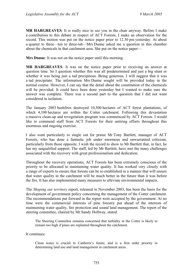**MR HARGREAVES**: It is really nice to see you in the chair anyway. Before I make a contribution to this debate in respect of ACT Forests, I make an observation for the record. This motion was put on the notice paper prior to 12.30 pm yesterday. At about a quarter to three—ten to three-ish—Mrs Dunne asked me a question in this chamber about the chemicals in that catchment area. She put on the notice paper—

**Mrs Dunne**: It was not on the notice paper until this morning.

**MR HARGREAVES**: It was on the notice paper prior to receiving an answer at question time. So I question whether this was all predetermined and just a big stunt or whether it was being just a tad precipitous. Being generous, I will suggest that it was a tad precipitate. The information Mrs Dunne sought will be provided today in the normal course. However, I can say that the detail about the constitution of the chemicals will be provided. It could have been done yesterday but I wanted to make sure the answer was complete. There was a second part to the question that I did not want considered in isolation.

The January 2003 bushfires destroyed 10,500 hectares of ACT forest plantations, of which 4,100 hectares are within the Cotter catchment. Following this devastation a massive clean-up and revegetation program was commenced by ACT Forests. I would like to commend staff from ACT Forests for their untiring efforts throughout this enormous and ongoing exercise.

I also want particularly to single out for praise Mr Tony Bartlett, manager of ACT Forests, who has done a fantastic job under enormous and unwarranted criticism, particularly from those opposite. I wish the record to show to Mr Bartlett that, in fact, he has my unqualified support. The staff, led by Mr Bartlett, have met the many challenges associated with the recovery with great professionalism and dedication.

Throughout the recovery operations, ACT Forests has been extremely conscious of the priority to be allocated to maintaining water quality. It has worked very closely with a range of experts to ensure that forests can be re-established in a manner that will ensure that water quality in the catchment will be much better in the future than it was before the fire. It has also implemented many measures to alleviate environmental impacts.

The *Shaping our territory* report, released in November 2003, has been the basis for the development of government policy concerning the management of the Cotter catchment. The recommendations put forward in the report were accepted by the government. At no time were the commercial interests of pine forestry put ahead of the interests of maintaining water quality, fire protection and sound land management. The report of the steering committee, chaired by Mr Sandy Hollway, stated:

The Steering Committee remains concerned that turbidity in the Cotter is likely to remain too high if pines are replanted throughout the catchment.

It continues:

Clean water is crucial to Canberra's future, and is a first order priority in determining land use and land management in catchment areas.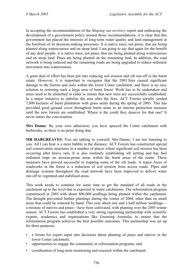In accepting the recommendations of the *Shaping our territory* report and embracing the development of a government policy around those recommendations, it is clear that this government has placed the interests of long-term water quality and land management at the forefront of its decision-making processes. It is native trees, not pines, that are being planted along watercourses and on steep land. I am going to say that again for the benefit of any deaf people: it is native trees, not pines, that are being planted along watercourses and on steep land. Pines are being planted on the remaining land. In addition, the road network is being reduced and the remaining roads are being upgraded to reduce sediment movement into watercourses.

A great deal of effort has been put into reducing soil erosion and silt run-off in the burnt estate. However, it is important to recognise that the 2003 fires caused significant damage to the forests and soils within the lower Cotter catchment, and there is no easy solution to restoring such a large area of burnt forest. Work has to be undertaken and areas need to be disturbed in order to ensure that new trees are successfully established. In a major initiative to stabilise the area after the fires, ACT Forests aerially seeded 7,000 hectares of burnt plantation with grass seeds during the spring of 2003. This has provided good ground cover throughout burnt areas as an interim protection measure until the new forests are established. Where is the credit they deserve for that one? It never enters the conversation.

**Mrs Dunne**: By your own admission, you have sprayed the Cotter catchment with herbicides, so there is no point doing that.

**MR HARGREAVES**: You are talking to yourself, Mrs Dunne; I am not listening to you. All I can hear is a mere babble in the distance. ACT Forests has constructed special soil conservation structures in a number of places where significant soil erosion has been occurring after heavy rain. It is also routinely establishing silt netting and hay bail sediment traps on erosion-prone areas within the burnt areas of the estate. These measures have proved successful in trapping some of the silt loads. A major focus of roadworks in the forest is a reduction of soil erosion from access roads. Pipes and drainage systems throughout the road network have been improved to deliver water run-off to vegetated and stabilised areas.

This work needs to continue for some time to get the standard of all roads in the catchment up to the level that is expected in water catchments. The reforestation program commenced in 2003 with about 800,000 seedlings being planted within the catchment. The drought prevented further plantings during the winter of 2004, other than on small areas that could be watered by hand. This year about one and a half million seedlings a mixture of natives and pines—have been cultivated, with planting over the 2005 winter season. ACT Forests has established a very strong regreening partnership with scientific experts, academics and organisations like Greening Australia, to ensure that the reforestation program achieves the best possible outcomes. This partnership was set up for three purposes:

- a forum for expert input into decisions about planting of pines and natives in the lower Cotter catchment;
- opportunities to engage the community in reforestation programs; and
- coordination of long-term monitoring and research within the catchment.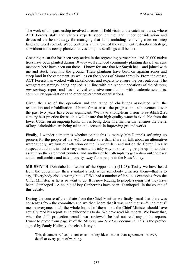The work of this partnership involved a series of field visits to the catchment area, where ACT Forests staff and various experts stood on the land under consideration and discussed the best strategy for managing that land, including removing trees on steep land and weed control. Weed control is a vital part of the catchment restoration strategy, as without it the newly-planted natives and pine seedlings will be lost.

Greening Australia has been very active in the regreening partnership, and 20,000 native trees have been planted during 10 very well attended community planting days. I am sure members here have been out there—I know for sure that Mr Smyth has—and joined with me and stuck trees into the ground. These plantings have been on riparian zones and steep land in the catchment, as well as on the slopes of Mount Stromlo. From the outset, ACT Forests has worked with stakeholders and experts to ensure the best outcome. The revegetation strategy being applied is in line with the recommendations of the *Shaping our territory* report and has involved extensive consultation with academic scientists, community organisations and other government organisations.

Given the size of the operation and the range of challenges associated with the restoration and rehabilitation of burnt forest areas, the progress and achievements over the past two years have been significant. We have a long-term vision to establish 21st century best practice forests that will ensure that high quality water is available from the lower Cotter on an ongoing basis. This is being done in a manner that ensures the views of key stakeholders are being taken into account in improving ground works.

Finally, I wonder sometimes whether or not this is merely Mrs Dunne's softening up process for the people of the ACT to make sure that, if we do talk about an alternative water supply, we turn our attention on the Tennent dam and not on the Cotter. I really suspect that this is in fact a very mean and tricky way of softening people up for another assault on the catchment counter, and another of her attempts to get a dam out the back and disenfranchise and take property away from people in the Naas Valley.

**MR SMYTH** (Brindabella—Leader of the Opposition) (11.23): Today we have heard from the government their standard attack when somebody criticises them—that is to say, "Everybody else is wrong but us." We had a number of fabulous examples from the Chief Minister, as he is so wont to do. It is now leading to people saying that they have been "Stanhoped". A couple of key Canberrans have been "Stanhoped" in the course of this debate.

During the course of the debate from the Chief Minister we firstly heard that there was consensus from the committee and we then heard that it was unanimous—"unanimous" means everyone; total; the whole lot; all of them—but the Chief Minister should have actually read his report as he exhorted us to do. We have read his reports. We know that, when the child protection scandal was reviewed, he had not read any of the reports. I want to quote from page ix of the *Shaping our territory* document. This is the preface signed by Sandy Hollway, the chair. It says:

This document reflects a consensus on key ideas, rather than agreement on every detail or every point of wording.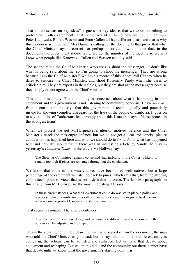That is "consensus on key ideas". I guess the key idea is that we to do something to protect the Cotter catchment. That is the key idea. As to how we do it, I am sure Peter Kanowski, Robert Wasson and Peter Cullen all had different ideas, and that is why this motion is so important. Mrs Dunne is calling for the documents that prove that what the Chief Minister says is correct—or perhaps incorrect. I would hope that, in the documents the government should table, we get the minutes of the meeting so we will know what people like Kanowski, Cullen and Wasson actually said.

The second tactic the Chief Minister always uses is shoot the messenger. "I don't like what is being said about me, so I'm going to shoot the messenger. They are wrong because I am the Chief Minister." We have a record of this: shoot Phil Chaney when he dares to criticise the Chief Minister, and shoot Rosemary Purdy when she dares to criticise him. They are experts in their fields, but they are shot as the messengers because they simply do not agree with the Chief Minister.

This motion is timely. The community is concerned about what is happening in their catchment and this government is not listening to community concerns. I have an email from a constituent that says that this government is technologically and potentially insane for showing complete disregard for the lives of the people of Canberra. It goes on to say that a lot of Canberrans feel strongly about this issue and says, "Please protest in the strongest terms."

When we protest we get Mr Hargreaves's ulterior motives defence and the Chief Minister's attack the messenger defence, but we do not get a clear and concise picture about what has happened here and what we should do to fix it. As to what has happened here and how we should fix it, there was an interesting article by Sandy Hollway in yesterday's *Canberra Times*. In the article Mr Hollway says:

The Steering Committee remains concerned that turbidity in the Cotter is likely to remain too high if pines are replanted throughout the catchment.

We know that some of the watercourses have been lined with natives, but a large percentage of the catchment will still go back to pines, which says that, from the steering committee's point of view, that is not a desirable outcome. The last two paragraphs in this article from Mr Hollway are the most interesting. He says:

In these circumstances, what the Government could do was set in place a policy and a process which permits analysis rather than politics, emotion or greed to determine what is done to protect Canberra's water catchments.

That seems reasonable. The article continues:

This the government has done, and as more or different analysis comes in the actions can be adjusted and reshaped.

This is the steering committee chair, the man who signed off on the document, the man who told the Chief Minister to go ahead; but he says that, as more or different analysis comes in, the actions can be adjusted and reshaped. Let us have that debate about adjustment and reshaping. But we on this side, and the community out there, cannot have that debate until we know what the government's starting point was.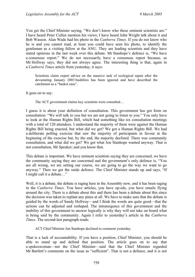You get the Chief Minister saying, "We don't know who these eminent scientists are." I have heard Peter Cullen mention his views; I have heard John Wright talk about it and Bob Wasson. Alan Wade had his photo in the *Canberra Times.* If you do not know who he is and you cannot read, at least you could have seen his photo, to identify the gentleman as a visiting fellow at the ANU. They are leading scientists and they have stated opinions in the last week over this debate. Mr Stanhope's defence is, "We have a consensus report." We do not necessarily have a consensus report because, as Mr Hollway says, they did not always agree. The interesting thing is that, again in a *Canberra Times* article from yesterday, it says:

Scientists claim expert advice on the massive task of ecological repair after the devastating January 2003 bushfires has been ignored and have described the catchment as a "basket case".

It goes on to say:

The ACT government claims key scientists were consulted…

I guess it is about your definition of consultation. This government has got form on consultation: "We will talk to you but we are not going to listen to you." You only have to look at the Human Rights Bill, which had something like six consultation meetings with a total of 120 attendees. I understand the majority of them were against the Human Rights Bill being enacted, but what did we get? We got a Human Rights Bill. We had a deliberate polling exercise that saw the majority of participants in favour at the beginning of the exercise but, by the end, the majority declined. There was community consultation, and what did we get? We got what Jon Stanhope wanted anyway. That is not consultation, Mr Speaker; and you know that.

This debate is important. We have eminent scientists saying they are concerned, we have the community saying they are concerned and the government's only defence is, "You are all wrong, we are setting our course, we are going to go the way we want to go anyway." Then we get the snide defence. The Chief Minister stands up and says, "If I might call it a debate…"

Well, it is a debate, the debate is raging here in the Assembly now, and it has been raging in the *Canberra Times*. You have articles, you have op-eds, you have emails flying around the city. There is a debate about this and there has been a debate about this since the decision was taken to replant any pines at all. We have to make sure that the debate is guided by the words of Sandy Hollway—and I think the words are quite good—that the actions can be adjusted and reshaped. The intransigence of this government and the inability of this government to answer logically is why they will not take on board what is being said by the community. Again I refer to yesterday's article in the *Canberra Times*. The second-last paragraph reads:

ACT Chief Minister Jon Stanhope declined to comment yesterday.

That is a lack of accountability. If you have a position, Chief Minister, you should be able to stand up and defend that position. The article goes on to say that a spokeswoman—not the Chief Minister—said that the Chief Minister regarded Mr Bartlett's comments on the issue as "sufficient". That is not a defence, and it is not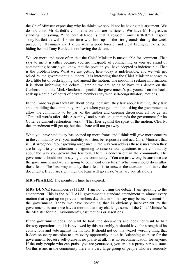the Chief Minister expressing why he thinks we should not be having this argument. We do not think Mr Bartlett's comments on this are sufficient. We have Mr Hargreaves standing up saying, "The best defence is that I respect Tony Bartlett." I respect Tony Bartlett as well. I spent time with him up on the fire grounds during the week preceding 18 January and I know what a good forester and great firefighter he is, but hiding behind Tony Bartlett is not having the debate.

We see more and more often that the Chief Minister is unavailable for comment. That says to me it is either because you are incapable of commenting or you are afraid of commenting because you know that the position you have adopted is indefensible. That is the problem here. What we are getting here today is indefensible, and we will get rolled by the government's numbers. It is interesting that the Chief Minister chooses to do a little bit of backslapping and amend the motion. The motion is seeking information, it is about informing the debate. Later on we are going to have this debate on the Canberra plan, the Mick Gentleman special, the government's pat yourself on the back, soak up a couple of hours of private members day with self-congratulatory motions.

In the Canberra plan they talk about being inclusive, they talk about listening, they talk about building the community. And yet when you get a motion asking the government to allow the community to be part of the further and ongoing discussion, all we get is, "Omit all words after 'this Assembly' and substitute 'commends the government for its Cotter catchment restoration work.' " That flies against the spirit of the motion. Clearly, the amendment will get up, but the debate will not go away.

What you have said today has opened up more fronts and I think will give more concern in the community over your inability to listen, be responsive and act. Chief Minister, that is just arrogance. Your growing arrogance in the way you address these issues when they are brought to your attention is beginning to raise serious questions in the community about the way you govern this territory. There is concern out in the community. The government should not be saying to the community, "You are just wrong because we are the government and we are going to commend ourselves." What you should do is allay those fears. The best way to allay those fears is to answer the questions and table the documents. If you are right, then the fears will go away. What are you afraid of?

**MR SPEAKER**: The member's time has expired.

**MRS DUNNE** (Ginninderra) (11.33): I am not closing the debate; I am speaking to the amendment. This is the ACT ALP government's standard amendment to almost every motion that is put up on private members day that in some way may be inconvenient for the government. Today we have something that is obviously inconvenient to the government, because we have a motion that may challenge some of the Chief Minister's, the Minister for the Environment's, assumptions or assertions.

If the government does not want to table the documents and does not want to halt forestry operations until it is reviewed by this Assembly, it should have the strength of its convictions and vote against the motion. It should not do this weasel wording thing that it does on every occasion to turn every opportunity into a backslapping exercise for the government, because self-praise is no praise at all; it is no recommendation for anyone. If the only people who can praise you are yourselves, you are in a pretty parlous state. On this issue, in the community there is a very large group of people who are seriously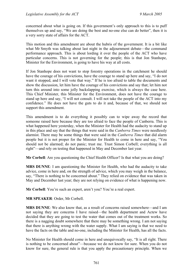concerned about what is going on. If this government's only approach to this is to puff themselves up and say, "We are doing the best and no-one else can do better", then it is a very sorry state of affairs for the ACT.

This motion and this amendment are about the hubris of the government. It is a bit like what Mr Smyth was talking about last night in the adjournment debate—the command performance approach. This is about lording it over the people of the ACT who have particular concerns. This is not governing for the people; this is that Jon Stanhope, Minister for the Environment, is going to have his way at all costs.

If Jon Stanhope does not want to stop forestry operations in the catchment he should have the courage of his convictions, have the courage to stand up here and say, "I do not want it stopped, and I will vote that way." If he is too afraid to table the documents and show the discussion, let him have the courage of his convictions and say that; let him not turn this around into some jolly backslapping exercise, which is always the case here. This Chief Minister, this Minister for the Environment, does not have the courage to stand up here and say, "I will not consult. I will not take the people of the ACT into my confidence." He does not have the guts to do it and, because of that, we should not support this amendment.

This amendment is to do everything it possibly can to wipe away the record that someone raised here because they are too afraid to face the people of Canberra. This is what happened here yesterday, when the Minister for Health had the audacity to stand up in this place and say that the things that were said in the *Canberra Times* were needlessly alarmist. There may be some things that were said in the *Canberra Times* that did alarm people but it is not proper for the Minister for Health to come in here and say, "You should not be alarmed; do not panic; trust me. Trust Simon Corbell; everything is all right"—and rely on testing that happened in May and December last year.

**Mr Corbell**: Are you questioning the Chief Health Officer? Is that what you are doing?

**MRS DUNNE**: I am questioning the Minister for Health, who had the audacity to take advice, come in here and, on the strength of advice, which you may weigh in the balance, say, "There is nothing to be concerned about." They relied on evidence that was taken in May and December last year; they are not relying on evidence of what is happening now.

**Mr Corbell**: You're such an expert, aren't you? You're a real expert.

**MR SPEAKER**: Order, Mr Corbell.

**MRS DUNNE**: We also know that, as a result of concerns raised somewhere—and I am not saying they are concerns I have raised—the health department and Actew have decided that they are going to test the water that comes out of the treatment works. So there is a nagging doubt somewhere that there may be something wrong. I am not saying that there is anything wrong with the water supply. What I am saying is that we need to have the facts on the table and no-one, including the Minister for Health, has all the facts.

No Minister for Health should come in here and unequivocally say, "It is all right. There is nothing to be concerned about"—because we do not know for sure. When you do not know for sure, the general rule is that you apply the precautionary principle. When we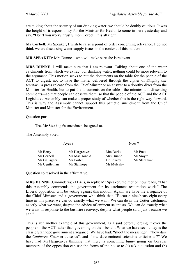are talking about the security of our drinking water, we should be doubly cautious. It was the height of irresponsibility for the Minister for Health to come in here yesterday and say, "Don't you worry; trust Simon Corbell; it is all right."

**Mr Corbell**: Mr Speaker, I wish to raise a point of order concerning relevance. I do not think we are discussing water supply issues in the context of this motion.

**MR SPEAKER**: Mrs Dunne—who will make sure she is relevant.

**MRS DUNNE**: I will make sure that I am relevant. Talking about one of the water catchments from which we extract our drinking water, nothing could be more relevant to the argument. This motion seeks to put the documents on the table for the people of the ACT to digest, not to have the matter delivered through the cipher of *Shaping our territory*, a press release from the Chief Minster or an answer to a dorothy dixer from the Minister for Health, but to put the documents on the table—the minutes and dissenting comments—so that people can observe them, so that the people of the ACT and the ACT Legislative Assembly can make a proper study of whether this is the right way forward. This is why the Assembly cannot support this pathetic amendment from the Chief Minister and Minister for the Environment.

Question put:

That **Mr Stanhope's** amendment be agreed to.

The Assembly voted—

Ayes 8 Noes 7

| Mr Berry<br>Mr Corbell | Mr Hargreaves<br>Ms MacDonald | Mrs Burke<br>Mrs Dunne | Mr Pratt<br>Mr Smyth |
|------------------------|-------------------------------|------------------------|----------------------|
| Ms Gallagher           | Ms Porter                     | Dr Foskey              | Mr Stefaniak         |
| Mr Gentleman           | Mr Stanhope                   | Mr Mulcahy             |                      |

Question so resolved in the affirmative.

**MRS DUNNE** (Ginninderra) (11.43), in reply: Mr Speaker, the motion now reads, "That this Assembly commends the government for its catchment restoration work." The Liberal opposition will be voting against this motion. Again, we have the arrogance of the Chief Minister and a government who think that, "Because nine beats eight every time in this place, we can do exactly what we want. We can do in the Cotter catchment exactly what we want, despite the advice of eminent scientists. We can do exactly what we want in response to the bushfire recovery, despite what people said, just because we can."

This is yet another example of this government, as I said before, lording it over the people of the ACT rather than governing on their behalf. What we have seen today is the classic Stanhope government arrogance. We have had: "shoot the messenger"; "how dare the *Canberra Times* criticise us"; and "how dare eminent scientists criticise us?" We have had Mr Hargreaves thinking that there is something funny going on because members of the opposition can use the forms of the house to (a) ask a question and (b)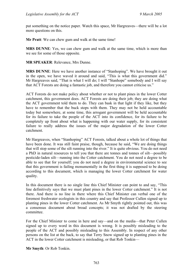put something on the notice paper. Watch this space, Mr Hargreaves—there will be a lot more questions on this.

**Mr Pratt**: We can chew gum and walk at the same time!

**MRS DUNNE**: Yes, we can chew gum and walk at the same time, which is more than we see for some of those opposite.

**MR SPEAKER**: Relevance, Mrs Dunne.

**MRS DUNNE**: Here we have another instance of "Stanhoping". We have brought it out in the open, we have waved it around and said, "This is what this government did." Mr Hargreaves said, "That is what I will do; I will "Stanhope" somebody and I will say that ACT Forests are doing a fantastic job, and therefore you cannot criticise us."

ACT Forests do not make policy about whether or not to plant pines in the lower Cotter catchment, this government does. ACT Forests are doing their job; they are doing what the ACT government told them to do. They can bask in that light if they like, but they have to remember that the buck stops with them. They may not be held accountable today but somewhere, at some time, this arrogant government will be held accountable for its failure to take the people of the ACT into its confidence, for its failure to be completely up front about what is happening with our water supply, for its consistent failure to really address the issues of the major degradation of the lower Cotter catchment.

Mr Hargreaves, when "Stanhoping" ACT Forests, talked about a whole lot of things that have been done. It was still faint praise, though, because he said, "We are doing things that will stop some of the silt running into the river." It is quite obvious. You do not need a PhD in natural resources to tell you that there are tonnes and tonnes of silt—possibly pesticide-laden silt—running into the Cotter catchment. You do not need a degree to be able to see that for yourself; you do not need a degree in environmental science to see that this government is failing monumentally in the first thing it is supposed to be doing according to this document, which is managing the lower Cotter catchment for water quality.

In this document there is no single line this Chief Minister can point to and say, "This line definitively says that we must plant pines in the lower Cotter catchment." It is not there. And there is no line in there where this Chief Minister can verbal one of the foremost freshwater ecologists in this country and say that Professor Cullen signed up to planting pines in the lower Cotter catchment. As Mr Smyth rightly pointed out, this was a consensus document about broad concepts; it was not drafted by the steering committee.

For the Chief Minister to come in here and say—and on the media—that Peter Cullen signed up to every word in this document is wrong. It is possibly misleading to the people of the ACT and possibly misleading to this Assembly. In respect of any other persons on the list at the back, to say that Terry Snow signed up to planting pines in the ACT in the lower Cotter catchment is misleading, or that Rob Tonkin—

**Mr Smyth**: Or Rob Tonkin.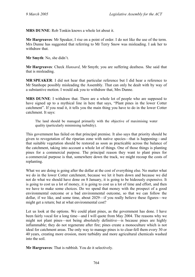**MRS DUNNE**: Rob Tonkin knows a whole lot about it.

**Mr Hargreaves**: Mr Speaker, I rise on a point of order. I do not like the use of the term. Mrs Dunne has suggested that referring to Mr Terry Snow was misleading. I ask her to withdraw that.

**Mr Smyth**: No, she didn't.

**Mr Hargreaves**: Check *Hansard*, Mr Smyth; you are suffering deafness. She said that that is misleading.

**MR SPEAKER**: I did not hear that particular reference but I did hear a reference to Mr Stanhope possibly misleading the Assembly. That can only be dealt with by way of a substantive motion. I would ask you to withdraw that, Mrs Dunne.

**MRS DUNNE**: I withdraw that. There are a whole lot of people who are supposed to have signed up to a mythical line in here that says, "Plant pines in the lower Cotter catchment". If you read it, it tells you the main thing you have to do in the lower Cotter catchment. It says:

The land should be managed primarily with the objective of maximising water quality (particularly minimising turbidity).

This government has failed on that principal premise. It also says that priority should be given to revegetation of the riparian zone with native species—that is happening—and that suitable vegetation should be restored as soon as practicable across the balance of the catchment, taking into account a whole lot of things. One of those things is planting pines for a commercial purpose. The principal reason they want to plant pines for a commercial purpose is that, somewhere down the track, we might recoup the costs of replanting.

What we are doing is going after the dollar at the cost of everything else. No matter what we do in the lower Cotter catchment, because we let it burn down and because we did not do what we should have done on 8 January, it is going to be hideously expensive. It is going to cost us a lot of money, it is going to cost us a lot of time and effort, and then we have to make some choices. Do we spend that money with the prospect of a good environmental outcome or a bad environmental outcome, so that we can follow the dollar, if we like, and some time, about 2029—if you really believe these figures—we might get a return; but at what environmental cost?

Let us look at the options. We could plant pines, as the government has done. I have been fairly vocal for a long time—and I will quote from May 2004. The reasons why we might not plant pines—not being absolutely definitive—is because pines are highly inflammable; they do not regenerate after fire; pines create a monoculture which is not ideal for catchment areas. The only way to manage pines is to clear-fell them every 30 or 40 years, creating more erosion, more turbidity and more agricultural chemicals washed into the soil.

**Mr Hargreaves**: That is rubbish. You do it selectively.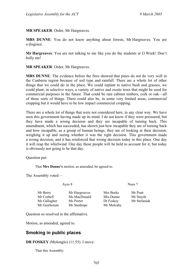**MR SPEAKER**: Order, Mr Hargreaves.

**MRS DUNNE**: You do not know anything about forests, Mr Hargreaves. You are a disgrace.

**Mr Hargreaves**: You are not talking to me like you do the students at O Week! Don't bully me!

**MR SPEAKER**: Order, Mr Hargreaves.

**MRS DUNNE**: The evidence before the fires showed that pines do not do very well in the Canberra region because of soil type and rainfall. There are a whole lot of other things that we could do in the place. We could replant to native bush and grasses, we could plant, in selective ways, a variety of native and exotic trees that might be used for commercial purposes in the future. That could be rare cabinet timbers, cork or oak—all of those sorts of things. There could also be, in some very limited areas, commercial cropping but it would have to be low impact commercial cropping.

There are a whole lot of things that were not considered here, in any clear way. We have seen this government having made up its mind. I do not know if they were pressured, but they have made a wrong decision and they are incapable of turning back. This amendment, which has succeeded, has shown just how incapable they are of turning back and how incapable, as a group of human beings, they are of looking at their decision, weighing it up and seeing whether it was the right decision. This government made a wrong decision, and it has reinforced that wrong decision today in this place. One day it will reap the whirlwind. One day these people will be held to account for it, but today is obviously not going to be that day.

Question put:

That **Mrs Dunne's** motion, as amended, be agreed to.

The Assembly voted—

Ayes 8 Noes 7

Mr Berry Mr Hargreaves Mrs Burke Mr Pratt Mr Corbell Ms MacDonald Mrs Dunne Mr Smyth Ms Gallagher Ms Porter Dr Foskey Mr Stefaniak Mr Gentleman Mr Stanhope Mr Mulcahy

Question so resolved in the affirmative.

Motion, as amended, agreed to.

## <span id="page-24-0"></span>**Smoking in public places**

#### **DR FOSKEY** (Molonglo) (11.55): I move:

That this Assembly: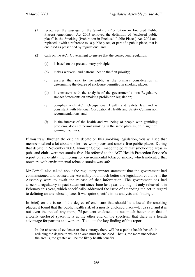- (1) recognises the passage of the Smoking (Prohibition in Enclosed Public Places) Amendment Act 2005 removed the definition of "enclosed public place" in the Smoking (Prohibition in Enclosed Public Places) Act 2003 and replaced it with a reference to "a public place, or part of a public place, that is enclosed as prescribed by regulation"; and
- (2) calls on the ACT Government to ensure that the consequent regulation:
	- (a) is based on the precautionary principle;
	- (b) makes workers' and patrons' health the first priority;
	- (c) ensures that risk to the public is the primary consideration in determining the degree of enclosure permitted in smoking places;
	- (d) is consistent with the analysis of the government's own Regulatory Impact Statements on smoking prohibition legislation;
	- (e) complies with ACT Occupational Health and Safety law and is consistent with National Occupational Health and Safety Commission recommendations; and
	- (f) in the interest of the health and wellbeing of people with gambling problems, does not permit smoking in the same place as, or in sight of, gaming machines.

If you trawl through the original debate on this smoking legislation, you will see that members talked a lot about smoke-free workplaces and smoke-free public places. During that debate in November 2003, Minister Corbell made the point that smoke-free areas in pubs and clubs were not smoke-free. He referred to the ACT Health Protection Service's report on air quality monitoring for environmental tobacco smoke, which indicated that nowhere with environmental tobacco smoke was safe.

Mr Corbell also talked about the regulatory impact statement that the government had commissioned and advised the Assembly how much better the legislation could be if the Assembly were to await the release of that information. The government has had a second regulatory impact statement since June last year, although it only released it in February this year, which specifically addressed the issue of amending the act in regard to defining an unenclosed place. It was quite specific in its analysis and findings.

In brief, on the issue of the degree of enclosure that should be allowed for smoking places, it found that the public health risk of a mostly enclosed place—let us say, and it is not even theoretical any more, 75 per cent enclosed—is not much better than that of a totally enclosed space. It is at the other end of the spectrum that there is a health advantage for patrons and workers. To quote the key finding of this report:

In the absence of evidence to the contrary, there will be a public health benefit in reducing the degree to which an area must be enclosed. That is, the more unenclosed the area is, the greater will be the likely health benefits.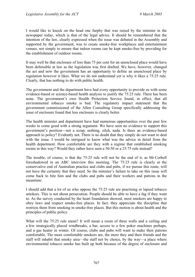I would like to knock on the head one furphy that was raised by the minister in the newspaper today, which is that of the legal advice. It should be remembered that the intention of the law, clearly expressed when the issue was debated in the Assembly and supported by the government, was to create smoke-free workplaces and entertainment venues, not simply to ensure that indoor rooms can be kept smoke-free by providing for the establishment of outdoor rooms.

It may well be that enclosure of less than 75 per cent for an unenclosed place would have been defensible at law as the legislation was first drafted. We have, however, changed the act and now the government has an opportunity to define an unenclosed place by regulation however it likes. What we do not understand yet is why it likes a 75:25 rule. Clearly, that has nothing to do with public health.

The government and the department have had every opportunity to provide us with some evidence-based or science-based health analysis to justify the 75:25 rule. There has been none. The government's own Health Protection Service found, in effect, that all environmental tobacco smoke is bad. The regulatory impact statement that the government commissioned of the Allen Consulting Group specifically addressing the issue of enclosure found that less enclosure is clearly better.

The health minister and department have had numerous opportunities over the past few weeks to come good with a strong argument. We have seen no evidence to support this government's position—not a scrap, nothing, zilch, nada. Is there an evidence-based approach to policy? Evidently not. There is no doubt that they simply do not want to deal with the issue. I would be intrigued to know what was the advice in detail from the health department. How comfortable are they with a regime that established smoking rooms in this way? Would they rather have seen a 50:50 or a 25:75 rule instead?

The trouble, of course, is that the 75:25 rule will not be the end of it, as Mr Corbell foreshadowed in an ABC interview this morning. The 75:25 rule is clearly at the conservative end of Australian practice and clubs and pubs, if we pursue this route, will not have the certainty that they need. So the minister's failure to take on this issue will come back to bite him and the clubs and pubs and their workers and patrons in the meantime.

I should add that a lot of us who oppose the 75:25 rule are practising or lapsed tobacco smokers. This is not about persecution. People should be able to have a fag if they want to. As the survey conducted by the heart foundation showed, most smokers are happy to obey laws and respect smoke-free places. In fact, they appreciate the discipline that restricts them from smoking in smoke-free places. But this motion is about health and the principles of public policy.

What will the 75:25 rule mean? It will mean a room of three walls and a ceiling and a few strategically placed windbreaks, a bar, access to a few poker machines perhaps, and a gas heater in winter. Of course, clubs and pubs will want to make their patrons comfortable. The more comfortable smokers are, the more they and their friends and the staff will inhabit that smoky area—the staff not by choice, by the way—a place where environmental tobacco smoke has built up both because of the degree of enclosure and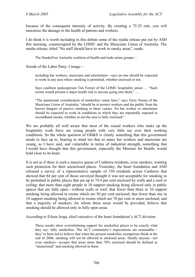because of the consequent intensity of activity. By creating a 75:25 rule, you will maximise the damage to the health of patrons and workers.

I do think it is worth including in this debate some of the media release put out by ASH this morning, countersigned by the LHMU and the Musicians Union of Australia. The media release, titled "No staff should have to work in smoky areas", reads:

The SmokeFree Australia coalition of health and trade union groups—

friends of the Labor Party, I image—

including bar workers, musicians and entertainers—says no-one should be expected to work in any area where smoking is permitted, whether enclosed or not.

Says coalition spokesperson Tim Ferrari of the LHMU hospitality union … "Such rooms would present a major health risk to anyone going into them,"...

"The paramount consideration of smokefree venue laws," says Terry Noone of the Musicians Union of Australia, "should be to protect workers and the public from the known dangers of passive smoking in these venues. No bar worker or entertainer should be expected to work in conditions in which they are repeatedly exposed to secondhand smoke, whether or not the area is fully enclosed."

We are probably all well aware that most of the casual workers who make up the hospitality work force are young people with very little say over their working conditions. So the whole question of OH&S is clearly something that this government needs to face up to, bearing in mind too that so many bar workers and musicians are young, as I have said, and vulnerable in terms of industrial strength, something that I would have thought that this government, especially the Minister for Health, would hold close to its heart.

It is not as if there is such a massive queue of Canberra residents, even smokers, wanting such protection for their unenclosed places. Yesterday, the heart foundation and ASH released a survey of a representative sample of 350 residents across Canberra that showed that 84 per cent of those surveyed thought it was not acceptable for smoking to be permitted in public places that are up to 74.9 per cent enclosed by walls and a roof or ceiling; that more than eight people in 10 support smoking being allowed only in public spaces that are fully open—without walls or roof; that fewer than three in 10 support smoking being allowed in rooms which are 50 per cent enclosed; that fewer than one in 10 support smoking being allowed in rooms which are 70 per cent or more enclosed; and that a majority of smokers, for whom these areas would be provided, believe that smoking should be allowed only in fully open areas.

According to Eileen Jerga, chief executive of the heart foundation's ACT division:

These results show overwhelming support for smokefree places to be exactly what they say: fully smokefree. The ACT community's expectations are reasonable they've been led to believe that when the present smokefree exemptions finish at the end of 2006, smoking will not be allowed in enclosed areas. Hardly anyone—not even smokers—accepts that areas more than 70% enclosed should be defined as "unenclosed" and smoking allowed in them.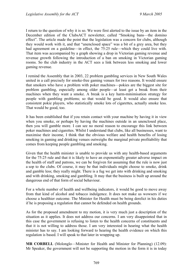I return to the question of why it is so. We were first alerted to the issue by an item in the December edition of the ClubsACT newsletter, called "Smoking bans—the domino effect". The article made the point that the legislation was a concern for clubs, although they would work with it, and that "unenclosed space" was a bit of a grey area, but they had agreement on a guideline—in effect, the 75:25 rule—which they could live with. That item was accompanied by a graph showing a drop in Victorian gaming revenue and revenue growth following the introduction of a ban on smoking in Victorian gaming rooms. So the club industry in the ACT sees a link between less smoking and lower gaming revenue.

I remind the Assembly that in 2003, 22 problem gambling services in New South Wales united in a call precisely for smoke-free gaming venues for two reasons. It would ensure that smokers who have a problem with poker machines—pokies are the biggest site for problem gambling, especially among older people—at least get a break from their machines when they want a smoke. A break is a key harm-minimisation strategy for people with gambling problems; so that would be good. It would also ensure that consistent pokie players, who statistically smoke lots of cigarettes, actually smoke less. That would be good, too.

It has been established that if you retain contact with your machine by having it in view when you smoke, or perhaps by having the machines outside in an unenclosed place, then you will gamble more. I can see no moral reason to encourage this link between poker machines and cigarettes. Whilst I understand that clubs, like all businesses, want to maximise their income, I think that the obvious welfare and health benefits of losing smoking in gaming and drinking venues outweighs the marginal private profitability that comes from keeping people gambling and smoking.

Given that the health minister is unable to provide us with any health-based arguments for the 75:25 rule and that it is likely to have an exponentially greater adverse impact on the health of staff and patrons, we can be forgiven for assuming that the rule is now just a sop to the clubs. Of course, it may be that individuals might choose to smoke, drink and gamble less; they really might. There is a fug we get into with drinking and smoking and with drinking, smoking and gambling. It may that the business is built up around the dangerous end of that form of social behaviour.

For a whole number of health and wellbeing indicators, it would be good to move away from that kind of alcohol and tobacco indulgence. It does not make us wowsers if we choose a healthier outcome. The Minister for Health must be being derelict in his duties if he is proposing a regulation that cannot be defended on health grounds.

As for the proposed amendment to my motion, it is very much just a description of the situation as it applies. It does not address our concerns. I am very disappointed that in this case the government is refusing to listen to the health concerns of constituents and that it is not willing to address those. I am very interested in hearing what the health minister has to say. I am looking forward to hearing the health evidence on which this regulation is based. I will speak to that later in wrapping up.

**MR CORBELL** (Molonglo—Minister for Health and Minister for Planning) (12.09): Mr Speaker, the government will not be supporting the motion in the form it is in today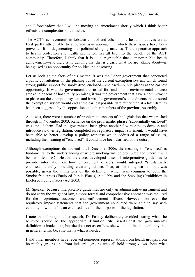and I foreshadow that I will be moving an amendment shortly which I think better reflects the complexities of this issue.

The ACT's achievements in tobacco control and other public health initiatives are at least partly attributable to a non-partisan approach in which these issues have been prevented from degenerating into political slanging matches. The cooperative approach to health protection and health promotion has all been to the benefit of the ACT community. Therefore, I think that it is quite regrettable that a major public health achievement—and there is no denying that that is clearly what we are talking about—is being used as an opportunity for political point scoring.

Let us look at the facts of this matter. It was the Labor government that conducted a public consultation on the phasing out of the current exemption system, which found strong public support for smoke-free, enclosed—enclosed—public places at the earliest opportunity. It was the government that tested for, and found, environmental tobacco smoke in dozens of hospitality premises, it was the government that gave a commitment to phase out the exemption system and it was the government's amendments that ensured the exemption system would end at the earliest possible date rather than at a later date, as had been suggested by the opposition and other members of the previous Assembly.

As it was, there were a number of problematic aspects of the legislation that was rushed through in November 2003. Reliance on the problematic phrase "substantially enclosed" was one of them. Had the government been given another few months to develop and introduce its own legislation, completed its regulatory impact statement, it would have been able to better develop a policy response which addressed a range of issues, including the meaning of "enclosed". It could have been clarified at the outset.

Although exemptions do not end until December 2006, the meaning of "enclosed" is fundamental to the understanding of where smoking will be prohibited and where it will be permitted. ACT Health, therefore, developed a set of interpretative guidelines to provide information on how enforcement officers would interpret "substantially enclosed", thereby providing clearer guidance. That, at the time, was all that was possible, given the limitations of the definition, which was common to both the Smoke-free Areas (Enclosed Public Places) Act 1994 and the Smoking (Prohibition in Enclosed Public Places) Act 2003.

Mr Speaker, because interpretative guidelines are only an administrative instrument and do not carry the weight of law, a more formal and comprehensive approach was required for the proprietors, customers and enforcement officers. However, not even the regulatory impact statements that the government conducted were able to say with certainty how to define an enclosed area for the purposes of the legislation.

I note that, throughout her speech, Dr Foskey deliberately avoided stating what she believed should be the appropriate definition. She asserts that the government's definition is inadequate, but she does not assert how she would define it—explicitly, not in general terms, because that is what is needed.

I and other members have received numerous representations from health groups, from hospitality groups and from industrial groups who all hold strong views about what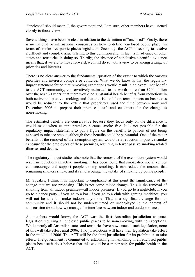"enclosed" should mean. I, the government and, I am sure, other members have listened closely to those views.

Several things have become clear in relation to the definition of "enclosed". Firstly, there is no national or international consensus on how to define "enclosed public place" in terms of smoke-free public places legislation. Secondly, the ACT is seeking to resolve a difficult and complex issue relating to this definition and, in fact, is in advance of other states and territories in doing so. Thirdly, the absence of conclusive scientific evidence means that, if we are to move forward, we must do so with a view to balancing a range of priorities and interests.

There is no clear answer to the fundamental question of the extent to which the various priorities and interests compete or coincide. What we do know is that the regulatory impact statement found that removing exemptions would result in an overall net benefit to the ACT community, conservatively estimated to be worth more than \$240 million over the next 30 years; that there would be substantial health benefits from reductions in both active and passive smoking; and that the risks of short-term impacts on businesses would be reduced to the extent that proprietors used the time between now and December 2006 to prepare their premises, staff and customers for the change to non-smoking.

The estimated benefits are conservative because they focus only on the difference it would make when exempt premises became smoke free. It is not possible for the regulatory impact statements to put a figure on the benefits to patrons of not being exposed to tobacco smoke, although these benefits could be substantial. One of the major benefits of the removal of the exemption system would be a reduction in passive smoke exposure for the employees of these premises, resulting in fewer passive smoking related illnesses and deaths.

The regulatory impact studies also note that the removal of the exemption system would result in reductions in active smoking. It has been found that smoke-free social venues can encourage and support people to stop smoking. It can reduce the amount that remaining smokers smoke and it can discourage the uptake of smoking by young people.

Mr Speaker, I think it is important to emphasise at this point the significance of the change that we are proposing. This is not some minor change. This is the removal of smoking from all indoor premises—all indoor premises. If you go to a nightclub, if you go to a dance party, if you go to a bar, if you go to a club with gaming machines, you will not be able to smoke indoors any more. That is a significant change for our community and it should not be underestimated or underplayed in the context of a discussion about how we manage the interface between indoor and outdoor spaces.

As members would know, the ACT was the first Australian jurisdiction to enact legislation requiring all enclosed public places to be non-smoking, with no exceptions. Whilst nearly all Australian states and territories have now enacted such legislation, none of this will take effect until 2006. Two jurisdictions will have their legislation take effect in the middle of 2006. The ACT will be the third jurisdiction for its prohibition to take effect. The government is committed to establishing non-smoking in all enclosed public places because it does believe that this would be a major step for public health in the ACT.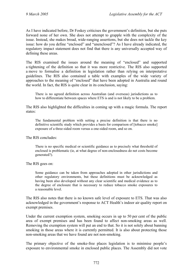As I have indicated before, Dr Foskey criticises the government's definition, but she puts forward none of her own. She does not attempt to grapple with the complexity of the issue. Instead, she makes broad, wide-ranging assertions, but she does not tackle the key issue: how do you define "enclosed" and "unenclosed"? As I have already indicated, the regulatory impact statement does not find that there is any universally accepted way of defining these areas.

The RIS examined the issues around the meaning of "enclosed" and supported a tightening of the definition so that it was more restrictive. The RIS also supported a move to formalise a definition in legislation rather than relying on interpretative guidelines. The RIS also contained a table with examples of the wide variety of approaches to the meaning of "enclosed" that have been adopted in Australia and round the world. In fact, the RIS is quite clear in its conclusion, saying:

There is no agreed definition across Australian (and overseas) jurisdictions as to how to differentiate between spaces where ETS is and is not likely to be a problem.

The RIS also highlighted the difficulties in coming up with a magic formula. The report states:

The fundamental problem with setting a precise definition is that there is no definitive scientific study which provides a basis for comparison of [tobacco smoke] exposure of a three-sided room versus a one-sided room, and so on.

The RIS concludes:

There is no specific medical or scientific guidance as to precisely what threshold of enclosed is problematic (ie, at what degree of non-enclosedness do net costs become generated?).

The RIS goes on:

Some guidance can be taken from approaches adopted in other jurisdictions and other regulatory environments, but these definitions must be acknowledged as having been also developed without any clear scientific and medical evidence as to the degree of enclosure that is necessary to reduce tobacco smoke exposures to a reasonable level.

The RIS also notes that there is no known safe level of exposure to ETS. That was also acknowledged in the government's response to ACT Health's indoor air quality report on exempt premises.

Under the current exemption system, smoking occurs in up to 50 per cent of the public area of exempt premises and has been found to affect non-smoking areas as well. Removing the exemption system will put an end to that. So it is not solely about banning smoking in those areas where it is currently permitted. It is also about protecting those non-smoking areas that we have found are not non-smoking.

The primary objective of the smoke-free places legislation is to minimise people's exposure to environmental smoke in enclosed public places. The Assembly did not vote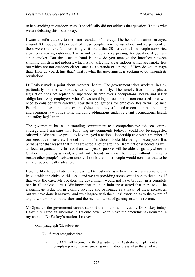to ban smoking in outdoor areas. It specifically did not address that question. That is why we are debating this issue today.

I want to refer quickly to the heart foundation's survey. The heart foundation surveyed around 300 people: 80 per cent of those people were non-smokers and 20 per cent of them were smokers. Not surprisingly, it found that 80 per cent of the people supported a ban on smoking outdoors. That is not particularly surprising, Mr Speaker, if you are a non-smoker. But the issue at hand is: how do you manage the interface between smoking which is not indoors, which is not affecting areas indoors which are smoke free but which are not outdoors either, such as a veranda or a pergola? How do you manage that? How do you define that? That is what the government is seeking to do through its regulations.

Dr Foskey made a point about workers' health. The government takes workers' health, particularly in the workplace, extremely seriously. The smoke-free public places legislation does not replace or supersede an employer's occupational health and safety obligations. Any employers who allows smoking to occur in a non-enclosed area will need to consider very carefully how their obligations for employee health will be met. Proprietors of exempt premises are advised that they still need to consider their statutory and common law obligations, including obligations under relevant occupational health and safety legislation.

The government has a longstanding commitment to a comprehensive tobacco control strategy and I am sure that, following my comments today, it could not be suggested otherwise. We are also proud to have played a national leadership role with a number of our legislative measures. The definition of "enclosed" looks like being no exception. It is perhaps for that reason that it has attracted a lot of attention from national bodies as well as local organisations. In less than two years, people will be able to go anywhere in Canberra and enjoy a meal, a drink with friends or a visit to a club without having to breath other people's tobacco smoke. I think that most people would consider that to be a major public health advance.

I would like to conclude by addressing Dr Foskey's assertion that we are somehow in league with the clubs on this issue and we are providing some sort of sop to the clubs. If that were the case, Mr Speaker, the government would not have brought in a complete ban in all enclosed areas. We know that the club industry asserted that there would be a significant reduction in gaming revenue and patronage as a result of these measures, but we have done it anyway, and we disagree with the clubs' assertion as to the extent of any downturn, both in the short and the medium term, of gaming machine revenue.

Mr Speaker, the government cannot support the motion as moved by Dr Foskey today. I have circulated an amendment. I would now like to move the amendment circulated in my name to Dr Foskey's motion. I move:

Omit paragraph (2), substitute:

- "(2) further recognises that:
	- (a) the ACT will become the third jurisdiction in Australia to implement a complete prohibition on smoking in all indoor areas when the Smoking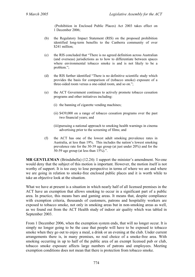(Prohibition in Enclosed Public Places) Act 2003 takes effect on 1 December 2006;

- (b) the Regulatory Impact Statement (RIS) on the proposed prohibition identified long-term benefits to the Canberra community of over \$241 million;
- (c) the RIS concluded that "There is no agreed definition across Australian (and overseas) jurisdictions as to how to differentiate between spaces where environmental tobacco smoke is and is not likely to be a problem.";
- (d) the RIS further identified "There is no definitive scientific study which provides the basis for comparison of (tobacco smoke) exposure of a three-sided room versus a one-sided room, and so on.";
- (e) the ACT Government continues to actively promote tobacco cessation programs and other initiatives including:
	- (i) the banning of cigarette vending machines;
	- (ii) \$439,000 on a range of tobacco cessation programs over the past two financial years; and
	- (iii) pursuing a national approach to smoking health warnings in cinema advertising prior to the screening of films; and
- (f) the ACT has one of the lowest adult smoking prevalence rates in Australia, at less than 19%. This includes the nation's lowest smoking prevalence rate for the 30-39 age group (at just under 20%) and for the 50-59 age group (at less than 15%).".

**MR GENTLEMAN** (Brindabella) (12.24): I support the minister's amendment. No-one would deny that the subject of this motion is important. However, the motion itself is not worthy of support. It is too easy to lose perspective in terms of where we are and where we are going in relation to smoke-free enclosed public places and it is worth while to take an objective look at the situation.

What we have at present is a situation in which nearly half of all licensed premises in the ACT have an exemption that allows smoking to occur in a significant part of a public area. In practice, this means bars and gaming areas. It means that, despite compliance with exemption criteria, thousands of customers, patrons and hospitality workers are exposed to tobacco smoke, not only in smoking areas but in non-smoking areas as well, as we found out from the ACT Health study of indoor air quality which was tabled in September 2003.

From 1 December 2006, when the exemption system ends, that will no longer occur. It is simply no longer going to be the case that people will have to be exposed to tobacco smoke when they go out to enjoy a meal, a drink or an evening at the club. Under current arrangements there is, in many premises, no real choice of a smoke-free area. With smoking occurring in up to half of the public area of an exempt licensed pub or club, tobacco smoke exposure affects large numbers of patrons and employees. Meeting exemption conditions does not mean that there is protection from tobacco smoke.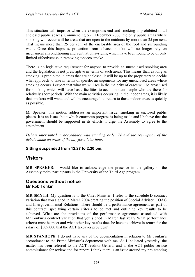This situation will improve when the exemptions end and smoking is prohibited in all enclosed public spaces. Commencing on 1 December 2006, the only public areas where smoking will occur will be areas that are open to the outdoors by more than 25 per cent. That means more than 25 per cent of the enclosable area of the roof and surrounding walls. Once this happens, protection from tobacco smoke will no longer rely on mechanical airconditioning and ventilation systems, which have been found to be of only limited effectiveness in removing tobacco smoke.

There is no legislative requirement for anyone to provide an unenclosed smoking area and the legislation is not prescriptive in terms of such areas. This means that, as long as smoking is prohibited in areas that are enclosed, it will be up to the proprietors to decide what approach to take in terms of specific arrangements for any unenclosed areas where smoking occurs. I expect that what we will see in the majority of cases will be areas used for smoking which will have basic facilities to accommodate people who are there for relatively short periods. With the main activities occurring in the indoor areas, it is likely that smokers will want, and will be encouraged, to return to those indoor areas as quickly as possible.

Mr Speaker, this motion addresses an important issue: smoking in enclosed public places. It is an issue about which enormous progress is being made and I believe that the government should be supported in its efforts. I urge the Assembly to agree to the amendment.

*Debate interrupted in accordance with standing order 74 and the resumption of the debate made an order of the day for a later hour.* 

### **Sitting suspended from 12.27 to 2.30 pm.**

## <span id="page-34-0"></span>**Visitors**

**MR SPEAKER**: I would like to acknowledge the presence in the gallery of the Assembly today participants in the University of the Third Age program.

### <span id="page-34-1"></span>**Questions without notice Mr Rob Tonkin**

**MR SMYTH**: My question is to the Chief Minister. I refer to the schedule D contract variation that you signed in March 2004 creating the position of Special Adviser, COAG and Intergovernmental Relations. There should be a performance agreement as part of this contract, specifying certain criteria to be met and outlining key results to be achieved. What are the provisions of the performance agreement associated with Mr Tonkin's contract variation that you signed in March last year? What performance criteria must he meet and what other key results does he have to achieve in return for the salary of \$309,000 that the ACT taxpayer provides?

**MR STANHOPE**: I do not have any of the documentation in relation to Mr Tonkin's secondment to the Prime Minister's department with me. As I indicated yesterday, the matter has been referred to the ACT Auditor-General and to the ACT public service commissioner for review and for report. I think there is an issue around my pre-empting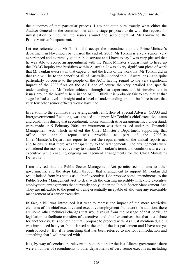the outcomes of that particular process. I am not quite sure exactly what either the Auditor-General or the commissioner at this stage proposes to do with the request for investigation or inquiry into issues around the secondment of Mr Tonkin to the Prime Minister's department.

Let me reiterate that Mr Tonkin did accept the secondment to the Prime Minister's department in November, or towards the end of, 2003. Mr Tonkin is a very senior, very experienced and extremely good public servant and I have to say I was very pleased that he was able to accept an appointment with the Prime Minister's department to head up the COAG inquiry into bushfires within Australia. It was a very significant piece of work that Mr Tonkin oversaw in that capacity, and the fruits of the work that Mr Tonkin did in that role will be to the benefit of all of Australia—indeed to all Australians—and quite particularly of course to the people of the ACT, having regard to the very significant impact of the 2003 fires on the ACT and of course the very detailed and specific understanding that Mr Tonkin achieved through that experience and his involvement in issues around the bushfire here in the ACT. I think it is probably fair to say that at that stage he had a level of insight and a level of understanding around bushfire issues that very few other senior officers would have had.

In relation to the administrative arrangements, an Office of Special Adviser, COAG and Intergovernmental Relations, was created to support Mr Tonkin's chief executive status and conditions during that secondment. Those administrative arrangements, I understand, were made on 9 February 2004. An instrument was then issued under the Financial Management Act, which involved the Chief Minister's Department supporting that office. An annual report was provided as part of the 2003-04 Chief Minister's Department report to meet the requirements of the annual reports act and to ensure that there was transparency to the arrangements. The arrangements were considered the most effective way to sustain Mr Tonkin's terms and conditions as a chief executive while enabling ongoing management arrangements for the Chief Minister's Department.

I am advised that the Public Sector Management Act permits secondments to other governments, and the steps taken through that arrangement to support Mr Tonkin did result indeed from his status as a chief executive. I do propose some amendments to the Public Sector Management Act to deal with the existing incredibly inflexible executive employment arrangements that currently apply under the Public Sector Management Act. They are inflexible to the point of being essentially incapable of allowing any reasonable management of a senior executive.

In fact, a bill was introduced last year to redress the impact of the more restrictive elements of the chief executive and executive employment framework. In addition, there are some other technical changes that would result from the passage of that particular legislation to facilitate transfers of executives and chief executives, but that is a debate for another day. It is something that I propose to proceed with. As I just mentioned, a bill was introduced last year, but it lapsed at the end of the last parliament and I have not yet reintroduced it. But it is something that has been referred to me for reintroduction and something that I will proceed with.

It is, by way of conclusion, relevant to note that under the last Liberal government there were a number of secondments to other departments of very senior executives, including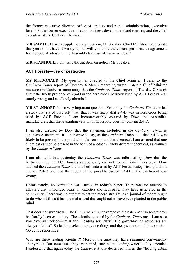the former executive director, office of strategy and public administration, executive level 3.8; the former executive director, business development and tourism; and the chief executive of the Canberra Hospital.

**MR SMYTH**: I have a supplementary question, Mr Speaker. Chief Minister, I appreciate that you do not have it with you, but will you table the current performance agreement for the special adviser in the Assembly by close of business today?

**MR STANHOPE**: I will take the question on notice, Mr Speaker.

## **ACT Forests—use of pesticides**

**MS MacDONALD**: My question is directed to the Chief Minister. I refer to the *Canberra Times* report of Tuesday 8 March regarding water. Can the Chief Minister reassure the Canberra community that the *Canberra Times* report of Tuesday 8 March about the likely presence of 2,4-D in the herbicide Crossbow used by ACT Forests was utterly wrong and needlessly alarmist?

**MR STANHOPE**: It is a very important question. Yesterday the *Canberra Times* carried a story that stated precisely that: that it was likely that 2,4-D was in herbicides being used by ACT Forests. I am incontrovertibly assured by Dow, the Australian manufacturer, that the Australian version of Crossbow does not contain 2,4-D.

I am also assured by Dow that the statement included in the *Canberra Times* is a nonsense statement. It is nonsense to say, as the *Canberra Times* did, that 2,4-D was likely to be present in the product in the form of another chemical. I am assured that one chemical cannot be present in the form of another entirely different chemical, as claimed by the *Canberra Times*.

I am also told that yesterday the *Canberra Times* was informed by Dow that the herbicide used by ACT Forests categorically did not contain 2,4-D. Yesterday Dow advised the *Canberra Times* that the herbicide used by ACT Forests categorically did not contain 2,4-D and that the report of the possible use of 2,4-D in the catchment was wrong.

Unfortunately, no correction was carried in today's paper. There was no attempt to alleviate any unfounded fears or anxieties the newspaper may have generated in the community. There was no attempt to set the record straight, as a journal of record ought to do when it finds it has planted a seed that ought not to have been planted in the public mind.

That does not surprise us. The *Canberra Times* coverage of the catchment in recent days has hardly been exemplary. The scientists quoted by the *Canberra Times* are—I am sure you have all noticed—invariably "leading scientists". The government's responses are always "claims". So leading scientists say one thing, and the government claims another. Objective reporting?

Who are these leading scientists? Most of the time they have remained conveniently anonymous. But sometimes they are named, such as the leading water quality scientist. I understand that again today the *Canberra Times* described him as the "leading urban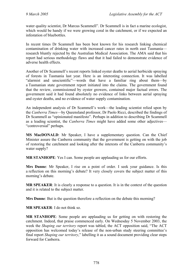water quality scientist, Dr Marcus Scammell". Dr Scammell is in fact a marine ecologist, which would be handy if we were growing coral in the catchment, or if we expected an infestation of bluebottles.

In recent times Dr Scammell has been best known for his research linking chemical contamination of drinking water with increased cancer rates in north east Tasmania research bluntly rejected by the Australian Medical Association. The AMA said that his report had serious methodology flaws and that it had failed to demonstrate evidence of adverse health effects.

Another of Dr Scammell's recent reports linked oyster deaths to aerial herbicide spraying of forests in Tasmania last year. Here is an interesting connection. It was labelled "alarmist and unscientific"—words that have a familiar ring about them—by a Tasmanian state government report initiated into the claims. The government found that the review, commissioned by oyster growers, contained major factual errors. The government said it had found absolutely no evidence of links between aerial spraying and oyster deaths, and no evidence of water supply contamination.

An independent analysis of Dr Scammell's work—the leading scientist relied upon by the *Canberra Times*—by Queensland professor, Dr Paolo Ricci, described the findings of Dr Scammell as "opinionated manifesto". Perhaps in addition to describing Dr Scammell as a leading scientist, the *Canberra Times* might have added some other adjectives— "controversial" perhaps.

**MS MacDONALD**: Mr Speaker, I have a supplementary question. Can the Chief Minister assure the Canberra community that the government is getting on with the job of restoring the catchment and looking after the interests of the Canberra community's water supply?

**MR STANHOPE**: Yes I can. Some people are applauding us for our efforts.

**Mrs Dunne**: Mr Speaker, I rise on a point of order. I seek your guidance. Is this a reflection on this morning's debate? It very closely covers the subject matter of this morning's debate.

**MR SPEAKER**: It is clearly a response to a question. It is in the context of the question and it is related to the subject matter.

**Mrs Dunne**: But is the question therefore a reflection on the debate this morning?

**MR SPEAKER**: I do not think so.

**MR STANHOPE**: Some people are applauding us for getting on with restoring the catchment. Indeed, that praise commenced early. On Wednesday 5 November 2003, the week the *Shaping our territory* report was tabled, the ACT opposition said, "The ACT opposition has welcomed today's release of the non-urban study steering committee's final report *Shaping our territory*," labelling it as a sound document providing clear steps forward for Canberra.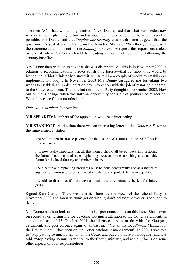The then ACT shadow planning minister, Vicki Dunne, said that what was needed now was a change in planning culture and as much continuity following the recent report as possible. Mrs Dunne said that *Shaping our territory* was much better targeted than the government's spatial plan released on the Monday. She said, "Whether you agree with the recommendations or not of the *Shaping our territory* report, this report sets a clear picture of where Canberra should be heading in terms of rebuilding following the January bushfires."

Mrs Dunne then went on to say that she was disappointed—this is in November 2003 in relation to recommendations to re-establish pine forests—that yet more time would be lost as the "Chief Minister has stated it will take him a couple of weeks to establish an implementation body". In November 2003 Mrs Dunne castigated me for taking two weeks to establish an implementation group to get on with the job of restoring pine trees to the Cotter catchment. That is what the Liberal Party thought in November 2003. How our opinions change when we sniff an opportunity for a bit of political point scoring! What do we see fifteen months later?

*Opposition members interjecting—*

**MR SPEAKER**: Members of the opposition will cease interjecting.

**MR STANHOPE**: At the time there was an interesting letter to the *Canberra Times* on the same issues. It stated:

The \$52 million insurance payment for the loss of ACT forests in the 2003 fires is welcome news.

It is now really important that all this money should all be put back into restoring the burnt plantation landscape, replanting trees and re-establishing a sustainable future for the local forestry and timber industry.

The cleanup and replanting programs must be done concurrently and as a matter of urgency to minimise erosion and weed infestation and protect dam water quality.

It could be disastrous if these environmental issues continue to be left for future years.

Signed Kate Carnell. There we have it. There are the views of the Liberal Party in November 2003 and January 2004: get on with it; don't delay; two weeks is too long to delay.

Mrs Dunne needs to look at some of her other pronouncements on this issue. She is even on record as criticising me for devoting too much attention to the Cotter catchment. In a media release of 13 October 2004 she discusses issues to do with the Googong catchment. She goes on once again to lambast me: "Yet all his focus"—the Minister for the Environment—"has been on the Cotter catchment management". In 2004 I was told to "stop putting so much attention on the Cotter and put a bit more on Googong" and was told, "Stop paying so much attention to the Cotter, minister, and actually focus on some other aspects of your responsibilities."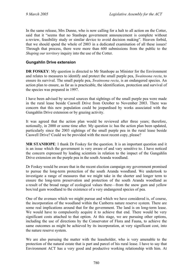In the same release, Mrs Dunne, who is now calling for a halt to all action on the Cotter, said that it "seems that no Stanhope government announcement is complete without a review, feasibility study or similar device to avoid decision making". Heaven forbid, that we should spend the whole of 2003 in a dedicated examination of all these issues! Through that process, there were more than 600 submissions from the public to the *Shaping our territory* inquiry into the use of the Cotter.

## **Gungahlin Drive extension**

**DR FOSKEY:** My question is directed to Mr Stanhope as Minister for the Environment and relates to measures to identify and protect the small purple pea, *Swainsona recta*, to ensure its survival. The small purple pea, *Swainsona recta*, is an endangered species. An action plan to ensure, as far as is practicable, the identification, protection and survival of the species was prepared in 1997.

I have been advised by several sources that sightings of the small purple pea were made in the rural lease beside Caswell Drive from October to November 2003. There was concern that this new population could be jeopardised by works associated with the Gungahlin Drive extension or by grazing activity.

It was agreed that the action plan would be reviewed after three years; therefore, notionally, in 2000 or some time after. My question is: has the action plan been updated, particularly since the 2003 sightings of the small purple pea in the rural lease beside Caswell Drive? Could we be provided with the most recent copy, please?

**MR STANHOPE**: I thank Dr Foskey for the question. It is an important question and it is an issue which the government is very aware of and vary sensitive to. I have noticed the concern expressed by leading scientists in relation to the impact of the Gungahlin Drive extension on the purple pea in the south Aranda woodland.

Dr Foskey would be aware that in the recent election campaign my government promised to pursue the long-term protection of the south Aranda woodland. We undertook to investigate a range of measures that we might take in the shorter and longer term to ensure the long-term preservation and protection of the south Aranda woodland as a result of the broad range of ecological values there—from the snow gum and yellow box/red gum woodland to the existence of a very endangered species of pea.

One of the avenues which we might pursue and which we have considered is, of course, the incorporation of the woodland within the Canberra nature reserve system. There are some real implications around that for the government. The land is on long-term lease. We would have to compulsorily acquire it to achieve that end. There would be very significant costs attached to that option. At this stage, we are pursuing other options, including the use of directions by the Conservator of Flora and Fauna, to achieve the same outcomes as might be achieved by its incorporation, at very significant cost, into the nature reserve system.

We are also pursuing the matter with the leaseholder, who is very amenable to the protection of the natural estate that is part and parcel of his rural lease. I have to say that Environment ACT has a very good and productive working relationship with him. At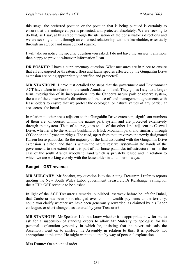this stage, the preferred position or the position that is being pursued is certainly to ensure that the endangered pea is protected, and protected absolutely. We are seeking to do that, as I say, at this stage through the utilisation of the conservator's directions and we are seeking to do it through an enhanced relationship with the leaseholder, essentially through an agreed land management regime.

I will take on notice the specific question you asked. I do not have the answer. I am more than happy to provide whatever information I can.

**DR FOSKEY**: I have a supplementary question. What measures are in place to ensure that all endangered or threatened flora and fauna species affected by the Gungahlin Drive extension are being appropriately identified and protected?

**MR STANHOPE**: I have just detailed the steps that the government and Environment ACT have taken in relation to the south Aranda woodland. They go, as I say, to a longer term investigation of its incorporation into the Canberra nature park or reserve system, the use of the conservator's directions and the use of land management agreements with leaseholders to ensure that we protect the ecological or natural values of any particular area across the board.

In relation to other areas adjacent to the Gungahlin Drive extension, significant numbers of them are, of course, within the nature park system and are protected extensively through that system. That, of course, goes to all of the other land adjacent to Caswell Drive, whether it be the Aranda bushland or Black Mountain park, and similarly through O'Connor and Lyneham ridges. The road, apart from that, traverses the newly designated Kaleen horse paddocks. So the majority of the land associated with the Gungahlin Drive extension is either land that is within the nature reserve system—in the hands of the government, to the extent that it is part of our horse paddocks infrastructure—or, in the case of the south Aranda woodland, land which is privately leased and in relation to which we are working closely with the leaseholder in a number of ways.

## **Budget—GST revenue**

**MR MULCAHY**: Mr Speaker, my question is to the Acting Treasurer. I refer to reports quoting the New South Wales Labor government Treasurer, Dr Refshauge, calling for the ACT's GST revenue to be slashed.

In light of the ACT Treasurer's remarks, published last week before he left for Dubai, that Canberra has been short-changed over commonwealth payments to the territory, could you clarify whether we have been generously rewarded, as claimed by his Labor colleague, or short-changed, as asserted by your Treasurer?

**MR STANHOPE**: Mr Speaker, I do not know whether it is appropriate now for me to ask for a suspension of standing orders to allow Mr Mulcahy to apologise for his personal explanation yesterday in which he, insisting that he never misleads the Assembly, went on to mislead the Assembly in relation to this. It is probably not appropriate at this time. He might want to do that by way of personal explanation.

**Mrs Dunne**: On a point of order—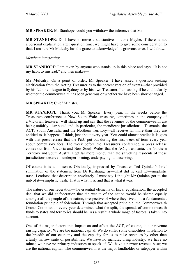**MR SPEAKER**: Mr Stanhope, could you withdraw the inference that Mr—

**MR STANHOPE**: Do I have to move a substantive motion? Maybe, if there is not a personal explanation after question time, we might have to give some consideration to that. I am sure Mr Mulcahy has the grace to acknowledge his grievous error. I withdraw.

#### *Members interjecting—*

**MR STANHOPE**: I am taken by anyone who stands up in this place and says, "It is not my habit to mislead," and then makes—

**Mr Mulcahy**: On a point of order, Mr Speaker: I have asked a question seeking clarification from the Acting Treasurer as to the correct version of events—that provided by his Labor colleague in Sydney or by his own Treasurer. I am asking if he could clarify whether the commonwealth has been generous or whether we have been short-changed.

#### **MR SPEAKER**: Chief Minister.

**MR STANHOPE**: Thank you, Mr Speaker. Every year, in the weeks before the Treasurers conference, a New South Wales treasurer, sometimes in the company of a Victorian treasurer, will stand up and say that the revenues of the commonwealth are being unfairly distributed and, in particular, the mendicant jurisdictions—Tasmania, the ACT, South Australia and the Northern Territory—all receive far more than they are entitled to. It happens, I think, just about every year. You could almost predict it. It goes with that press release that the P&C put out during the first week of term every year about compulsory fees. The week before the Treasurers conference, a press release comes out from Victoria and New South Wales that the ACT, Tasmania, the Northern Territory and South Australia get far more money than the snivelling residents of those jurisdictions deserve—underperforming, underpaying, undeserving.

Of course it is a nonsense. Obviously, impressed by Treasurer Ted Quinlan's brief summation of the statement from Dr Refshauge as—what did he call it?—simplistic trash, I endorse that description absolutely. I must say I thought Mr Quinlan got to the nub of it—simplistic trash. That is what it is, and that is what it was.

The nature of our federation—the essential elements of fiscal equalisation, the accepted deal that we did at federation that the wealth of the nation would be shared equally amongst all the people of the nation, irrespective of where they lived—is a fundamental, foundation principle of federation. Through that accepted principle, the Commonwealth Grants Commission every year determines what the split, the spread, of commonwealth funds to states and territories should be. As a result, a whole range of factors is taken into account.

One of the major factors that impact on and affect the ACT, of course, is our revenue raising capacity. We are the national capital. We do suffer some disabilities in relation to the breadth of our economy and the capacity for us to raise revenues by other than a fairly narrow suite of possibilities. We have no manufacturing industry; we have no mines; we have no primary industries to speak of. We have a narrow revenue base; we are the national capital. The commonwealth is the major landholder or ratepayer within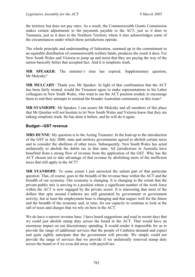the territory but does not pay rates. As a result, the Commonwealth Grants Commission makes certain adjustments to the payments payable to the ACT, just as it does to Tasmania, just as it does to the Northern Territory where it also acknowledges some of the circumstances under which those jurisdictions operate.

The whole principle and understanding of federation, summed up in the commitment to an equitable distribution of commonwealth welfare funds, produces the result it does. For New South Wales and Victoria to jump up and insist that they are paying the way of the nation basically belies that accepted fact. And it is simplistic trash.

**MR SPEAKER**: The minister's time has expired. Supplementary question, Mr Mulcahy?

**MR MULCAHY**: Thank you, Mr Speaker. In light of that confirmation that the ACT has been fairly treated, would the Treasurer agree to make representations to his Labor colleagues in New South Wales, who want to see the ACT position eroded, to encourage them to end their attempts to mislead the broader Australian community on this issue?

**MR STANHOPE**: Mr Speaker, I can assure Mr Mulcahy and all members of this place that Mr Quinlan will not hesitate to let New South Wales and Victoria know that they are talking simplistic trash. He has done it before, and he will do it again.

## **Budget—GST revenue**

**MRS DUNNE**: My question is to the Acting Treasurer. In the lead-up to the introduction of the GST in July 2000, state and territory governments agreed to abolish certain taxes and to consider the abolition of other taxes. Subsequently, New South Wales has acted unilaterally to abolish the debits tax in that state. All jurisdictions in Australia have benefited from a strong flow of revenue from the application of the GST. Why has the ACT chosen not to take advantage of that revenue by abolishing more of the inefficient taxes that still apply in the ACT?

**MR STANHOPE**: To some extent I just answered the salient part of that particular question. That, of course, goes to the breadth of the revenue base within the ACT and the breadth of our economy. Our economy is changing. It is changing to the extent that the private-public mix is moving to a position where a significant number of the work force within the ACT is now engaged by the private sector. It is interesting that most of the dollars that spin around Canberra are still generated by government or government activity, but at least the employment base is changing and that augurs well for the future and the breadth of the economy and, in time, for our capacity to continue to look at the raft of taxes and charges that we rely on here in the ACT.

We do have a narrow revenue base. I have heard suggestions and read in recent days that we could just abolish stamp duty across the board in the ACT. That would have an enormous impact on our discretionary spending. It would render it impossible for us to provide the range of additional services that the people of Canberra demand and expect and quite rightly anticipate that the government will provide. We simply could not provide the range of services that we provide if we unilaterally removed stamp duty across the board or if we even did away with payroll tax.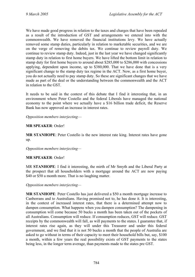We have made good progress in relation to the taxes and charges that have been repealed as a result of the introduction of GST and arrangements we entered into with the commonwealth. We have removed the financial institutions levy. We have actually removed some stamp duties, particularly in relation to marketable securities, and we are on the verge of removing the debits tax. We continue to review payroll duty. We continue to review stamp duty. Indeed, just in the last year we have changed significantly stamp duty in relation to first home buyers. We have lifted the bottom limit in relation to stamp duty for first home buyers to around about \$285,000 to \$286,000 with concessions applying, dependent upon income, up to \$380,000. That we have done that is a very significant change to the stamp duty tax regime in the ACT. Now, as a first home buyer, you do not actually need to pay stamp duty. So these are significant changes that we have made as part of the deal or the understanding between the commonwealth and the ACT in relation to the GST.

It needs to be said in the context of this debate that I find it interesting that, in an environment where Peter Costello and the federal Liberals have managed the national economy to the point where we actually have a \$16 billion trade deficit, the Reserve Bank has now approved an increase in interest rates.

*Opposition members interjecting*—

#### **MR SPEAKER**: Order!

**MR STANHOPE**: Peter Costello is the new interest rate king. Interest rates have gone up.

*Opposition members interjecting—* 

#### **MR SPEAKER**: Order!

MR **STANHOPE**: I find it interesting, the mirth of Mr Smyth and the Liberal Party at the prospect that all householders with a mortgage around the ACT are now paying \$40 or \$50 a month more. That is no laughing matter.

*Opposition members interjecting—* 

**MR STANHOPE**: Peter Costello has just delivered a \$50 a month mortgage increase to Canberrans and to Australians. Having promised not to, he has done it. It is interesting, in the context of increased interest rates, that there is a determined attempt now to dampen consumption. What happens when you dampen consumption? The dampening in consumption will come because 50 bucks a month has been taken out of the pockets of all Australians. Consumption will reduce. If consumption reduces, GST will reduce. GST receipts by the commonwealth will fall, as will payments to the states. I guarantee that, if interest rates rise again, as they will under this Treasurer and under this federal government, and we find that it is not 50 bucks a month that the people of Australia are asked to go without in terms of their capacity to meet their household bills but, say, \$100 a month, within a few years the real possibility exists of GST payments to the states being less, in the longer term average, than payments made to the states pre GST.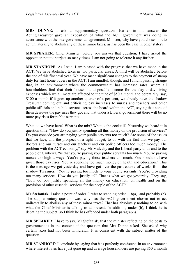**MRS DUNNE**: I ask a supplementary question. Earlier in his answer the Acting Treasurer gave an exposition of what the ACT government was doing in accordance with the intergovernmental agreement. Minister, why have you chosen not to act unilaterally to abolish any of these minor taxes, as has been the case in other states?

**MR SPEAKER**: Chief Minister, before you answer that question, I have asked the opposition not to interject so many times. I am not going to tolerate it any further.

**MR STANHOPE**: As I said, I am pleased with the progress that we have made in the ACT. We have abolished taxes in two particular areas. A third will be abolished before the end of this financial year. We have made significant changes to the payment of stamp duty for first home buyers in the ACT. I am mindful, though, and I find it passing strange that, in an environment where the commonwealth has increased rates, where all householders find that their household disposable income for the day-to-day living expenses which we all meet are affected to the tune of \$50 a month and potentially, say, \$100 a month if it goes up another quarter of a per cent, we already have the shadow Treasurer coming out and criticising pay increases to nurses and teachers and other public officials and public servants across the board within the ACT, saying that none of them deserves the pay rises they got and that under a Liberal government there will be no more pay rises for public servants.

What do we have here? What is the mix? What is the cocktail? Yesterday we heard it in question time: "How do you justify spending all this money on the provision of services? Do you concede you are paying your public servants too much? Are some of the issues that we face, and the prospect of a tight budget, to do with the fact that we pay our doctors and our nurses and our teachers and our police officers too much money? The problem with the ACT economy," say Mr Mulcahy and the Liberal party to us and to the people of Canberra, "is that you're paying your public servants too much. You're paying nurses too high a wage. You're paying those teachers too much. You shouldn't have given those pay rises. You're spending too much money on health and education." This is the message we got yesterday and have got over the past couple of weeks from the shadow Treasurer, "You're paying too much to your public servants. You're providing too many services. How do you justify it?" That is what we got yesterday. They say, "How do you justify spending all this money on education, on health and on the provision of other essential services for the people of the ACT?"

**Mr Stefaniak**: I raise a point of order. I refer to standing order 118(a), and probably (b). The supplementary question was: why has the ACT government chosen not to act unilaterally to abolish any of these minor taxes? That has absolutely nothing to do with what the Chief Minister is talking to at present. In addition, under (b), I think he is debating the subject, so I think he has offended under both paragraphs.

**MR SPEAKER**: I have to say, Mr Stefaniak, that the minister reflecting on the costs to government is in the context of the question that Mrs Dunne asked. She asked why certain taxes had not been withdrawn. It is consistent with the subject matter of the question.

**MR STANHOPE**: I conclude by saying that it is perfectly consistent. In an environment where interest rates have just gone up and average householders are paying \$50 a month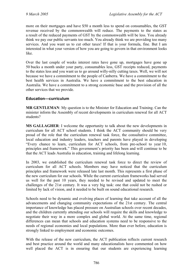more on their mortgages and have \$50 a month less to spend on consumables, the GST revenue received by the commonwealth will reduce. The payments to the states as a result of the reduced payments of GST by the commonwealth will be less. You already think we pay our public servants too much. You already think we are providing too many services. And you want us to cut other taxes! If that is your formula, fine. But I am interested in what your version of how you are going to govern in that environment looks like.

Over the last couple of weeks interest rates have gone up, mortgages have gone up 50 bucks a month under your party, consumables less, GST receipts reduced, payments to the states less and you want us to go around willy-nilly cutting taxes. Well, we will not because we have a commitment to the people of Canberra. We have a commitment to the best health services in Australia. We have a commitment to the best education in Australia. We have a commitment to a strong economic base and the provision of all the other services that we provide.

#### **Education—curriculum**

**MR GENTLEMAN**: My question is to the Minister for Education and Training. Can the minister inform the Assembly of recent developments in curriculum renewal for all ACT students?

**MS GALLAGHER**: I welcome the opportunity to talk about the new developments in curriculum for all ACT school students. I think the ACT community should be very proud of the role that the curriculum renewal task force, the consultative committee, local education and industry leaders, teachers and parents have played in developing "Every chance to learn, curriculum for ACT schools, from pre-school to year 10, principles and framework." This government's priority has been and will continue to be that the ACT leads Australia in education, training and lifelong learning.

In 2003, we established the curriculum renewal task force to direct the review of curriculum for all ACT schools. Members may have noticed that the curriculum principles and framework were released late last month. This represents a first phase of the new curriculum for our schools. While the current curriculum frameworks had served us well for the past 10 years, they needed to be revised and updated to meet the challenges of the 21st century. It was a very big task: one that could not be rushed or limited by lack of vision, and it needed to be built on sound educational research.

Schools need to be dynamic and evolving places of learning that take account of all the advancements and changing community expectations of the 21st century. The central importance of knowledge has placed pressure on Australian schools over recent decades, and the children currently attending our schools will require the skills and knowledge to negotiate their way in a more complex and global world. At the same time, regional differences can mean that schools and education systems need to be responsive to the needs of regional economies and local populations. More than ever before, education is strongly linked to employment and economic outcomes.

With the release of the new curriculum, the ACT publication reflects current research and best practice around the world and many educationalists have commented on how well placed the ACT is in ensuring that our students are experiencing learning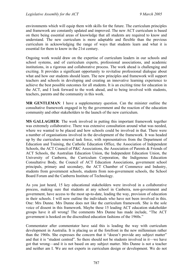environments which will equip them with skills for the future. The curriculum principles and framework are constantly updated and improved. The new ACT curriculum is based on there being essential areas of knowledge that all students are required to know and understand. The new curriculum is more adaptable and flexible than the previous curriculum in acknowledging the range of ways that students learn and what it is essential for them to know in the 21st century.

Ongoing work would draw on the expertise of curriculum leaders in our schools and school systems, and of curriculum experts, professional associations, and academic institutions, in a rigorous and collaborative process. The work ahead is challenging and exciting. It provides a significant opportunity to revitalise professional dialogue about what and how our students should learn. The new principles and framework will support teachers and schools in developing and creating an innovative learning experience to achieve the best possible outcomes for all students. It is an exciting time for education in the ACT, and I look forward to the work ahead, and to being involved with students, teachers, parents and the community in this work.

**MR GENTLEMAN**: I have a supplementary question. Can the minister outline the consultative framework engaged in by the government and the reaction of the education community and other stakeholders to the launch of the new curriculum.

**MS GALLAGHER**: The work involved in putting this important framework together was extremely collaborative. There was extensive consultation around what was needed, where we wanted to be placed and how schools could be involved in that. There were a number of organisations involved in the development of the framework. It was headed up by the curriculum renewal task force, with representatives from the Department of Education and Training, the Catholic Education Office, the Association of Independent Schools, the ACT Council of P&C Associations, the Association of Parents & Friends of ACT Schools, the Australian Education Union, the Independent Education Union, the University of Canberra, the Curriculum Corporation, the Indigenous Education Consultative Body, the Council of ACT Education Associations, government school principals, primary and secondary, the ACT Chamber of Commerce and Industry, students from government schools, students from non-government schools, the School Board Forum and the Canberra Institute of Technology.

As you just heard, 15 key educational stakeholders were involved in a collaborative process, making sure that students at any school in Canberra, non-government and government, have access to the most up-to-date, leading the way, provision of education in their schools. I will now outline the individuals who have not been involved in this. One: Mrs Dunne. Mrs Dunne does not like the curriculum framework. She is the sole voice of dissent in this framework. Maybe these 15 leading ACT education stakeholder groups have it all wrong! The comments Mrs Dunne has made include, "The ACT government is hooked on the discredited education fashions of the 1960s."

Commentator after commentator have said this is leading the way with curriculum development in Australia. It is placing us at the forefront in the new millennium rather than the 1960s. She expresses the concern that it "doesn't provide any subject matter" and that it is "student centred". So there should not be students involved in it—we have got that wrong—and it is not based on any subject matter. Mrs Dunne is not a teacher and neither am I. We are not experts in curriculum design or development. We do not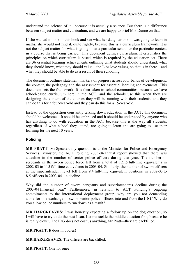understand the science of it—because it is actually a science. But there is a difference between subject matter and curriculum, and we are happy to brief Mrs Dunne on that.

If she wanted to look in this book and see what her daughter or son was going to learn in maths, she would not find it, quite rightly, because this is a curriculum framework. It is not the subject matter for what is going on at a particular school or the particular content in a course that is being carried. This document defines curriculum. It establishes the principles on which curriculum is based, which is required by the education act. There are 36 essential learning achievements outlining what students should understand, what they should know, what they should value—the Libs love values, so that is in there—and what they should be able to do as a result of their schooling.

The document outlines statement markers of progress across four bands of development, the content, the pedagogy and the assessment for essential learning achievements. This document sets the framework. It is then taken to school communities, because we have school-based curriculum here in the ACT, and the schools use this when they are designing the content of the courses they will be running with their students, and they can do this for a four-year-old and they can do this for a 15-year-old.

Instead of the opposition constantly talking down education in the ACT, this document should be welcomed. It should be embraced and it should be understood by anyone who has anything to do with education in the ACT because this is the way all students, regardless of what school they attend, are going to learn and are going to use their learning for the next 10 years.

## **Policing**

**MR PRATT**: Mr Speaker, my question is to the Minister for Police and Emergency Services. Minister, the ACT Policing 2003-04 annual report showed that there was a decline in the number of senior police officers during that year. The number of sergeants in the sworn police force fell from a total of 121.5 full-time equivalents in 2002-03 to 115 full-time equivalents in 2003-04. Similarly, the number of sworn officers at the superintendent level fell from 9.4 full-time equivalent positions in 2002-03 to 8.5 officers in 2003-04—a decline.

Why did the number of sworn sergeants and superintendents decline during the 2003-04 financial year? Furthermore, in relation to ACT Policing's ongoing commitments to the international deployment group, why are you not demanding a one-for-one exchange of sworn senior police officers into and from the IDG? Why do you allow police numbers to run down as a result?

**MR HARGREAVES**: I was honestly expecting a follow up on the dog question, so I will have to try to do the best I can. Let me tackle the middle question first, because he is really clever. The IDG does not cost us anything, Mr Pratt—they are backfilled.

**MR PRATT**: It does in bodies!

**MR HARGREAVES**: The officers are backfilled.

**MR PRATT**: One for one?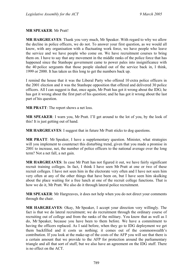#### **MR SPEAKER**: Mr Pratt!

**MR HARGREAVES**: Thank you very much, Mr Speaker. With regard to why we allow the decline in police officers, we do not. To answer your first question, as we would all know, with any organisation with a fluctuating work force, we have people who leave the service and we have people who come on. We have recruitment courses to bring them on. I have to say that any movement in the middle ranks of the police force that has happened since the Stanhope government came to power pales into insignificance with the 40 police sergeants that those people slashed out of the service back in, I think, 1999 or 2000. It has taken us this long to get the numbers back up.

I remind the house that it was the Liberal Party who offered 10 extra police officers in the 2001 election and it was the Stanhope opposition that offered and delivered 30 police officers. All I can suggest is that, once again, Mr Pratt has got it wrong about the IDG; he has got it wrong about the first part of his question; and he has got it wrong about the last part of his question.

**MR PRATT**: The report shows a net loss.

**MR SPEAKER**: I warn you, Mr Pratt. I'll get around to the lot of you, by the look of this! It is just getting out of hand.

**MR HARGREAVES**: I suggest that in future Mr Pratt sticks to dog questions.

**MR PRATT**: Mr Speaker, I have a supplementary question. Minister, what strategies will you implement to counteract this disturbing trend, given that you made a promise in 2001 to increase, net, the number of police officers to the national average over the long term? Not a net fall, a net gain.

**MR HARGREAVES**: In case Mr Pratt has not figured it out, we have fairly significant recruit training colleges. In fact, I think I have seen Mr Pratt at one or two of these recruit colleges. I have not seen him in the electorate very often and I have not seen him very often at any of the other things that have been on, but I have seen him skulking about the place waiting for a free lunch at one of the recruit college functions. That is how we do it, Mr Pratt. We also do it through lateral police recruitment.

**MR SPEAKER**: Mr Hargreaves, it does not help when you do not direct your comments through the chair.

**MR HARGREAVES**: Okay, Mr Speaker, I accept your direction very willingly. The fact is that we do lateral recruitment; we do recruitment through the ordinary course of recruiting out of college and from the ranks of the military. You know that as well as I do, Mr Speaker, because you have been to them before. We have a commitment to having the officers replaced. As I said before, when they go to IDG deployment we get them backfilled and it costs us nothing; it comes out of the commonwealth's contribution. If you look at the make-up of the costs of the AFP you will see that there is a certain amount that we provide to the AFP for protection around the parliamentary triangle and all that sort of stuff, but we also have an agreement on the IDG stuff. There is no effect on the ACT.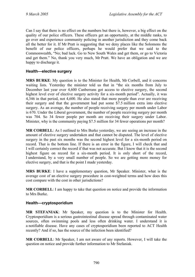Can I say that there is no effect on the numbers but there is, however, a big effect on the quality of our police officers. These officers get an opportunity, at the middle ranks, to go over and experience community policing in another jurisdiction and they come back all the better for it. If Mr Pratt is suggesting that we deny places like the Solomons the benefit of our police officers, perhaps he would prefer that we said to the Commonwealth, "No; bad luck. Go to New South Wales and get them, or go to Victoria and get them." No, thank you very much, Mr Pratt. We have an obligation and we are happy to discharge it.

## **Health—elective surgery**

**MRS BURKE**: My question is to the Minister for Health, Mr Corbell, and it concerns waiting lists. Yesterday the minister told us that in "the six months from July to December last year over 4,600 Canberrans got access to elective surgery, the second highest level ever of elective surgery activity for a six-month period". Actually, it was 4,346 in that period, not 4,600. He also stated that more people than ever are receiving their surgery and that the government had put some \$7.5 million extra into elective surgery. As an average, the number of people receiving surgery per month under Labor is 670. Under the Liberal government, the number of people receiving surgery per month was 704. So 34 fewer people per month are receiving their surgery under Labor. Minister, why is the community paying \$7.5 million for 34 fewer operations per month?

**MR CORBELL**: As I outlined to Mrs Burke yesterday, we are seeing an increase in the amount of elective surgery undertaken and that cannot be disputed. The level of elective surgery in the past six months was the second highest level for a six-month period on record. That is the bottom line. If there is an error in the figure, I will check that and I will certainly correct the record if that was not accurate. But I know that it is the second highest figure on record for a six-month period. It is only short of the record, I understand, by a very small number of people. So we are getting more money for elective surgery, and that is the point I made yesterday.

**MRS BURKE**: I have a supplementary question, Mr Speaker. Minister, what is the average cost of an elective surgery procedure in cost-weighted terms and how does this cost compare with the cost in other jurisdictions?

**MR CORBELL**: I am happy to take that question on notice and provide the information to Mrs Burke.

## **Health—cryptosporidium**

**MR STEFANIAK**: Mr Speaker, my question is to the Minister for Health. Cryptosporidium is a serious gastrointestinal disease spread through contaminated water sources, often swimming pools and less often drinking water. I understand it is a notifiable disease. Have any cases of cryptosporidium been reported to ACT Health recently? And if so, has the source of the infection been identified?

**MR CORBELL**: Mr Speaker, I am not aware of any reports. However, I will take the question on notice and provide further information to Mr Stefaniak.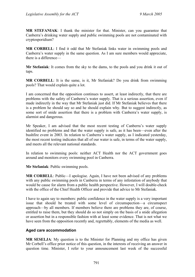**MR STEFANIAK**: I thank the minister for that. Minister, can you guarantee that Canberra's drinking water supply and public swimming pools are not contaminated with cryptosporidium?

**MR CORBELL**: I find it odd that Mr Stefaniak links water in swimming pools and Canberra's water supply in the same question. As I am sure members would appreciate, there is a difference—

**Mr Stefaniak**: It comes from the sky to the dams, to the pools and you drink it out of taps.

**MR CORBELL**: It is the same, is it, Mr Stefaniak? Do you drink from swimming pools? That would explain quite a lot.

I am concerned that the opposition continues to assert, at least indirectly, that there are problems with the safety of Canberra's water supply. That is a serious assertion, even if made indirectly in the way that Mr Stefaniak just did. If Mr Stefaniak believes that there is a problem he should say so and he should explain why. But to suggest indirectly, as some sort of snide assertion that there is a problem with Canberra's water supply, is alarmist and dangerous.

Mr Speaker, I am advised that the most recent testing of Canberra's water supply identified no problems and that the water supply is safe, as it has been—even after the bushfire event in 2003. In relation to Canberra's water supply, as I indicated yesterday, the most recent testing indicates that all of our water is safe, in terms of the water supply, and meets all the relevant national standards.

In relation to swimming pools: neither ACT Health nor the ACT government goes around and monitors every swimming pool in Canberra.

**Mr Stefaniak**: Public swimming pools.

**MR CORBELL**: Public—I apologise. Again, I have not been advised of any problems with any public swimming pools in Canberra in terms of any infestation of anybody that would be cause for alarm from a public health perspective. However, I will double-check with the office of the Chief Health Officer and provide that advice to Mr Stefaniak.

I have to again say to members: public confidence in the water supply is a very important issue that should be treated with some level of circumspection—a circumspect approach—by all members. If members believe there are problems they are, of course, entitled to raise them, but they should do so not simply on the basis of a snide allegation or assertion but in a responsible fashion with at least some evidence. That is not what we have seen from the opposition recently and, regrettably, elements of the media as well.

## **Aged care accommodation**

**MR SESELJA**: My question is to the Minister for Planning and my office has given Mr Corbell's office prior notice of this question, in the interests of receiving an answer in question time. Minister, I refer to your announcement last week of the successful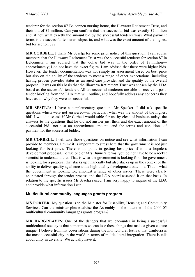tenderer for the section 87 Belconnen nursing home, the Illawarra Retirement Trust, and their bid of \$7 million. Can you confirm that the successful bid was exactly \$7 million and, if not, what exactly the amount bid by the successful tenderer was? What payment terms is the successful tenderer subject to, and what was the exact amount of the highest bid for section 87?

**MR CORBELL**: I thank Mr Seselja for some prior notice of this question. I can advise members that the Illawarra Retirement Trust was the successful tenderer for section 87 in Belconnen. I am advised that the dollar bid was in the order of \$7 million approximately; I do not have the exact figure. I am advised that there were higher bids. However, the tender documentation was not simply an assessment based on best price but also on the ability of the tenderer to meet a range of other expectations, including having proven provider status as an aged care provider and the quality of the overall proposal. It was on this basis that the Illawarra Retirement Trust was chosen by the LDA board as the successful tenderer. All unsuccessful tenderers are able to receive a posttender briefing from the LDA that will outline, and hopefully address any concerns they have as to, why they were unsuccessful.

**MR SESELJA**: I have a supplementary question, Mr Speaker. I did ask specific questions which were not answered—in particular, what was the amount of the highest bid? I would also ask if Mr Corbell would table for us, by close of business today, the answers to the questions that he did not answer just then, and the exact amount of the successful bid—not just an approximate amount—and the terms and conditions of payment for the successful bidder.

**MR CORBELL**: I will take those questions on notice and see what information I can provide to members. I think it is important to stress here that the government is not just looking for best price. There is no point in getting best price if it is a hopeless development proposal. To use one of Mrs Dunne's terms: you do not have to be a rocket scientist to understand that. That is what the government is looking for. The government is looking for a proposal that stacks up financially but also stacks up in the context of the ability to deliver quality aged care and a high-quality development outcome. That is what the government is looking for, amongst a range of other issues. These were clearly enunciated through the tender process and the LDA board assessed it on that basis. In relation to the specific issues Mr Seselja raised, I am very happy to inquire of the LDA and provide what information I can.

## **Multicultural community languages grants program**

**MS PORTER**: My question is to the Minister for Disability, Housing and Community Services. Can the minister please advise the Assembly of the outcome of the 2004-05 multicultural community languages grants program?

**MR HARGREAVES**: One of the dangers that we encounter in being a successful multicultural society is that sometimes we can lose those things that make a given culture unique. I believe from my observations during the multicultural festival that Canberra is the most successful city in the world in terms of multicultural integration. There is talk about unity in diversity. We actually have it.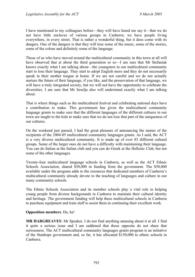I have mentioned to my colleagues before—they will have heard me say it—that we do not have little enclaves of various groups in Canberra; we have people living everywhere, in every street. That is rather a wonderful thing, but it does come with its dangers. One of the dangers is that they will lose some of the music, some of the stories, some of the colour and definitely some of the language.

Those of us who have moved around the multicultural community in this town at all will have observed that at about the third generation or so—I am sure that Mr Stefaniak knows exactly what I am talking about—the youngsters in our multicultural community start to lose their language. They start to adopt English more and they do not necessarily speak in their mother tongue at home. If we are not careful and we do not actually nurture the future of their language, if you like, and the preservation of that language, we will have a truly integrated society, but we will not have the opportunity to celebrate the diversities. I am sure that Mr Seselja also will understand exactly what I am talking about.

That is where things such as the multicultural festival and celebrating national days have a contribution to make. This government has given the multicultural community language grants to make sure that the different languages of the different cultures in our town are taught to the kids to make sure that we do not lose that part of the uniqueness of our cultures.

On the weekend just passed, I had the great pleasure of announcing the names of the recipients of the 2004-05 multicultural community languages grants. As I said, the ACT is a very diverse multicultural community. It is made up of over 85 different cultural groups. Some of the larger ones do not have a difficulty with maintaining their language. You can do Italian at the Italian club and you can do Greek at the Hellenic Club, but not some of the other languages.

Twenty-four multicultural language schools in Canberra, as well as the ACT Ethnic Schools Association, shared \$50,000 in funding from the government. The \$50,000 available under the program adds to the resources that dedicated members of Canberra's multicultural community already devote to the teaching of languages and culture in our many community schools.

The Ethnic Schools Association and its member schools play a vital role in helping young people from diverse backgrounds in Canberra to maintain their cultural identity and heritage. The government funding will help these multicultural schools in Canberra to purchase equipment and train staff to assist them in continuing their excellent work.

#### **Opposition members**: Ha, ha!

**MR HARGREAVES**: Mr Speaker, I do not find anything amusing about it at all. I find it quite a serious issue and I am saddened that those opposite do not share that seriousness. The ACT multicultural community languages grants program is an initiative of the Stanhope government and, so far, it has allocated \$150,000 to ethnic schools in Canberra.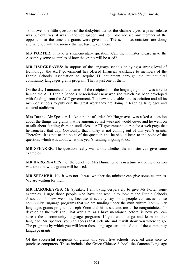To answer the little question of the dickybird across the chamber: yes, a press release was put out; yes, it was in the newspaper; and no, I did not see any member of the opposition at the time the grants were given out. The school associations are doing a terrific job with the money that we have given them.

**MS PORTER**: I have a supplementary question. Can the minister please give the Assembly some examples of how the grants will be used?

**MR HARGREAVES**: In support of the language schools enjoying a strong level of technology, the ACT government has offered financial assistance to members of the Ethnic Schools Association to acquire IT equipment through the multicultural community languages grants program. That is just one of them.

On the day I announced the names of the recipients of the language grants I was able to launch the ACT Ethnic Schools Association's new web site, which has been developed with funding from the ACT government. The new site enables the association and all its member schools to publicise the great work they are doing in teaching languages and cultural traditions.

**Mrs Dunne**: Mr Speaker, I take a point of order. Mr Hargreaves was asked a question about the things the grants that he announced last weekend would cover and he went on to talk about funding from an undisclosed ACT government source for a web page that he launched that day. Obviously, that money is not coming out of this year's grants. Therefore, it is not to the point of the question and he should keep to the point of the question, which was about what this year's funding is going to do.

**MR SPEAKER**: The question really was about whether the minister can give some examples.

**MR HARGREAVES**: For the benefit of Mrs Dunne, who is in a time warp, the question was about how the grants will be used.

**MR SPEAKER**: No, it was not. It was whether the minister can give some examples. We are waiting for them.

**MR HARGREAVES**: Mr Speaker, I am trying desperately to give Ms Porter some examples. I urge those people who have not seen it to look at the Ethnic Schools Association's new web site, because it actually says how people can access those community language programs that we are funding under the multicultural community languages grants program. Joseph Yoon and his associates are to be congratulated for developing the web site. That web site, as I have mentioned before, is how you can access these community language programs. If you want to go and learn another language, Mr Speaker, you can access that web site and it will show you where to go. The programs by which you will learn those languages are funded out of the community language grants.

Of the successful recipients of grants this year, five schools received assistance to purchase computers. These included the Grace Chinese School, the Samoan Language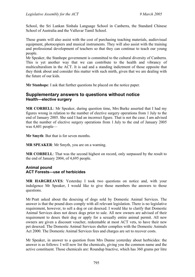School, the Sri Lankan Sinhala Language School in Canberra, the Standard Chinese School of Australia and the Valluvar Tamil School.

These grants will also assist with the cost of purchasing teaching materials, audiovisual equipment, photocopiers and musical instruments. They will also assist with the training and professional development of teachers so that they can continue to teach our young people.

Mr Speaker, the Stanhope government is committed to the cultural diversity of Canberra. This is yet another way that we can contribute to the health and vibrancy of multiculturalism in the ACT. It is sad and a standing indictment of those opposite that they think about and consider this matter with such mirth, given that we are dealing with the future of our kids.

**Mr Stanhope**: I ask that further questions be placed on the notice paper.

## **Supplementary answers to questions without notice Health—elective surgery**

**MR CORBELL**: Mr Speaker, during question time, Mrs Burke asserted that I had my figures wrong in relation to the number of elective surgery operations from 1 July to the end of January 2005. She said I had an incorrect figure. That is not the case. I am advised that the number of elective surgery operations from 1 July to the end of January 2005 was 4,601 people—

**Mr Smyth**: But that is for seven months.

**MR SPEAKER**: Mr Smyth, you are on a warning.

**MR CORBELL**: That was the second highest on record, only surpassed by the result to the end of January 2004, of 4,695 people.

#### **Animal pound ACT Forests—use of herbicides**

**MR HARGREAVES**: Yesterday I took two questions on notice and, with your indulgence Mr Speaker, I would like to give those members the answers to those questions.

Mr Pratt asked about the desexing of dogs sold by Domestic Animal Services. The answer is that the pound does comply with all relevant legislation. There is no legislative requirement, however, to sell a dog or cat desexed. I would like to clarify that Domestic Animal Services does not desex dogs prior to sale. All new owners are advised of their requirement to desex their dog or apply for a sexually entire animal permit. All new owners are given a discount voucher, redeemable at most ACT vets, to have their new pet desexed. The Domestic Animal Services shelter complies with the Domestic Animals Act 2000. The Domestic Animal Services fees and charges are set to recover costs.

Mr Speaker, in answer to a question from Mrs Dunne yesterday about herbicides: the answer is as follows: I will now list the chemicals, giving you the common name and the active constituent. Those chemicals are: Roundup biactive, which has 360 grams per litre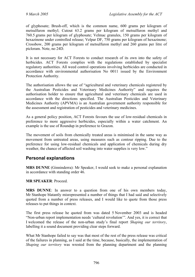of glyphosate; Brush-off, which is the common name, 600 grams per kilogram of metsulfuron methyl; Cutout 63.2 grams per kilogram of metsulfuron methyl and 760.5 grams per kilogram of glyphosate; Velmac granules, 150 grams per kilogram of hexazinone under controlled release; Velpar DF, 750 grams per kilogram of hexazinone; Crossbow, 200 grams per kilogram of metsulfuron methyl and 260 grams per litre of picloram. Note, no 24D.

It is not necessary for ACT Forests to conduct research of its own into the safety of herbicides. ACT Forests complies with the regulations established by specialist regulatory authorities. All weed control operations involving herbicides are conducted in accordance with environmental authorisation No 0011 issued by the Environment Protection Authority.

The authorisation allows the use of "agricultural and veterinary chemicals registered by the Australian Pesticides and Veterinary Medicines Authority" and requires the authorisation holder to ensure that agricultural and veterinary chemicals are used in accordance with the directions specified. The Australian Pesticides and Veterinary Medicines Authority (APVMA) is an Australian government authority responsible for the assessment and registration of pesticides and veterinary medicines.

As a general policy position, ACT Forests favours the use of low-residual chemicals in preference to more aggressive herbicides, especially within a water catchment. An example is the use of Roundup in preference to Grazon.

The movement of soils from chemically treated areas is minimised in the same way as movement from untreated areas, using measures such as contour ripping. Due to the preference for using low-residual chemicals and application of chemicals during dry weather, the chance of affected soil washing into water supplies is very low."

# **Personal explanations**

**MRS DUNNE** (Ginninderra): Mr Speaker, I would seek to make a personal explanation in accordance with standing order 46.

## **MR SPEAKER**: Proceed.

**MRS DUNNE**: In answer to a question from one of his own members today, Mr Stanhope blatantly misrepresented a number of things that I had said and selectively quoted from a number of press releases, and I would like to quote from those press releases to put things in context.

The first press release he quoted from was dated 5 November 2003 and is headed "Non-urban report implementation needs 'cultural revolution'". And yes, it is correct that I welcomed the release of the non-urban study's final report *Shaping our territory*, labelling it a sound document providing clear steps forward.

What Mr Stanhope failed to say was that most of the rest of the press release was critical of the failures in planning, as I said at the time, because, basically, the implementation of *Shaping our territory* was wrested from the planning department and the planning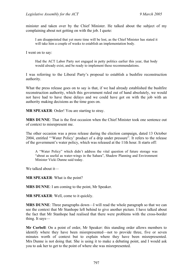minister and taken over by the Chief Minister. He talked about the subject of my complaining about not getting on with the job. I quote:

I am disappointed that yet more time will be lost, as the Chief Minister has stated it will take him a couple of weeks to establish an implementation body.

I went on to say:

Had the ACT Labor Party not engaged in petty politics earlier this year, that body would already exist, and be ready to implement these recommendations.

I was referring to the Liberal Party's proposal to establish a bushfire reconstruction authority.

What the press release goes on to say is that, if we had already established the bushfire reconstruction authority, which this government ruled out of hand absolutely, we would not have had to have these delays and we could have got on with the job with an authority making decisions as the time goes on.

**MR SPEAKER**: Order! You are starting to stray.

**MRS DUNNE**: That is the first occasion when the Chief Minister took one sentence out of context to misrepresent me.

The other occasion was a press release during the election campaign, dated 13 October 2004, entitled "'Water Policy' product of a drip under pressure". It refers to the release of the government's water policy, which was released at the 11th hour. It starts off:

A "Water Policy" which didn't address the vital question of future storage was "about as useful as water-wings in the Sahara", Shadow Planning and Environment Minister Vicki Dunne said today.

We talked about it—

**MR SPEAKER**: What is the point?

**MRS DUNNE**: I am coming to the point, Mr Speaker.

**MR SPEAKER**: Well, come to it quickly.

**MRS DUNNE**: Three paragraphs down—I will read the whole paragraph so that we can see the context that Mr Stanhope left behind to give another picture. I have talked about the fact that Mr Stanhope had realised that there were problems with the cross-border thing. It says—

**Mr Corbell**: On a point of order, Mr Speaker: this standing order allows members to identify where they have been misrepresented—not to provide three, five or seven minutes worth of context but to explain where they have been misrepresented. Mrs Dunne is not doing that. She is using it to make a debating point, and I would ask you to ask her to get to the point of where she was misrepresented.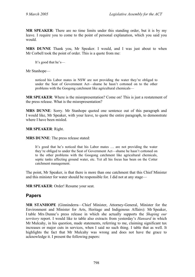**MR SPEAKER**: There are no time limits under this standing order, but it is by my leave. I require you to come to the point of personal explanation, which you said you would.

**MRS DUNNE** Thank you, Mr Speaker. I would, and I was just about to when Mr Corbell took the point of order. This is a quote from me:

It's good that he's—

Mr Stanhope—

noticed his Labor mates in NSW are not providing the water they're obliged to under the Seat of Government Act—shame he hasn't cottoned on to the other problems with the Googong catchment like agricultural chemicals—

**MR SPEAKER**: Where is the misrepresentation? Come on! This is just a restatement of the press release. What is the misrepresentation?

**MRS DUNNE**: Sorry. Mr Stanhope quoted one sentence out of this paragraph and I would like, Mr Speaker, with your leave, to quote the entire paragraph, to demonstrate where I have been misled.

**MR SPEAKER**: Right.

**MRS DUNNE**: The press release stated:

It's good that he's noticed that his Labor mates … are not providing the water they're obliged to under the Seat of Government Act—shame he hasn't cottoned on to the other problems with the Googong catchment like agricultural chemicals, septic tanks affecting ground water, etc. Yet all his focus has been on the Cotter catchment management.

The point, Mr Speaker, is that there is more than one catchment that this Chief Minister and this minister for water should be responsible for. I did not at any stage—

**MR SPEAKER**: Order! Resume your seat.

# **Papers**

**MR STANHOPE** (Ginninderra—Chief Minister, Attorney-General, Minister for the Environment and Minister for Arts, Heritage and Indigenous Affairs): Mr Speaker, I table Mrs Dunne's press release in which she actually supports the *Shaping our territory* report. I would like to table also extracts from yesterday's *Hansard* in which Mr Mulcahy, in his question, made statements, referring to me, claiming significant tax increases or major cuts in services, when I said no such thing. I table that as well. It highlights the fact that Mr Mulcahy was wrong and does not have the grace to acknowledge it. I present the following papers: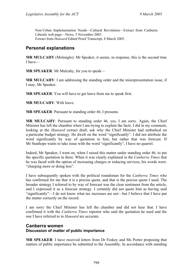Non-Urban Implementation Needs—Cultural Revolution—Extract from Canberra Liberals web page—News, 5 November 2003. Extract from *Hansard* Edited Proof Transcript, 8 March 2005.

# **Personal explanations**

**MR MULCAHY** (Molonglo): Mr Speaker, it seems, in response, this is the second time I have—

**MR SPEAKER**: Mr Mulcahy, for you to speak—

**MR MULCAHY**: I am addressing the standing order and the misrepresentation issue, if I may, Mr Speaker.

**MR SPEAKER**: You will have to get leave from me to speak first.

**MR MULCAHY**: With leave.

**MR SPEAKER**: Pursuant to standing order 46, I presume.

**MR MULCAHY**: Pursuant to standing order 46, yes, I am sorry. Again, the Chief Minister has left the chamber when I am trying to explain the facts. I did in my comment, looking at the *Hansard* extract draft, ask why the Chief Minister had embarked on a particular budget strategy. He dwelt on the word "significantly". I did not attribute the word significantly by way of quotation to him, but rather that was forecast. If Mr Stanhope wants to take issue with the word "significantly", I have no quarrel.

Indeed, Mr Speaker, I went on, when I raised this matter under standing order 46, to put the specific quotation in there. When it was clearly explained in the *Canberra Times* that he was faced with the option of increasing charges or reducing services, his words were: "charging more or doing less".

I have subsequently spoken with the political roundsman for the *Canberra Times* who has confirmed for me that it is a precise quote, and that is the precise quote I used. The broader strategy I referred to by way of forecast was the clear sentiment from the article, and I expressed it as a forecast strategy. I certainly did not quote him as having said "significantly"—I do not know what tax increases are not—but I believe that I have put the matter correctly on the record.

I am sorry the Chief Minister has left the chamber and did not hear that. I have confirmed it with the *Canberra Times* reporter who said the quotation he used and the one I have referred to in *Hansard* are accurate.

## **Canberra women Discussion of matter of public importance**

**MR SPEAKER**: I have received letters from Dr Foskey and Ms Porter proposing that matters of public importance be submitted to the Assembly. In accordance with standing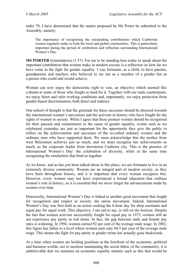order 79, I have determined that the matter proposed by Ms Porter be submitted to the Assembly, namely:

The importance of recognising the outstanding contributions which Canberran women regularly make to both the local and global communities. This is particularly important during the period of celebration and reflection surrounding International Women's Day.

**MS PORTER** (Ginninderra) (3.57): For me to be standing here today to speak about the important contribution that women make in modern society is a reflection on how far we have come in the fight for gender equality. I was fortunate, as a child, to have parents, grandparents and teachers who believed in me not as a member of a gender but as a person who could and would achieve.

Women can now enjoy the democratic right to vote, an objective which seemed like a dream to some of those who fought so hard for it. Together with our male counterparts, we enjoy fairer and safer working conditions and, importantly, we enjoy protection from gender-based discrimination, both direct and indirect.

One school of thought is that the gratitude for these successes should be directed towards the international women's movement and the activists in history who have fought for the rights of women in society. While I agree that these pioneer women should be recognised for their passion and commitment to the cause of gender equality, events such as we celebrated yesterday are just as important for the opportunity they give the public to reflect on the achievements and successes of the so-called ordinary women and the ordinary men who have supported them. We must acknowledge that the mother from west Belconnen achieves just as much, and we must recognise her achievements as much, as the corporate leader from downtown Canberra city. This is the premise of International Women's Day: the celebration of diversity, while at the same time recognising the similarities that bind us together.

As we know, and as has just been talked about in this place, we are fortunate to live in an extremely diverse community. Women are an integral part of modern society, as they have been throughout history, and it is important that every woman recognise this. However, every woman may not have experienced a formal education that outlines women's role in history, so it is essential that we never forget the advancements made by women over time.

Historically, International Women's Day is linked to another great movement that fought for recognition and respect in society: the union movement. Indeed, International Women's Day was first held as an action seeking the 8-hour day for shop assistants and equal pay for equal work. This objective, I am sad to say, is still on the horizon. Despite the fact that women activists successfully fought for equal pay in 1972, women still do not experience pay parity in real terms. In fact, the gap between male and female pay rates is widening. In 1994, women earned 92 per cent of the average male wage. In 2002, this figure has fallen to a level where women earn only 84.5 per cent of the average male wage. This means the fight for pay parity in gender terms has actually gone backwards.

At a time when women are holding positions at the forefront of the economic, political and business worlds, not to mention maintaining the social fabric of the community, it is unbelievable that we maintain an economic equality statistic such as this that would be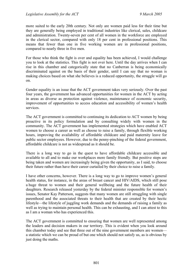more suited to the early 20th century. Not only are women paid less for their time but they are generally being employed in traditional industries like clerical, sales, childcare and administration. Twenty-seven per cent of all women in the workforce are employed in the clerical sector, compared with only 18 per cent in professional positions. This means that fewer than one in five working women are in professional positions, compared to nearly three in five men.

For those who think the fight is over and equality has been achieved, I would challenge you to look at the statistics. This fight is not over here. Until the day arrives when I can rise in this chamber and categorically state that no Canberran is being economically discriminated against on the basis of their gender, until I can say that no woman is making choices based on what she believes is a reduced opportunity, the struggle will go on.

Gender equality is an issue that the ACT government takes very seriously. Over the past four years, the government has advanced opportunities for women in the ACT by acting in areas as diverse as protection against violence, maintenance of economic security, improvement of opportunities to access education and accessibility of women's health services.

The ACT government is committed to continuing its dedication to ACT women by being proactive in its policy formulation and by consulting widely with women in the community. The ACT government has implemented strategies which have enabled ACT women to choose a career as well as choose to raise a family, through flexible working hours, improving the availability of affordable childcare and paid maternity leave for public sector employees. However, due to the penny-pinching of the federal government, affordable childcare is not as widespread as it should be.

There is a long way to go in the quest to have affordable childcare accessible and available to all and to make our workplaces more family friendly. But positive steps are being taken and women are increasingly being given the opportunity, as I said, to choose their future rather than have their career curtailed by their choice to raise a family.

I have other concerns, however. There is a long way to go to improve women's general health status, for instance, in the areas of breast cancer and HIV/AIDS, which still pose a huge threat to women and their general wellbeing and the future health of their daughters. Research released yesterday by the federal minister responsible for women's issues, Senator Kay Patterson, suggests that many women are still struggling with single parenthood and the associated threats to their health that are created by their hectic lifestyle—the lifestyle of juggling work demands and the demands of raising a family as well as trying to maintain personal health. This can be exhausting, and I can attest to this as I am a woman who has experienced this.

The ACT government is committed to ensuring that women are well represented among the leaders and decision makers in our territory. This is evident when you look around this chamber today and see that three out of the nine government members are women a statistic which we can be proud of but one which should not satisfy us, as is obvious by just doing the maths.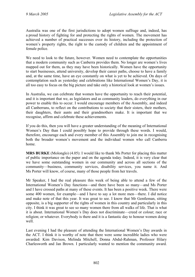Australia was one of the first jurisdictions to adopt women suffrage and, indeed, has a proud history of fighting for and protecting the rights of women. The movement has achieved a number of practical successes over its history, including the protection of women's property rights, the right to the custody of children and the appointment of female police.

We need to look to the future, however. Women need to contemplate the opportunities that a modern community such as Canberra provides them. No longer are women's lives mapped out for them, as they may have been historically. Women have the opportunity to start businesses, attend university, develop their career paths, choose to have a family and, at the same time, have an eye constantly on what is yet to be achieved. On days of contemplation such as yesterday and celebrations like International Women's Day, it is all too easy to focus on the big picture and take only a historical look at women's issues.

In Australia, we can celebrate that women have the opportunity to reach their potential, and it is important that we, as legislators and as community leaders, do everything in our power to enable this to occur. I would encourage members of the Assembly, and indeed all Canberrans, to reflect on the contributions to society that their sisters, their mothers, their daughters, their aunts and their grandmothers make. It is important that we recognise, affirm and celebrate these achievements.

If you do this, then you will have a greater understanding of the meaning of International Women's Day than I could possibly hope to provide through these words. I would, therefore, encourage each and every member of this Assembly to join me in recognising both the broader women's movement and the individual women who call Canberra home.

**MRS BURKE** (Molonglo) (4.05): I would like to thank Ms Porter for placing this matter of public importance on the paper and on the agenda today. Indeed, it is very clear that we have some outstanding women in our community and across all sections of the community—business, community services, disability services, you name it. And Ms Porter will know, of course, many of those people from her travels.

Mr Speaker, I had the real pleasure this week of being able to attend a few of the International Women's Day functions—and there have been so many—and Ms Porter and I have crossed paths at many of these events. It has been a positive week. There were some 400 women, for example—and I have to say a lot more men—there. I did notice and make note of that this year. It was great to see. I know that Mr Gentleman, sitting opposite, is a big supporter of the rights of women in this country and particularly in this city. I think it was great to see so many women there from all walks of life. That is what it is about. International Women's Day does not discriminate—creed or colour; race or religion; or whatever. Everybody is there and it is a fantastic day to honour women doing well.

Last evening I had the pleasure of attending the International Women's Day awards in the ACT. I think it is worthy of note that there were some incredible ladies who were awarded: Kim Davison, Melinda Mitchell, Donna Abdul-Rahman, Professor Hilary Charlesworth and Jan Brown. I particularly wanted to mention the community award.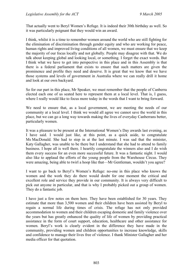That actually went to Beryl Women's Refuge. It is indeed their 30th birthday as well. So it was particularly poignant that they would win an award.

I think, whilst it is a time to remember women around the world who are still fighting for the elimination of discrimination through gender equity and who are working for peace, human rights and improved living conditions of all women, we must ensure that we keep the majority of our focus locally and not globally. People may disagree with that. We do talk about keeping global and looking local, or something. I forget the exact words. But I think what we have to get into perspective in this place and in this Assembly is that there is a federal parliament that exists to ensure that such matters are given the prominence and profile they need and deserve. It is great that we know that we have those systems and levels of government in Australia where we can really drill it home and look at our own backyard.

So for our part in this place, Mr Speaker, we must remember that the people of Canberra elected each one of us seated here to represent them at a local level. That is, I guess, where I really would like to focus more today in the words that I want to bring forward.

We need to ensure that, as a local government, we are meeting the needs of our community at a local level. I think we would all agree we cannot save the world in this place, but we can go a long way towards making the lives of everyday Canberrans better, particularly women.

It was a pleasure to be present at the International Women's Day awards last evening, as I have said. I would just like, at this point, as a quick aside, to congratulate Ms MacDonald. She had to step in at the last minute. I was sad that the minister, Katy Gallagher, was unable to be there but I understand that she had to attend to family business. I hope all is well there. I heartily congratulate the winners also and I do wish them every success for an even more successful future. It was a fantastic night. I would also like to applaud the efforts of the young people from the Warehouse Circus. They were amazing, being able to twirl a hoop like that—Mr Gentleman, wouldn't you agree?

I want to go back to Beryl's Women's Refuge: no-one in this place who knows the women and the work they do there would doubt for one moment the critical and excellent role and service they provide in our community. It is always very difficult to pick out anyone in particular, and that is why I probably picked out a group of women. They do a fantastic job.

I have just a few notes on them here. They have been established for 30 years. They estimate that more than 3,500 women and their children have been assisted by Beryl to regain a normal life during times of crisis. The refuge has not only provided accommodation to women and their children escaping domestic and family violence over the years but has greatly enhanced the quality of life of women by providing practical assistance in the form of court support, education, healthcare and other assistance for women. Beryl's work is clearly evident in the difference they have made in the community, providing women and children opportunities to increase knowledge, skills and confidence to manage their lives free of violence. I thank Minister Gallagher and her media officer for that quotation.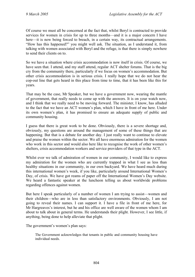Of course we must all be concerned at the fact that, whilst Beryl is contracted to provide services for women in crisis for up to three months—and it is a major concern I have here—it is now being forced to breach, in a certain way, its contractual arrangements. "How has this happened?" you might well ask. The situation, as I understand it, from talking with women associated with Beryl and the refuge, is that there is simply nowhere to send their clients on to.

So we have a situation where crisis accommodation is now itself in crisis. Of course, we have seen that. I attend, and my staff attend, regular ACT shelter forums. That is the big cry from the community there, particularly if we focus on women's accommodation. But other crisis accommodation is in serious crisis. I really hope that we do not hear the cop-out line that gets heard in this place from time to time, that it has been like this for years.

That may be the case, Mr Speaker, but we have a government now, wearing the mantle of government, that really needs to come up with the answers. It is on your watch now, and I think that we really need to be moving forward. The minister, I know, has alluded to the fact that we have an ACT women's plan, which I have in front of me here. Under its own women's plan, it has promised to ensure an adequate supply of public and community housing.

I guess that there is great work to be done. Obviously, there is a severe shortage and, obviously, my questions are around the management of some of these things that are happening. But that is a debate for another day. I just really want to continue to elevate and praise the women within the sector. We all have enormous admiration for the women who work in this sector and would also here like to recognise the work of other women's shelters, crisis accommodation workers and service providers of that type in the ACT.

Whilst ever we talk of admiration of women in our community, I would like to express my admiration for the women who are currently trapped in what I see as less than healthy situations in our community, in our own backyard. We have heard much during this international women's week, if you like, particularly around International Women's Day, of crisis. We have got reams of paper off the International Women's Day website. We heard a fantastic speaker at the luncheon telling us about worldwide problems regarding offences against women.

But here I speak particularly of a number of women I am trying to assist—women and their children—who are in less than satisfactory environments. Obviously, I am not going to reveal their names. I can support it. I have a file in front of me here, for Mr Hargreaves's interest, but he and his office are well aware of the women whom I am about to talk about in general terms. He understands their plight. However, I see little, if anything, being done to help alleviate that plight.

The government's women's plan says:

The Government acknowledges that tenants in public and community housing have individual needs.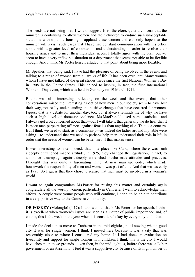The needs are not being met, I would suggest. It is, therefore, quite a concern that the minister is continuing to allow women and their children to endure such unacceptable situations within public housing. I applaud these women and can only hope that the minister will revisit such cases that I have had constant communication with his office about, with a greater level of compassion and understanding in order to resolve their housing issues and to meet their individual needs. I totally agree with the plan, but we seem to have a very inflexible situation or a department that seems not able to be flexible enough. And I think Ms Porter herself alluded to that point about being more flexible.

Mr Speaker, that being said, I have had the pleasure of being involved in the events and talking to a range of women from all walks of life. It has been excellent. Many women whom I have met talked of the great strides made since the first National Women's Day in 1908 in the United States. This helped to inspire, in fact, the first International Women's Day event, which was held in Germany on 19 March 1911.

But it was also interesting, reflecting on the week and the events, that other conversations raised the interesting aspect of how men in our society seem to have lost their way, not really understanding the positive changes that have occurred for women. I guess that is a debate for another day, too, but it always reminds me of why we have such a high level of domestic violence. Ms MacDonald used some statistics—and I always get a bit concerned about that—but I will take it that generally we do hear that it is more men perpetrating offences against females than anything else. That is a concern. But I think we need to start, as a community—as indeed the ladies around my table were asking—to understand that we need to perhaps help men understand their role in life in order that the needs of women can be better met, if that makes sense.

It was interesting to note, indeed, that in a place like Cuba, where there was such a deeply entrenched macho attitude, in 1975, they changed the legislation, in fact, to announce a campaign against deeply entrenched macho male attitudes and practices. I thought this was quite a fascinating thing. A new marriage code, which made housework the responsibility of men and women, was part of this. And that was as early as 1975. So I guess that they chose to realise that men must be involved in a woman's world.

I want to again congratulate Ms Porter for raising this matter and certainly again congratulate all the worthy women, particularly in Canberra. I want to acknowledge their efforts. A couple were young people who will continue, I hope, to be able to contribute in a very positive way to the Canberra community.

**DR FOSKEY** (Molonglo) (4.17): I, too, want to thank Ms Porter for her speech. I think it is excellent when women's issues are seen as a matter of public importance and, of course, this is the week in the year when it is considered okay by everybody to do that.

I made the decision to move to Canberra in the mid-eighties, not knowing what a good city it was for single women. I think I moved here because it was a city that was reasonably close to where I considered my home. If I had done an evaluation on liveability and support for single women with children, I think this is the city I would have chosen on those grounds—even then, in the mid-eighties, before there was a Labor government or an Assembly. I feel it was a supportive city because of its high number of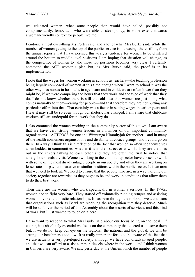well-educated women—what some people then would have called, possibly not complimentarily, femocrats—who were able to steer policy, to some extent, towards a woman-friendly context for people like me.

I endorse almost everything Ms Porter said, and a lot of what Mrs Burke said. While the number of women getting to the top of the public service is increasing, there still is, from the annual reports that I have perused this year, a tendency for women to be clustered around the bottom to middle level positions. I am hoping that situation will change, as the competence of women to take those top positions becomes very clear. I certainly commend the ACT women's plan but, as Mrs Burke said, the proof is in its implementation.

I note that the wages for women working in schools as teachers—the teaching profession being largely composed of women at this time, though when I went to school it was the other way—as nurses in hospitals, in aged care and in childcare are often lower than they might be, if we were comparing the hours that they work and the type of work that they do. I do not know whether there is still that old idea that women are just doing what comes naturally to them—caring for people—and that therefore they are not putting any particular effort into that. That certainly was a factor in setting wages in earlier years and I fear it may still be so even though our rhetoric has changed. I am aware that childcare workers still are underpaid for the work that they do.

I also commend the women working in the community sector of this town. I am aware that we have very strong women leaders in a number of our important community organisations—ACTCOSS for one and Winnunga Nimmityjah for another—and in many of the health consumers organisations and disability advocacy groups, and I could go on there. In a way, I think this is a reflection of the fact that women so often see themselves as embedded in communities, whether it is in their street or at work. They are the ones out in the streets talking to each other and they are often the first to notice that a neighbour needs a visit. Women working in the community sector have chosen to work with some of the most disadvantaged people in our society and often they are working on lesser rates of pay, comparative to similar positions within the public sector. It is an area that we need to look at. We need to ensure that the people who are, in a way, holding our society together are rewarded as they ought to be and work in conditions that allow them to do their best work.

Then there are the women who work specifically in women's services. In the 1970s, women had to fight very hard. They started off voluntarily running refuges and assisting women in violent domestic relationships. It has been through their blood, sweat and tears that organisations such as Beryl are receiving the recognition that they deserve. Much will be said over the period of this Assembly about these sorts of services, and this kind of work, but I just wanted to touch on it here.

I also want to respond to what Mrs Burke said about our focus being on the local. Of course, it is absolutely essential we focus on the community that elected us to serve them but, if we do not keep our eye on the regional, the national and the global, we will be setting our benchmarks too low. It is really important for us to be aware of the fact that we are actually a very privileged society, although we have our disadvantaged people, and that we can afford to assist communities elsewhere in the world, and I think women in Canberra are very aware. We saw yesterday at the Unifem lunch the number of people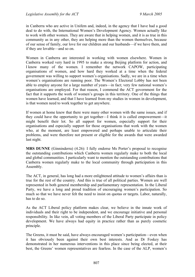in Canberra who are active in Unifem and, indeed, in the agency that I have had a good deal to do with, the International Women's Development Agency. Women actually like to work with other women. They are aware that in helping women, and it is as true in this community as in any other, they are helping more than the women themselves, because of our sense of family, our love for our children and our husbands—if we have them, and if they are lovable—and so on.

Women in Canberra are interested in working with women elsewhere. Women in Canberra worked very hard in 1995 to make a strong Beijing platform for action, and I know many of the women. I remember the network CAPOW, participating organisations of women, and how hard they worked at a time when the federal government was willing to support women's organisations. Sadly, we are in a time when women's organisations are running poor. The Women's Electoral Lobby has not been able to employ anyone for a large number of years—in fact; very few national women's organisations are employed. For that reason, I commend the ACT government for the fact that it supports the work of women's groups in this territory. One of the things that women have learned, and that I have learned from my studies in women in development, is that women need to work together to get anywhere.

If women at home knew that there were many other women with the same issues, and if they could have the opportunity to get together—I think it is called empowerment—it might benefit their lot. So all support for women, especially support for their organisations and especially support for those organisations that work with the women who, at the moment, are least empowered and perhaps unable to articulate their problems, and were therefore not present or eligible for the awards that were awarded last night.

**MRS DUNNE** (Ginninderra) (4.26): I fully endorse Ms Porter's proposal to recognise the outstanding contributions which Canberra women regularly make to both the local and global communities. I particularly want to mention the outstanding contributions that Canberra women regularly make to the local community through participation in this Assembly.

The ACT, in general, has long had a more enlightened attitude to women's affairs than is true for the rest of the country. And this is true of all political parties. Women are well represented in both general membership and parliamentary representation. In the Liberal Party, we have a long and proud tradition of encouraging women's participation. So much so that we have never felt the need to insist on quotas or targets. Labor, naturally, has to do so.

As the ACT Liberal policy platform makes clear, we believe in the innate work of individuals and their right to be independent, and we encourage initiative and personal responsibility. In like vein, all voting members of the Liberal Party participate in policy development. We have always had equity in practice rather than as purely cosmetic principle.

The Greens, it must be said, have always encouraged women's participation—even when it has obviously been against their own best interests. And as Dr Foskey has demonstrated in her numerous interventions in this place since being elected, at their best, the Greens' women representatives are fearless. In the case of the ALP, women's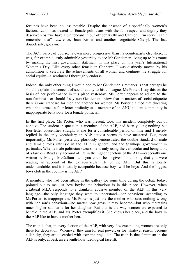fortunes have been no less notable. Despite the absence of a specifically women's faction, Labor has treated its female politicians with the full respect and dignity they deserve: Ros "we have a whiteboard in our office" Kelly and Carmen "I'm sorry I can't remember that" Lawrence, Joan Kirner and another forgettable Cheryl. The list, doubtlessly, goes on.

The ACT party, of course, is even more progressive than its counterparts elsewhere. It was, for example, truly admirable yesterday to see Mr Gentleman living up to his name by making the first government statement in this place on this year's International Women's Day. Like every other female in Canberra, I was distinctly moved by his admonition to celebrate the achievements of all women and continue the struggle for social equity—a sentiment I thoroughly endorse.

Indeed, the only other thing I would add to Mr Gentleman's remarks is that perhaps he should explain the concept of social equity to his colleague, Ms Porter. I say this on the basis of her performance in this place yesterday. Ms Porter appears to adhere to the non-feminist—or should I say non-Gentleman—view that in matters of social etiquette there is one standard for men and another for women. Ms Porter claimed that directing what she termed a four-letter profanity at a member of an ANU student community is inappropriate behaviour for a female politician.

In the first place, Ms Porter, who was present, took this incident completely out of context. The student in question, a member of the ALP, had been yelling nothing but four-letter obscenities straight at me for a considerable period of time and I merely replied in the only vocabulary an ALP activist seems to have mastered. But, more importantly, Ms Porter yesterday gloriously demonstrated the double standard of male and female roles intrinsic in the ALP in general and the Stanhope government in particular. When a male politician swears, he is only using the vernacular and being a bit of a larrikin. Read any account of life in the higher echelons of the ALP—especially one written by Mungo McCallum—and you could be forgiven for thinking that you were reading an account of the extracurricular life of the AFL. But this is totally understandable, and it is totally acceptable because boys will be boys. And the biggest boys club in the country is the ALP.

A member, who had been sitting in the gallery for some time during the debate today, pointed out to me just how boyish the behaviour is in this place. However, when a Liberal MLA responds to a drunken, abusive member of the ALP in this very language—the only language they seem to understand—her behaviour, according to Ms Porter, is inappropriate. Ms Porter is just like the mother who sees nothing wrong with her son's behaviour—no matter how gross it may become—but who maintains much higher standards for her daughter. But that is the way women are expected to behave in the ALP, and Ms Porter exemplifies it. She knows her place, and the boys in the ALP like to have a mother hen.

The truth is that, in every faction of the ALP, with very few exceptions, women are only there for decoration. Whenever they aim for real power, or for whatever reason become a liability, they are discarded with extreme prejudice. The truth is that feminism in the ALP is only, at best, an eleventh-hour ideological facelift.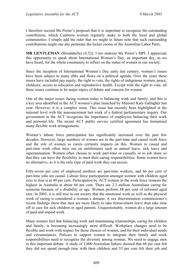I therefore second Ms Porter's proposal that it is important to recognise the outstanding contribution, which Canberra women regularly make to both the local and global communities. I simply add the rider that we might in future note that such outstanding contributions might one day permeate the locker rooms of the Australian Labor Party.

**MR GENTLEMAN** (Brindabella) (4.32): I too endorse Ms Porter's MPI. I appreciate this opportunity to speak about International Women's Day, an important day, as we have heard, for the whole community to reflect on the status of women in our society.

Since the inception of International Women's Day early last century, women's issues have been subject to many ebbs and flows on a political agenda. Over the years these issues have included pay equity, the right to vote, the rights of indigenous women, peace, childcare, access to education and reproductive health. Except with the right to vote, all these issues continue to be major topics of debate and concern for women.

One of the major issues facing women today is balancing work and family, and this is a key area identified in the ACT women's plan launched by Minister Katy Gallagher last year. However, it is a complex issue. This issue has recently been highlighted at the national level with the announcement last week of a federal parliamentary inquiry. Our government in the ACT recognises the importance of employees balancing their work and personal life. The recent ACT public service certified agreement has formalised many flexible work arrangements.

Women's labour force participation has significantly increased over the past few decades. However, large numbers of women are in the part-time and causal work force and the role of women as carers certainly impacts on this. Women in casual and part-time work often miss out on entitlements such as annual leave, sick leave and superannuation. Women often choose to work part-time or casually or to job share so that they can have the flexibility to meet their caring responsibilities. Some women have no alternative, as it is the only type of paid work they can access.

Fifty-seven per cent of employed mothers are part-time workers, and 66 per cent of part-time jobs are casual. Labour force participation amongst women with children aged zero to four is at 49 per cent. Participation by ACT women in the work force remains the highest in Australia at about 66 per cent. There are 2.3 million Australians caring for someone because of a disability or age. Women perform 88 per cent of informal aged care. In 2005, it is still true in our society that the emotional work as well as the physical work of caring is considered a woman's domain. A sex discrimination commissioner's recent findings show that men are more likely to take bereavement leave than take time off to care for sick children or aged parents. Unquestionably, women do a large amount of paid and unpaid work.

Many women feel that balancing work and maintaining relationships, caring for children and family, is becoming increasingly more difficult. Workplace changes need to be flexible and work with respect for those choices of women, and for their individual needs and circumstances. Policies to support women to integrate their family and work responsibilities need to recognise the diversity among women. We need to engage men in this important debate. A study of 1,000 Australian fathers showed that 68 per cent felt they did not spend enough time with their children and 53 per cent felt their job and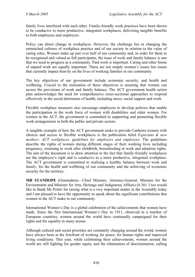family lives interfered with each other. Family-friendly work practices have been shown to be conducive to more productive, integrated workplaces, delivering tangible benefits to both employees and employers.

Policy can direct change in workplaces. However, the challenge lies in changing the entrenched cultures of workplace practice and of our society in relation to the value of caring roles. Women make up just over half of our community and, in order for them to be recognised and valued as full participants, the issue of work and family balance is one that we need to progress as a community. Paid work is important. Caring and other forms of unpaid work are equally important. These are not simply women's issues but issues that currently impact heavily on the lives of working families in our community.

The key objectives of our government include economic security, and health and wellbeing. Crucial to the realisation of these objectives is ensuring that women can access the provisions of work and family balance. The ACT government health action plan acknowledges the need for comprehensive cross-sectional approaches to respond effectively to the social detriments of health, including stress, social support and work.

Flexible workplace measures also encourage employers to develop policies that enable the participation in the work force of women with disabilities and older women. For women in the ACT, the government is committed to supporting and promoting flexible work arrangements in both the public and private sectors.

A tangible example of how the ACT government seeks to provide Canberra women with choices and access to flexible workplaces is the publication titled *Expectant & new mothers: ACT workplaces, guidelines for employers and employees*. The guidelines describe the rights of women during different stages of their working lives including pregnancy, returning to work after childbirth, breastfeeding at work and adoption rights. The aim of the document is to draw attention to the fact that family-friendly workplaces are the employee's right and is conducive to a more productive, integrated workplace. The ACT government is committed to realising a healthy balance between work and family, for the health and wellbeing of our community and the achieving of economic security for the territory.

**MR STANHOPE** (Ginninderra—Chief Minister, Attorney-General, Minister for the Environment and Minister for Arts, Heritage and Indigenous Affairs) (4.38): I too would like to thank Ms Porter for raising what is a very important matter in the Assembly today and I am pleased to have the opportunity to speak about the significant contributions that women in the ACT make to our community.

International Women's Day is a global celebration of the achievements that women have made. Since the first International Women's Day in 1911, observed in a number of European countries, women around the world have continually campaigned for their rights and for equality in many arenas.

Although cultural and social priorities are constantly changing around the world, women have always been at the forefront of working for peace, for human rights and improved living conditions. This year, while celebrating their achievements, women around the world are still fighting for gender equity and the elimination of discrimination, calling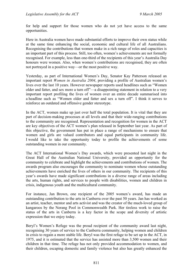for help and support for those women who do not yet have access to the same opportunities.

Here in Australia women have made substantial efforts to improve their own status while at the same time enhancing the social, economic and cultural life of all Australians. Recognising the contributions that women make in a rich range of roles and capacities is an important part of this process. Still, too often, women's achievements are not formally recognised. For example, less than one-third of the recipients of this year's Australia Day honours were women. Also, when women's contributions are recognised, they are often not portrayed in a positive way—or the most positive way.

Yesterday, as part of International Women's Day, Senator Kay Patterson released an important report *Women in Australia 2004*, providing a profile of Australian women's lives over the last 10 years. However newspaper reports used headlines such as "Women older and fatter, and sex more a turn off"—a disappointing statement in relation to a very important report profiling the lives of women over an entire decade summarised into a headline such as "Women older and fatter and sex a turn off". I think it serves to reinforce an outdated and offensive gender stereotype.

In the ACT, women make up just over half the total population. It is vital that they are part of decision-making processes at all levels and that their wide-ranging contributions to the community are recognised. Representation and recognition for women in the ACT are key objectives of the ACT women's plan released in September last year. As part of this objective, the government has put in place a range of mechanisms to ensure that women and girls are valued contributors and equal participants in community life. I would like to take the opportunity today to profile the achievements of some outstanding women in our community.

The ACT International Women's Day awards, which were presented last night in the Great Hall of the Australian National University, provided an opportunity for the community to celebrate and highlight the achievements and contributions of women. The awards program also encourages the community to nominate women whose outstanding achievements have enriched the lives of others in our community. The recipients of this year's awards have made significant contributions in a diverse range of areas including the arts, human rights, and services to people with disabilities, women and children in crisis, indigenous youth and the multicultural community.

For instance, Jan Brown, one recipient of the 2005 women's award, has made an outstanding contribution to the arts in Canberra over the past 50 years. Jan has worked as an artist, teacher, mentor and arts activist and was the creator of the much-loved group of kangaroos by the Nerang Pool in Commonwealth Park. Her tireless work to raise the status of the arts in Canberra is a key factor in the scope and diversity of artistic expression that we enjoy today.

Beryl's Women's Refuge was the proud recipient of the community award last night, recognising 30 years of service to the Canberra community, helping women and children in crisis to regain a more stable life. Beryl was the first refuge to be set up in the ACT, in 1975, and it is estimated that the service has assisted more than 3,500 women and their children in that time. The refuge has not only provided accommodation to women, and their children, escaping domestic and family violence but also has greatly enhanced the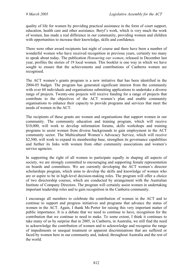quality of life for women by providing practical assistance in the form of court support, education, health care and other assistance. Beryl's work, which is very much the work of women, has made a real difference in our community, providing women and children with opportunities to increase their knowledge, skills and confidence.

There were other award recipients last night of course and there have been a number of wonderful women who have received recognition in previous years, certainly too many to speak about today. The publication *Honouring our women*, released in December last year, profiles the stories of 19 local women. This booklet is one way in which we have sought to ensure that the achievements and contributions of Canberra women are recognised.

The ACT women's grants program is a new initiative that has been identified in the 2004-05 budget. The program has generated significant interest from the community with over 60 individuals and organisations submitting applications to undertake a diverse range of projects. Twenty-one projects will receive funding for a range of projects that contribute to the objectives of the ACT women's plan and enable community organisations to enhance their capacity to provide programs and services that meet the needs of women in the ACT.

The recipients of these grants are women and organisations that support women in our community. The community education and training program, which will receive \$10,000, will work to develop information forums, skills workshops and training programs to assist women from diverse backgrounds to gain employment in the ACT community sector. The Multicultural Women's Advocacy Service, which will receive \$2,500, will work to expand its membership base, strengthen its governance capabilities and further its links with women from other community associations and women's service agencies.

In supporting the right of all women to participate equally in shaping all aspects of society, we are strongly committed to encouraging and supporting female representation on boards and committees. We are currently developing the ACT women's director scholarships program, which aims to develop the skills and knowledge of women who are or aspire to be in high-level decision-making roles. The program will offer a choice of two directorship courses, which are conducted by arrangement with the Australian Institute of Company Directors. The program will certainly assist women in undertaking important leadership roles and to gain recognition in the Canberra community.

I encourage all members to celebrate the contribution of women in the ACT and to continue to support and progress initiatives and programs that advance the status of women in the ACT. Again, I thank Ms Porter for raising this very important matter of public importance. It is a debate that we need to continue to have, recognition for the contribution that we continue to need to make. To some extent, I think it continues to take many of us by surprise that in 2005, in Canberra, in Australia, we still find the need to acknowledge the contribution of women and to acknowledge and recognise the range of impediments or unequal treatment or apparent discriminations that are suffered or faced by women here in our community and, indeed, throughout Australia and the rest of the world.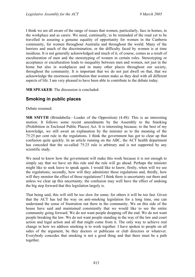I think we are all aware of the range of issues that women, particularly, face in homes, in the workplace and as carers. We need, continually, to be reminded of the road yet to be travelled in assuring a genuine equality of opportunity for women in the Canberra community, for women throughout Australia and throughout the world. Many of the barriers and much of the discrimination, or the difficulty faced by women is at time insidious. It is not generally acknowledged and much of it, of course, comes as a result of enculturation of men and the stereotyping of women in certain roles. Stereotyping or acceptance or enculturation leads to inequality between men and women, not just in the home but also in workplaces and in many other places throughout our society, throughout the community. It is important that we do not just dwell on that, that we acknowledge the enormous contribution that women make as they deal with all different aspects of life. I am very pleased to have been able to contribute to the debate today.

**MR SPEAKER**: The discussion is concluded.

# **Smoking in public places**

Debate resumed.

**MR SMYTH** (Brindabella—Leader of the Opposition) (4.48): This is an interesting motion. It follows some recent amendments by the Assembly to the Smoking (Prohibition in Enclosed Public Places) Act. It is interesting because, to the best of my knowledge, we still await an explanation by the minister as to the meaning of the 75:25 per cent rule in the regulations. I think the government has got to clear up that confusion quite quickly. In an article running on the ABC, the ACT health department has conceded that the so-called 75:25 rule is arbitrary and is not supported by any scientific study.

We need to know how the government will make this work because it is not enough to simply say that we have set this rule and the rule will go ahead. Perhaps the minister might like to seek leave to speak again. I would like to know, firstly, when will we see the regulations; secondly, how will they administer those regulations and, thirdly, how will they monitor the effect of those regulations? I think there is uncertainty out there and unless we clear up this uncertainty, the confusion may well have the effect of undoing the big step forward that this legislation largely is.

That being said, this will still be too slow for some; for others it will be too fast. Given that the ACT has led the way on anti-smoking legislation for a long time, one can understand the sense of frustration out there in the community. We on this side of the house have said and maintained consistently that we would like to see the entire community going forward. We do not want people dropping off the end. We do not want people breaking the law. We do not want people standing in the way of the law and court action and legal action and all that might come from it. The only way to achieve real change in how we address smoking is to work together. I have spoken to people on all sides of the argument, be they doctors or publicans or club directors or whatever. Everybody concedes that smoking is not a good thing and that there must be a path together.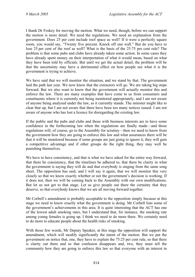I thank Dr Foskey for moving the motion. What we need, though, before we can support the motion is more detail. We need the regulations. We need an explanation from the government. Does 25 per cent include roof space as well? If it were a perfectly square room, you would say, "Twenty five percent. Knock off one wall." But do you have to lose 25 per cent of the roof as well? What is the basis of the 25:75 per cent rule? The problem is that some pubs and clubs have already taken some action. In some cases they have already spent money on their interpretation of what it would mean, based on what they have been told by officials. But until we get the actual detail, the problem will be that the uncertainty may have a detrimental effect on how people see what it is the government is trying to achieve.

We have said that we will monitor the situation, and we stand by that. The government laid the path last year. We now know that the extractors will go. We are taking big steps forward. But we also want to know that the government will actually monitor this and enforce the law. There are many examples that have come to us from consumers and constituents where it is currently not being monitored appropriately, and I am not aware of anyone being analysed under the law, as it currently stands. The minister might like to clear that up, but I am not aware that there have been too many notices issued. I am not aware of anyone who has lost a licence for disregarding the existing law.

If the public and the pubs and clubs and those with business interests are to have some confidence in the forthcoming law when the regulations are finally made—and those regulations will, of course, go to the Assembly for scrutiny—then we need to know from the government how they are going to enforce this law and what assurances there will be that it will be monitored because if some groups are just going to ignore it, they will gain a competitive advantage and if other groups do the right thing, they may well be punishing themselves.

We have to have consistency, and that is what we have asked for the entire way forward, that there be consistency, that the timelines be adhered to, that there be clarity in what the government is saying they will do and that everybody is singing from the same song sheet. The opposition has said, and I will say it again, that we will monitor this very closely so that we know exactly whether or not the government's decision is working. If it does not, then we will be coming back to the Assembly with our own modifications. But let us not get to that stage. Let us give people out there the certainty that they deserve, so that everybody knows that we are all moving forward together.

Mr Corbell's amendment is probably acceptable to the opposition simply because at this stage we need to know exactly what the government is doing. Mr Corbell lists some of the government's achievements in this area. It is quite interesting that the ACT has one of the lowest adult smoking rates, but I understand that, for instance, the smoking rate among young females is going up. I think we need to do more there. We certainly need to do more to educate people about the health risks of smoking.

With those few words, Mr Deputy Speaker, at this stage the opposition will support the amendment, which will modify significantly the intent of the motion. But we put the government on notice that, one, they have to explain the 75:25 per cent rule, so that there is clarity out there and so that confusion disappears and, two, they must tell the community how they are going to enforce this law so that everyone with an interest in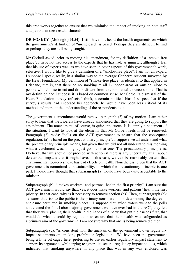this area works together to ensure that we minimise the impact of smoking on both staff and patrons in these establishments.

**DR FOSKEY** (Molonglo) (4.54): I still have not heard the health arguments on which the government's definition of "unenclosed" is based. Perhaps they are difficult to find or perhaps they are still being sought.

Mr Corbell asked, prior to moving his amendment, for my definition of a "smoke-free place". I have not had access to the experts that he has had, as minister, although I fear that his use of experts was, as we have seen in other aspects of this government's work, selective. I would like to give a definition of a "smoke-free place". I am not an expert. I suppose I speak, really, in a similar way to the average Canberra resident surveyed by the Heart Foundation. My definition of "smoke-free place" is identical to that applied in Brisbane, that is, that there be no smoking at all in indoor areas or outside, close to people who choose to eat and drink distant from environmental tobacco smoke. That is my definition and I suppose it is based on common sense. Mr Corbell's dismissal of the Heart Foundation survey reflects I think, a certain political bias. I suspect that if the survey's results had endorsed his approach, he would have been less critical of its method and more of the understanding of the respondents to it.

The government's amendment would remove paragraph (2) of my motion. I am rather sorry to hear that the Liberals have already announced that they are going to support the amendment. The amendment, of course, is quite innocuous. It is simply a statement of the situation. I want to look at the elements that Mr Corbell feels must be removed. Paragraph (2) reads: "calls on the ACT government to ensure that the consequent regulation: (a) is based on the precautionary principle". I suppose we all understand what the precautionary principle means, but given that we did not all understand this morning what a catchment was, I might just go into that one. The precautionary principle is, I believe, that we should not proceed with action if there is any uncertainty at all about deleterious impacts that it might have. In this case, we can be reasonably certain that environmental tobacco smoke has bad effects on health. Nonetheless, given that the ACT government is committed to sustainability, of which the precautionary principle is one part, I would have thought that subparagraph (a) would have been quite acceptable to the minister.

Subparagraph (b): " makes workers' and patrons' health the first priority". I am sure the ACT government would say that, yes, it does make workers' and patrons' health the first priority. In that case, why is it necessary to remove section (b)? Then, subparagraph (c): "ensures that risk to the public is the primary consideration in determining the degree of enclosure permitted in smoking places". I suppose that, when voters went to the polls and elected the first Labor majority government we have ever had in the ACT, they felt that they were placing their health in the hands of a party that put their needs first, that would do what it could by regulation to ensure that their health was safeguarded as a primary aim of the government. I am not sure why that one is being removed either.

Subparagraph (d): "is consistent with the analysis of the government's own regulatory impact statements on smoking prohibition legislation". We have seen the government being a little bit cagey here, preferring to use its earlier regulatory impact statement to support its arguments while trying to ignore its second regulatory impact studies, which indicated that smoking anywhere in any place that was in any way enclosed was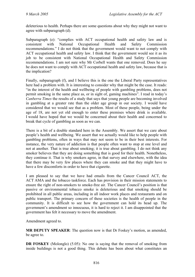deleterious to health. Perhaps there are some questions about why they might not want to agree with subparagraph (d).

Subparagraph (e): "complies with ACT occupational health and safety law and is consistent with National Occupational Health and Safety Commission recommendations." I do not think that the government would want to not comply with ACT occupational health and safety law. I think that the government would see it as its job to be consistent with National Occupational Health and Safety Commission recommendations. I am not sure why Mr Corbell wants that one removed. Does he say he does not want to comply with ACT occupational health and safety law, because that is the implication?

Finally, subparagraph (f), and I believe this is the one the Liberal Party representatives here had a problem with. It is interesting to consider why that might be the case. It reads: "in the interest of the health and wellbeing of people with gambling problems, does not permit smoking in the same place as, or in sight of, gaming machines". I read in today's *Canberra Times* the results of a study that says that young people are becoming involved in gambling at a greater rate than the older age group in our society. I would have considered that we would see that as a problem. Most of these people, being under the age of 18, are not yet old enough to enter these premises where drink is available. I would have hoped that we would be concerned about their health and concerned to break that cycle of gambling as soon as we can.

There is a bit of a double standard here in the Assembly. We assert that we care about people's health and wellbeing. We assert that we actually would like to help people with gambling problems, often in ways that may not seem to be in their best interests. For instance, the very nature of addiction is that people often want to stop at one level and not at another. That is true about smoking; it is true about gambling. I do not think any smoker believes that they are doing something that is good for their health. Nonetheless, they continue it. That is why smokers agree, in that survey and elsewhere, with the idea that there may be very few places where they can smoke and that they might have to have a few discomforts in order to have that cigarette.

I am pleased to say that we have had emails from the Cancer Council ACT, the ACT AMA and the tobacco taskforce. Each has provision in their mission statements to ensure the right of non-smokers to smoke-free air. The Cancer Council's position is that passive or environmental tobacco smoke is deleterious and that smoking should be prohibited in all public areas, including in all indoor work places and restaurants and on public transport. The primary concern of these societies is the health of people in the community. It is difficult to see how the government can hold its head up. The government's amendment so innocuous, it is hard to reject it. I am disappointed that the government has felt it necessary to move the amendment.

Amendment agreed to.

**MR DEPUTY SPEAKER**: The question now is that Dr Foskey's motion, as amended, be agree to.

**DR FOSKEY** (Molonglo) (5.05): No one is saying that the removal of smoking from inside buildings is not a good thing. This debate has been about what constitutes an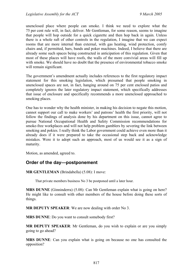unenclosed place where people can smoke. I think we need to explore what the 75 per cent rule will, in fact, deliver. Mr Gentleman, for some reason, seems to imagine that people will hop outside for a quick cigarette and then hop back in again. Unless there is a whole raft of other controls in the regulation, I imagine that we can expect rooms that are more internal than external, with gas heating, wind protection, comfy chairs and, if permitted, bars, bands and poker machines. Indeed, I believe that there are already some such spaces being constructed in anticipation of this regulation. Given that most of these places will have roofs, the walls of the more convivial areas will fill up with smoke. We should have no doubt that the presence of environmental tobacco smoke will remain significant.

The government's amendment actually includes references to the first regulatory impact statement for this smoking legislation, which presumed that people smoking in unenclosed spaces are not, in fact, hanging around on 75 per cent enclosed patios and completely ignores the later regulatory impact statement, which specifically addresses that issue of enclosure and specifically recommends a more unenclosed approached to smoking places.

One has to wonder why the health minister, in making his decision to negate this motion, cannot support our call to make workers' and patrons' health the first priority, will not follow the findings of analysis done by his department on this issue, cannot agree to pursue National Occupational Health and Safety Commission recommendations for smoke-free workplaces and will not help problem gamblers by severing the link between smoking and pokies. I really think the Labor government could achieve even more than it already does if it were prepared to take the occasional step back and acknowledge mistakes. Were it to adopt such an approach, most of us would see it as a sign of maturity.

Motion, as amended, agreed to.

## **Order of the day—postponement**

**MR GENTLEMAN** (Brindabella) (5.08): I move:

That private members business No 3 be postponed until a later hour.

**MRS DUNNE** (Ginninderra) (5.08): Can Mr Gentleman explain what is going on here? He might like to consult with other members of the house before doing these sorts of things.

**MR DEPUTY SPEAKER**: We are now dealing with order No 3.

**MRS DUNNE**: Do you want to consult somebody first?

**MR DEPUTY SPEAKER**: Mr Gentleman, do you wish to explain or are you simply going to go ahead?

**MRS DUNNE**: Can you explain what is going on because no one has consulted the opposition?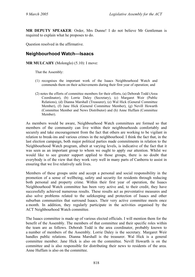**MR DEPUTY SPEAKER**: Order, Mrs Dunne! I do not believe Mr Gentleman is required to explain what he proposes to do.

Question resolved in the affirmative.

# **Neighbourhood Watch—Isaacs**

**MR MULCAHY** (Molonglo) (5.10): I move:

That the Assembly:

- (1) recognises the important work of the Isaacs Neighbourhood Watch and commends them on their achievements during their first year of operation; and
- (2) notes the efforts of committee members for their efforts, (a) Deborah Todd (Area Coordinator), (b) Lorrie Daley (Secretary), (c) Margaret Weir (Public Relations), (d) Dianna Marshall (Treasurer), (e) Wal Hick (General Committee Member), (f) Jane Hick (General Committee Member), (g) Nevill Howarth (Committee Member and News Distributor) and (h) Anne Huffam (Committee Member).

As members would be aware, Neighbourhood Watch committees are formed so that members of the community can live within their neighbourhoods comfortably and securely and take encouragement from the fact that others are working to be vigilant in relation to break-ins and various crimes in the neighbourhood. I think the fact that, in the last election campaign, both major political parties made commitments in relation to the Neighbourhood Watch program, albeit at varying levels, is indicative of the fact that it was seen as an important group to whom we ought to apply our attention. Whilst we would like to see greater support applied to those groups, there is no doubt that everybody is of the view that they work very well in many parts of Canberra to assist in ensuring that we live relatively safe lives.

Members of these groups unite and accept a personal and social responsibility in the promotion of a sense of wellbeing, safety and security for residents through reducing both personal and property crime. Within their first year of operation, the Isaacs Neighbourhood Watch committee has been very active and, to their credit, they have successfully achieved numerous results. These results act as preventative measures and also solve problems related to the safekeeping and protection of Isaacs and other suburban communities that surround Isaacs. Their very active committee meets once a month. In addition, they regularly participate in the activities organised by the ACT Neighbourhood Watch committee.

The Isaacs committee is made up of various elected officials. I will mention them for the benefit of the Assembly. The members of that committee and their specific roles within the team are as follows. Deborah Todd is the area coordinator, probably known to a number of members of the Assembly. Lorrie Daley is the secretary. Margaret Weir handles public relations. Dianna Marshall is the treasurer. Wal Hick is a general committee member. Jane Hick is also on the committee. Nevill Howarth is on the committee and is also responsible for distributing their news to residents of the area. Anne Huffam is also on the committee.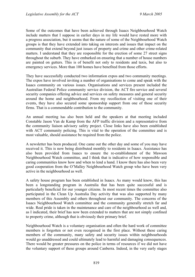Some of the outcomes that have been achieved through Isaacs Neighbourhood Watch include matters that I suppose in earlier days in my life would have rested more with a progress association, but it seems that the nature of some of the Neighbourhood Watch groups is that they have extended into taking on interests and issues that impact on the community that extend beyond just issues of property and crime and other crime-related matters. I understand that they are responsible for the erection of some 27 street signs throughout the suburb. They have embarked on ensuring that a number of house numbers are painted on gutters. This is of benefit not only to residents and taxis, but also to emergency services. More than 100 homes have benefited from those efforts.

They have successfully conducted two information expos and two community meetings. The expos have involved inviting a number of organisations to come and speak with the Isaacs community on various issues. Organisations and services present included the Australian Federal Police community service division, the ACT fire service and several security companies offering advice and services on safety measures and general security around the home and neighbourhood. From my recollection of visiting one of their events, they have also secured some sponsorship support from one of those security firms. That is a commendable contribution to the community.

An annual meeting has also been held and the speakers at that meeting included Constable Jason Van de Kamp from the AFP traffic division and a representative from the community liaison advisory safety project. Close links have also been established with ACT community policing. This is vital to the operation of the committee and is most valuable, should assistance be required from the police.

A newsletter has been produced. One came out the other day and some of you may have received it. This is now being distributed monthly to residents in Isaacs. Assistance has also been provided from Isaacs to ensure the re-establishment of the Mawson Neighbourhood Watch committee, and I think that is indicative of how responsible and caring communities know how and when to lend a hand. I know there has also been very good cooperation from the O'Malley Neighbourhood Watch group who have been very active in the neighbourhood as well.

A safety house program has been established in Isaacs. As many would know, this has been a longstanding program in Australia that has been quite successful and is particularly beneficial for our younger citizens. In most recent times the committee also participated in the Clean Up Australia Day activity that was also supported by many members of this Assembly and others throughout our community. The concerns of the Isaacs Neighbourhood Watch committee and the community generally stretch far and wide. Real pride is taken in the maintenance and care of the neighbourhood as well and, as I indicated, their brief has now been extended to matters that are not simply confined to property crime, although that is obviously their primary brief.

Neighbourhood Watch is a voluntary organisation and often the hard work of committee members is forgotten or not even recognised in the first place. Without these caring members of the community, many safety and security issues within neighbourhoods would go unaddressed and could ultimately lead to harmful and damaging consequences. There would be greater pressures on the police in terms of resources if we did not have the voluntary support of these groups around Canberra. Indeed, in the very early stages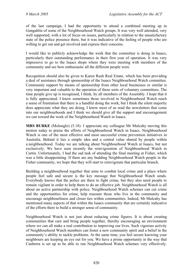of the last campaign, I had the opportunity to attend a combined meeting up in Gungahlin of some of the Neighbourhood Watch groups. It was very well attended, very well supported, with a lot of focus on issues, particularly in relation to the unsatisfactory state of the police presence there, but it was indicative of the feeling of people who are willing to get out and get involved and express their concerns.

I would like to publicly acknowledge the work that the committee is doing in Isaacs, particularly their outstanding performance in their first year of operation. It was very impressive to go to the Isaacs shops where they were meeting with members of the community and see how enthusiastic all the different people were.

Recognition should also be given to Karen Rush Real Estate, which has been providing a deal of assistance through sponsorship of the Isaacs Neighbourhood Watch committee. Community support by means of sponsorship from other local businesses or similar is very important and valuable to the operation of these sorts of voluntary committees. The time people give up is recognised, I think, by all members of the Assembly. I hope that it is fully appreciated. I know sometimes those involved in Neighbourhood Watch reach a sense of frustration that there is a handful doing the work, but I think the silent majority does appreciate what they are doing, I know most of us read the newsletters that come into our neighbourhoods and I think we should give all the support and encouragement we can toward the work of the Neighbourhood Watch in Isaacs.

**MRS BURKE** (Molonglo) (5.18): I appreciate my colleague Mr Mulcahy moving this motion today to praise the efforts of Neighbourhood Watch in Isaacs. Neighbourhood Watch is one of the most effective and most successful crime prevention initiatives in Australia. Behind it lies a simple idea and a central value shared by people within a neighbourhood. Today we are talking about Neighbourhood Watch at Isaacs, but not exclusively. We have seen recently the reinvigoration of Neighbourhood Watch in Curtin. Unfortunately, I had the sad task of attending the final meeting at Fisher, which was a little disappointing. If there are any budding Neighbourhood Watch people in the Fisher community, we hope that they will start to reinvigorate that particular branch.

Building a neighbourhood together that aims to combat local crime and a place where people feel safe and secure is the key message that Neighbourhood Watch sends. Everybody knows that the police are there to fight crime, but they also need people to remain vigilant in order to help them to do an effective job. Neighbourhood Watch is all about an active partnership with police. Neighbourhood Watch schemes can cut crime and the opportunities for crime, help reassure those who live in the community and encourage neighbourliness and closer ties within communities. Indeed, Mr Mulcahy has mentioned many aspects of that within the Isaacs community that are certainly indicative of the efforts there to build a stronger sense of community.

Neighbourhood Watch is not just about reducing crime figures. It is about creating communities that care and bring people together, thereby encouraging an environment where we can all make a real contribution to improving our lives. Such vigorous activity of Neighbourhood Watch members can foster a new community spirit and a belief in the community's ability to tackle problems. At the same time, you feel secure knowing your neighbours are keeping an eye out for you. We have a prime opportunity in the way that Canberra is set up to be able to run Neighbourhood Watch schemes very effectively.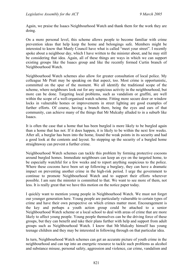Again, we praise the Isaacs Neighbourhood Watch and thank them for the work they are doing.

On a more personal level, this scheme allows people to become familiar with crime prevention ideas that help keep the home and belongings safe. Members might be interested to know that Manly Council have what is called "meet your street". I recently spoke about a neighbour day, which I have written to the minister about, and he may still be considering that idea. Again, all of these things are ways in which we can support existing groups like the Isaacs group and like the recently formed Curtin branch of Neighbourhood Watch.

Neighbourhood Watch schemes also allow for greater consultation of local police. My colleague Mr Pratt may be speaking on that aspect, too. Most crime is opportunistic, committed on the spur of the moment. We all identify the traditional scope of the scheme, where neighbours look out for any suspicious activity in the neighbourhood, but more can be done. Targeting local problems, such as vandalism or graffiti, are well within the scope of a well-organised watch scheme. Fitting more secure door or window locks in vulnerable homes or improvements in street lighting are good examples of further efforts. Of course, having a branch there, being the eyes and ears of that community, can achieve many of the things that Mr Mulcahy alluded to in a suburb like Isaacs.

It is often the case that a home that has been burgled is more likely to be burgled again than a home that has not. If it does happen, it is likely to be within the next few weeks. After all, a burglar has been into the home, found the weak points in its security and had a good look at the contents and layout. So stepping up the security of a burgled home straightaway can prevent a further crime.

Neighbourhood Watch schemes can tackle this problem by forming protective cocoons around burgled homes. Immediate neighbours can keep an eye on the targeted home, to be especially watchful for a few weeks and to report anything suspicious to the police. Where these cocoons have been set up following a burglary, they can have a dramatic impact on preventing another crime in the high-risk period. I urge the government to continue to promote Neighbourhood Watch and to support their efforts wherever possible. I am sure the minister is committed to that. We want to see more of them, not less. It is really great that we have this motion on the notice paper today.

I quickly want to mention young people in Neighbourhood Watch. We must not forget our younger generation here. Young people are particularly vulnerable to certain types of crime and have their own perspective on which crimes matter most. Encouragement is the key and perhaps a youth action group could be attached to a senior Neighbourhood Watch scheme or a local school to deal with areas of crime that are more likely to affect young people. Young people themselves can be the driving force of these groups, but they can benefit and take their plans further with help and support from adult groups such as Neighbourhood Watch. I know that Mr Mulcahy himself has young teenage children and they may be interested in following through on that particular idea.

In turn, Neighbourhood Watch schemes can get an accurate picture of youth crime in the neighbourhood and can tap into an energetic resource to tackle such problems as alcohol and substance misuse, personal safety, aggression and violence, car crime, vandalism and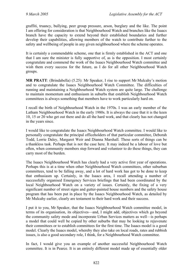graffiti, truancy, bullying, peer group pressure, arson, burglary and the like. The point I am offering for consideration is that Neighbourhood Watch and branches like the Isaacs branch have the capacity to extend beyond their established boundaries and further develop their capabilities, allowing members of the watch to contribute further to the safety and wellbeing of people in any given neighbourhood where the scheme operates.

It is certainly a commendable scheme, one that is firmly established in the ACT and one that I am sure the minister is fully supportive of, as is the opposition. I most certainly congratulate and commend the work of the Isaacs Neighbourhood Watch committee and wish them every success for the future, as I do for all other Neighbourhood Watch groups.

**MR PRATT**: (Brindabella) (5.25): Mr Speaker, I rise to support Mr Mulcahy's motion and to congratulate the Isaacs Neighbourhood Watch Committee. The difficulties of running and maintaining a Neighbourhood Watch system are quite large. The challenge to maintain momentum and enthusiasm in suburbs that establish Neighbourhood Watch committees is always something that members have to work particularly hard on.

I recall the birth of Neighbourhood Watch in the 1970s. I was an early member of the Latham Neighbourhood Watch in the early 1980s. It is always the case that it is the keen 10, 15 or 20 who get out there and do all the hard work, and that clearly has not changed in the years since.

I would like to congratulate the Isaacs Neighbourhood Watch committee. I would like to personally congratulate the principal officeholders of that particular committee, Deborah Todd, Lorrie Daley, Margaret Weir and Dianna Marshall. These sorts of things can be a thankless task. Perhaps that is not the case here. It may indeed be a labour of love but often, when community members step forward and volunteer to do these things, they can carry most of the burden.

The Isaacs Neighbourhood Watch has clearly had a very active first year of operations. Perhaps this is at a time when other Neighbourhood Watch committees, other suburban committees, tend to be falling away, and a lot of hard work has got to be done to keep that enthusiasm up. Certainly, in the Isaacs area, I recall attending a number of successfully organised Emergency Services briefings that had been coordinated by the local Neighbourhood Watch on a variety of issues. Certainly, the fixing of a very significant number of street signs and gutter-painted house numbers and the safety house program that has been put in place by the Isaacs Neighbourhood Watch, as detailed by Mr Mulcahy earlier, clearly are testament to their hard work and their success.

I put it to you, Mr Speaker, that the Isaacs Neighbourhood Watch committee model, in terms of its organisation, its objectives—and, I might add, objectives which go beyond the community safety mode and incorporate Urban Services matters as well—is perhaps a model that could well be copied by other suburbs that may be looking to rejuvenate their committees or to establish committees for the first time. The Isaacs model is a good model. Clearly the Isaacs model, whereby they also take on local roads, rates and rubbish issues, is also a good secondary role, I think, for a Neighbourhood Watch committee.

In fact, I would give you an example of another successful Neighbourhood Watch committee. It is in Pearce. It is an entirely different model made up of essentially older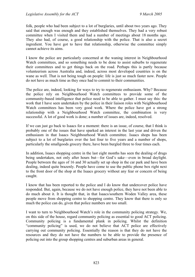folk, people who had been subject to a lot of burglaries, until about two years ago. They said that enough was enough and they established themselves. They had a very robust committee when I visited them and had a number of meetings about 18 months ago. They also had, of course, a good relationship with the police. That is also a secret ingredient. You have got to have that relationship, otherwise the committee simply cannot achieve its aims.

I know the police are particularly concerned at the waning interest in Neighbourhood Watch committees, and so something needs to be done to assist suburbs to regenerate their committees and to get things back on the road. Perhaps this is partly because volunteerism across Australia and, indeed, across most developed countries is on the wane as well. That is not being tough on people: life is just so much faster now. People do not have as much time as they once had to commit to their communities.

The police are, indeed, looking for ways to try to regenerate enthusiasm. Why? Because the police rely on Neighbourhood Watch committees to provide some of the community-based intelligence that police need to be able to gather. I must say this: the work that I have seen undertaken by the police in their liaison roles with Neighbourhood Watch committees has been very good work. Where the police have got a strong relationship with a Neighbourhood Watch committee, the combination is very successful. A lot of good work is done; a number of issues are, indeed, resolved.

If we can just go back to Isaacs for a moment: there is an issue, of course, that I think is probably one of the issues that have sparked an interest in the last year and driven the enthusiasm in that Isaacs Neighbourhood Watch committee. Isaacs shops has been subject to a lot of burglaries over the last four to five years and a number of shops, particularly the smallgoods grocery there, have been burgled three to four times each.

In addition, Isaacs shopping centre in the last eight months has seen the dealing of drugs being undertaken, not only after hours but—for God's sake—even in broad daylight. People between the ages of 16 and 30 actually set up shop in the car park and have been dealing, indeed quite brazenly. People have come to use the public phone box right next to the front door of the shop at the Isaacs grocery without any fear or concern of being caught.

I know that has been reported to the police and I do know that undercover police have responded. But, again, because we do not have enough police, they have not been able to do much about it. It is thought that, in that Isaacs/southern Woden Valley area, these people move from shopping centre to shopping centre. They know that there is only so much the police can do, given that police numbers are too small.

I want to turn to Neighbourhood Watch's role in the community policing strategy. We, on this side of the house, regard community policing as essential to good ACT policing. Community policing is a fundamental plank in policing. Whilst the definition "community policing" is used, we do not believe that ACT police are effectively carrying out community policing. Essentially the reason is that they do not have the resources and they do not have the numbers to be able to provide the presence of policing out into the group shopping centres and suburban areas in general.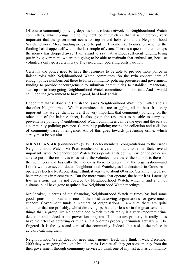Of course community policing depends on a robust network of Neighbourhood Watch committees, which brings me to my next point which is that it is, therefore, very important that the government needs to step in and help rebuild the Neighbourhood Watch network. More funding needs to be put in. I would like to question whether the funding has dropped off within the last couple of years. There is a question that perhaps the money has dropped away. I am afraid to say that, without sufficient funding being put in by government, we are not going to be able to maintain that enthusiasm, because volunteers only go a certain way. They need their operating costs paid for.

Certainly the police need to have the resources to be able to provide more police in liaison roles with Neighbourhood Watch committees. So the twin concern here of enough police numbers out there to form community policing presences and government funding to provide encouragement to suburban communities to establish, regenerate, start up or to keep going Neighbourhood Watch committees is important. And I would call upon the government to have a good, hard look at this.

I hope that that is done and I wish the Isaacs Neighbourhood Watch committee and all the other Neighbourhood Watch committees that are struggling all the best. It is very important that we get them active. It is very important that community policing, on the other side of the balance sheet, is also given the resources to be able to carry out preventative policing. Neighbourhood Watch committees can be the eyes and the ears of a community policing presence. Community policing means the collection and collation of community-based intelligence. All of this goes towards preventing crime, which surely must be our aim.

**MR STEFANIAK** (Ginninderra) (5.35): I echo members' congratulations to the Isaacs Neighbourhood Watch. Mr Pratt touched on a very important issue—in fact, several important issues. Neighbourhood Watch does operate at its optimum when the police are able to put in the resources to assist it, the volunteers are there, the support is there for the volunteers and basically the money is there to ensure that the organisation—and I think we have several dozen Neighbourhood Watches, as I understand, in Canberra operates effectively. At one stage I think it was up to about 60 or so. Certainly there have been problems in recent years. But the more zones that operate, the better it is. I actually live in a zone that is not covered by Neighbourhood Watch, which I find a bit of a shame, but I have gone to quite a few Neighbourhood Watch meetings.

Mr Speaker, in terms of the financing, Neighbourhood Watch at times has had some good sponsorship. But it is one of the most deserving organisations for government support. Government funds a plethora of organisations. I am sure there are quite a number that are probably, whilst deserving, perhaps far less so in the great scheme of things than a group like Neighbourhood Watch, which really is a very important crime detection and indeed crime prevention program. If it operates properly, it really does have the effect of deterring criminals. If it operates properly, criminals actually will be fingered. It is the eyes and ears of the community. Indeed, that assists the police in actually catching them.

Neighbourhood Watch does not need much money. Back in, I think it was, December 2000 they were going through a bit of a crisis. I can recall they got some money from the then government through community services. I think one of my last acts as community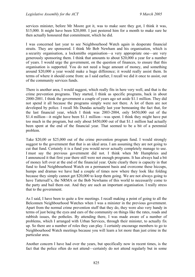services minister, before Mr Moore got it, was to make sure they got, I think it was, \$15,000. It might have been \$20,000. I just pestered him for a month to make sure he then actually honoured that commitment, which he did.

I was concerned last year to see Neighbourhood Watch again in desperate financial straits. They are sponsored. I think Mr Bob Newham and his organisation, which is a security organisation, a locksmiths organisation—a very appropriate one—are very generously sponsoring them. I think that amounts to about \$20,000 a year for a number of years. I would urge the government, on the question of finances, to ensure that this organisation is supported. You do not need a huge amount of money, and something around \$20,000 a year would make a huge difference; it would really assist them. In terms of where it should come from: as I said earlier, I recall we did it once to assist, out of the community services funds.

There is another area, I would suggest, which really fits in here very well, and that is the crime prevention programs. They started, I think as specific programs, back in about 2000-2001. I think the government a couple of years ago set aside \$1.1 million. They did not spend it all because the programs simply were not there. A lot of them are not developed by police. I recall Ms Dundas actually last year bemoaning the fact that, for the last financial year, which I think was 2003-2004, only \$450,000 out of the \$1.4 million—it might have been \$1.1 million—was spent. I think they might have put too much in the program, but only about \$450,000 out of that \$1.1 million had actually been spent at the end of the financial year. That seemed to be a bit of a perennial problem.

Take \$20,00 or \$25,000 out of the crime prevention program fund. I would strongly suggest to the government that that is an ideal area. I am assuming they are not going to cut that fund. Certainly it is a fund you would never actually completely manage to use. I must say the previous government did not. I think when Mr Humphries and I announced it that first year there still were not enough programs. It has always had a bit of money left over at the end of the financial year. Quite clearly there is capacity in that fund to fund Neighbourhood Watch on a permanent basis and overcome these hiccups, humps and dramas we have had a couple of times now where they look like folding because they simply cannot get \$20,000 to keep them going. We are not always going to have Tattersall's, the NRMA or the Bob Newhams of this world to necessarily come to the party and bail them out. And they are such an important organisation. I really stress that to the government.

As I said, I have been to quite a few meetings. I recall making a point of going to all the Belconnen Neighbourhood Watches when I was a minister in the previous government. Apart from the normal crime prevention stuff that they do, they were also very handy in terms of just being the eyes and ears of the community on things like the rates, roads and rubbish issues, the potholes. By attending there, I was made aware of a number of problems, which I arranged with Urban Services, through their minister, to actually fix up. So there are a number of roles they can play. I certainly encourage members to go to Neighbourhood Watch meetings because you will learn a lot more than just crime in the particular area.

Another concern I have had over the years, but specifically now in recent times, is the fact that the police often do not attend—certainly do not attend regularly but in some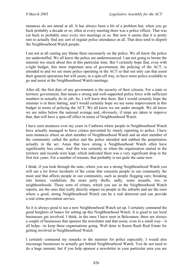instances do not attend at all. It has always been a bit of a problem but, when you go back probably a decade or so, often at every meeting there was a police officer. That was cut back to probably once every two meetings or so. But now it seems that it is pretty rare to actually find any sort of regular police attendance at all. That does tend to dispirit the Neighbourhood Watch people.

I am not at all casting any blame there necessarily on the police. We all know the police are understaffed. We all know the police are underresourced. I am not going to berate the minister too much about this at this particular time. But I certainly hope that, even with a tight budget, this most important area of government, the policing of the ACT, is attended to and we see more police operating in the ACT so that not only can that assist their general operations but will assist, in a spin-off way, to have more police available to go and assist at the Neighbourhood Watch meetings.

After all, the first duty of any government is the security of their citizens. For a state or territory government, that means a strong and well-supported police force with sufficient numbers to actually do its job. So, I will leave that there. But I would certainly hope the minister is in there batting, and I would certainly hope we see some improvement in this budget in terms of policing the ACT. We all know we are under strength. We all know we are miles below the national average and, obviously, if steps are taken to improve that, that will have a spin-off effect in terms of Neighbourhood Watch.

I have seen instances over my years in Canberra where people in Neighbourhood Watch have actually managed to have crimes prevented by timely reporting to police. I have seen instances where an alert member of Neighbourhood Watch and an alert member of the community called the police and the police attended and nabbed the perpetrators actually in the act. Areas that have strong a Neighbourhood Watch often have significantly less crime. And this was certainly so when the organisation started in the territory and records were kept, which indicated there was a very significant drop in the first few years. For a number of reasons, that probably is not quite the same now.

I think, if you look through the stats, where you see a strong Neighbourhood Watch you will see a lot fewer incidents of the crime that concerns people in our community the most and that affects people in our community, such as people flogging cars; breaking into homes; vandalism; the more petty thefts; sadly, some assaults, too, in neighbourhoods. Those sorts of crimes, which you see in the Neighbourhood Watch reports, are the ones that really directly impact on people in the suburbs and are the ones where a good, strong Neighbourhood Watch can be a real deterrent and can provide a real crime prevention service.

So it is always good to see a new Neighbourhood Watch set up. I certainly commend the good burghers of Isaacs for setting up this Neighbourhood Watch. It is good to see local businesses get involved. I think, in the ones I have seen in Belconnen, there are always a couple of businesses that sponsor the newsletter and that assist, even in a small way—it all helps—to keep these organisations going. Well done to Karen Rush Real Estate for getting involved in Neighbourhood Watch.

I certainly commend my remarks to the minister for police especially. I would also encourage businesses to actually get behind Neighbourhood Watch. You do not need to do a huge amount, but if you help sponsor a newsletter in your particular area you are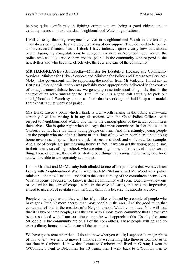helping quite significantly in fighting crime; you are being a good citizen; and it certainly means a lot to individual Neighbourhood Watch organisations.

I will close by thanking everyone involved in Neighbourhood Watch in the territory. They do a sterling job; they are very deserving of our support. They do need to be put on a more secure financial basis. I think I have indicated quite clearly how that should occur. Again, my congratulations to everyone involved in Neighbourhood Watch, the police who actually service them and the people in the community who respond to the newsletters and who become, effectively, the eyes and ears of the community.

**MR HARGREAVES** (Brindabella—Minister for Disability, Housing and Community Services, Minister for Urban Services and Minister for Police and Emergency Services) (4.45): The government will be supporting the motion from Mr Mulcahy. I must say at first pass I thought this motion was probably more appropriately delivered in the context of an adjournment debate because we generally raise individual things like that in the context of an adjournment debate. But I think it is a good call actually to pick out a Neighbourhood Watch system in a suburb that is working and hold it up as a model. I think that is quite worthy of praise.

Mrs Burke raised a point which I think is well worth raising in the public arena—and certainly I will be raising it in my discussions with the Chief Police Officer—with respect to Neighbourhood Watch, and that is the demographics of the actual committees themselves. She is quite right when she says that most committees in fact that exist in Canberra do not have too many young people on them. And interestingly, young people are the people who are often at home at that time of day when people are about doing home invasions. They will have a crack between 3 o'clock and 6 o'clock, for example. And a lot of people are just returning home. In fact, if we can get the young people, say, in their later years of high school, who are returning home, to be involved in this sort of thing, then, of course, they will be alert to odd things happening in their neighbourhood and will be able to appropriately act on that.

I think Mr Pratt and Mr Mulcahy both alluded to one of the problems that we have been facing with Neighbourhood Watch, when both Mr Stefaniak and Mr Wood were police minister—and now I face it—and that is the sustainability of the committees themselves. What happens, of course, we know, is that a community will come together—a new one or one which has sort of copped a bit. In the case of Isaacs, that was the imperative, a need to get a bit of revitalisation. In Gungahlin, it is because the suburbs are new.

People come together and they will be, if you like, enthused by a couple of people who have got a little bit more energy than most people in the area. And the good thing that comes out of that is the creation of a Neighbourhood Watch committee. You will find that it is two or three people, as is the case with almost every committee that I have ever been associated with. I am sure those opposite will appreciate this. Usually the same 50 people in the community are on all of the committees. These people will go and do extraordinary hours and will create all the structures.

We have got to remember that—I do not know what you call it; I suppose "demographics" of this town"—we tend to move. I think we have something like three or four moves in our time in Canberra. I know that I came to Canberra and lived in Garran; I went to O'Connor; I went to Belconnen for 10 years; then I went back to O'Connor; then to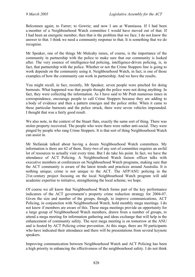Belconnen again; to Farrer; to Gowrie; and now I am at Wanniassa. If I had been a member of a Neighbourhood Watch committee I would have moved out of that. If I had been an energetic member, then that is the problem that we face. I do not know the answer to that. I think we need a community response to that. It is something that we do recognise.

Mr Speaker, one of the things Mr Mulcahy raises, of course, is the importance of the community in partnership with the police to make sure that our community is looked after. The very essence of intelligence-led policing, intelligence-driven policing, is, in fact, that partnership with the police. Whether or not the Crime Stoppers line is going to work depends on the community using it. Neighbourhood Watch, in fact, is one of those examples of how the community can work in partnership. And we have the results.

You might recall, in fact, recently, Mr Speaker, seven people were pinched for doing burnouts. What happened was that people thought the police were not doing anything. In fact, they were collecting the information. As I have said to Mr Pratt numerous times in correspondence, encourage people to call Crime Stoppers because they are adding to a body of evidence and then a pattern emerges and the police strike. When it came to these particular burnouts and the police struck, there were seven vehicles impounded. I thought that was a fairly good result.

We also note, in the context of the Stuart flats, exactly the same sort of thing. There was stolen property recovered. The people who were there were rather anti-social. They were pinged by people who rang Crime Stoppers. It is that sort of thing Neighbourhood Watch can assist in.

Mr Stefaniak talked about having a dozen Neighbourhood Watch committees. My information is there are 62 of them. Sixty-two of any sort of committee requires an awful lot of resources to actually visit every time. But I do take his point. In fact, we have the attendance of ACT Policing. A Neighbourhood Watch liaison officer talks with executive members at conferences on Neighbourhood Watch programs, making sure that the ACT community is aware of the latest trends and practices around Australia. It is nothing unique; crime is not unique to the ACT. The AFP/ANU policing in the 21st century project focusing on the local Neighbourhood Watch program will add academic expertise to initiative, strengthening the local scheme, we hope.

Of course we all know that Neighbourhood Watch forms part of the key performance indicators of the ACT government's property crime reduction strategy for 2004-07. Given the size and number of the groups, though, to improve communications, ACT Policing, in conjunction with Neighbourhood Watch, hold monthly mega meetings. I do not know if members are aware of this. These mega meetings provide an opportunity for a large group of Neighbourhood Watch members, drawn from a number of groups, to attend a mega meeting for information gathering and ideas exchange that will help in the enhancement of community safety. The next mega meeting is on tomorrow at the ANU and is hosted by ACT Policing crime prevention. At this stage, there are 50 participants who have indicated their attendance and there will be presentations from several keynote speakers.

Improving communication between Neighbourhood Watch and ACT Policing has been a high priority in enhancing the effectiveness of the neighbourhood safety. I do not think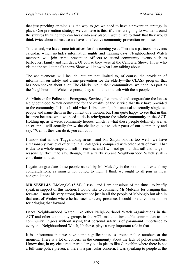that just pinching criminals is the way to go; we need to have a prevention strategy in place. One prevention strategy we can have is this: if crims are going to wander around the suburbs thinking they can break into any place, I would like to think that they would think twice about it because we have an effective community prevention response.

To that end, we have some initiatives for this coming year. There is a partnership events calendar, which includes information nights and training days. Neighbourhood Watch members will join crime prevention officers to attend community events such as barbecues, family and fun days. Of course they were at the Canberra Show. Those who visited the stall at the Canberra Show will know what I am talking about.

The achievements will include, but are not limited to, of course, the provision of information on safety and crime prevention for the elderly—the CLASP program that has been spoken about a lot. The elderly live in their communities, we hope. As part as the Neighbourhood Watch response, they should be in touch with these people.

As Minister for Police and Emergency Services, I commend and congratulate the Isaacs Neighbourhood Watch committee for the quality of the service that they have provided to the community. It is, as I said when I first started, a bit unusual to actually single out people and name them in the context of a motion, but I am quite happy to see that in this instance because what we need to do is reinvigorate the whole community in the ACT. Holding up, as it were, community heroes, which is what these people definitely are, as an example will actually throw the challenge out to other parts of our community and say, "Well, if they can do it, you can do it."

I know that in the Tuggeranong areas—and Mr Smyth knows too well—we have a reasonably low level of crime in all categories, compared with other parts of town. That is due to a whole range and raft of reasons, and I will not go into that raft and range of reasons. Suffice it to say, though, that a fairly vibrant Neighbourhood Watch system contributes to that.

I again congratulate those people named by Mr Mulcahy in the motion and extend my congratulations, as minister for police, to them. I think we ought to all join in those congratulations.

**MR SESELJA** (Molonglo) (5.54): I rise—and I am conscious of the time—to briefly speak in support of this motion. I would like to commend Mr Mulcahy for bringing this forward. I note his very strong interest not just in all the people of Molonglo but also in that area of Woden where he has such a strong presence. I would like to commend him for bringing that forward.

Isaacs Neighbourhood Watch, like other Neighbourhood Watch organisations in the ACT and other community groups in the ACT, make an invaluable contribution to our community. It goes without saying that personal safety is of paramount importance to everyone. Neighbourhood Watch, I believe, plays a very important role in that.

It is unfortunate that we have some significant issues around police numbers at the moment. There is a lot of concern in the community about the lack of police numbers. I know that, in my electorate, particularly out in places like Gungahlin where there is not a full-time police presence, there is a particular concern. I was speaking to people at the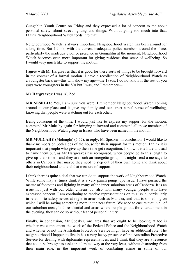Gungahlin Youth Centre on Friday and they expressed a lot of concern to me about personal safety, about street lighting and things. Without going too much into that, I think Neighbourhood Watch feeds into that.

Neighbourhood Watch is always important. Neighbourhood Watch has been around for a long time. But I think, with the current inadequate police numbers around the place, particularly the inadequate police presence in Gungahlin at the moment, Neighbourhood Watch becomes even more important for giving residents that sense of wellbeing. So I would very much like to support the motion.

I agree with Mr Hargreaves that it is good for these sorts of things to be brought forward in the context of a formal motion. I have a recollection of Neighbourhood Watch as a youngster back in—this will show my age—the 1980s. I do not know if the rest of you guys were youngsters in the 80s but I was, and I remember—

#### **Mr Hargreaves**: I was 16, Zed.

**MR SESELJA**: Yes, I am sure you were. I remember Neighbourhood Watch coming around to our place and it gave my family and our street a real sense of wellbeing, knowing that people were watching out for each other.

Being conscious of the time, I would just like to express my support for the motion, commend Mr Mulcahy again for bringing it forward and commend all those members of the Neighbourhood Watch group in Isaacs who have been named in the motion.

**MR MULCAHY** (Molonglo) (5.57), in reply: Mr Speaker, in conclusion: I would like to thank members on both sides of the house for their support for this motion. I think it is important that people who give up their time get recognition. I know it is a little unusual to name them but, as Mr Hargreaves has recognised, when people go to this length to give up their time—and they are such an energetic group—it might send a message to others in Canberra that maybe they need to step out of their own home and think about their neighbourhood and lend that measure of support.

I think there is quite a deal that we can do to support the work of Neighbourhood Watch. While some may at times think it is a very parish pump type issue, I have pursued the matter of footpaths and lighting in many of the inner suburban areas of Canberra. It is an issue not just with our older citizens but also with many younger people who have expressed concern. I am continuing to receive representations on this issue, particularly in relation to safety issues at night in areas such as Manuka, and that is something on which I will be saying something more in the near future. We need to ensure that in all of our suburban areas, both residential and areas where people go out for entertainment in the evening, they can do so without fear of personal injury.

Finally, in conclusion, Mr Speaker, one area that we ought to be looking at too is whether we complement the work of the Federal Police and the Neighbourhood Watch and whether or not the Australian Protective Service might have an additional role. The neighbourhood I happen to live in has a very heavy presence of the Australian Protective Service for dealing with diplomatic representatives, and I think that they are a resource that could be brought to assist in a limited way at the very least, without distracting from their main role, in the important work of combating crime in some of our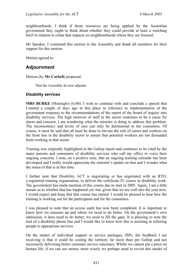neighbourhoods. I think if those resources are being applied by the Australian government they ought to think about whether they could provide at least a watching brief in relation to crime that impacts on neighbourhoods where they are focused.

Mr Speaker, I commend this motion to the Assembly and thank all members for their support for this motion.

Motion agreed to.

# **Adjournment**

Motion (by **Mr Corbell**) proposed:

That the Assembly do now adjourn.

#### **Disability services**

**MRS BURKE** (Molonglo) (6.00): I wish to continue with and conclude a speech that I started a couple of days ago in this place in reference to implementation of the government response to the recommendations of the report of the board of inquiry into disability services. The high turnover of staff in the sector continues to be a cause for alarm and concern. I am wondering what the minister is doing to address this problem. The inconsistency and levels of care can only be detrimental to the consumers. Of course, it must be said that all must be done to elevate the role of carers and workers on the front line in the disability sector to ensure that potential workers are not dissuaded from working in that sector.

Training was originally highlighted in the Gallop report and continues to be cited by the many parents and consumers of disability services who call my office to voice their ongoing concerns. I note, on a positive note, that an ongoing training calendar has been developed and I really would appreciate the minister's update on that and I wonder what the status of that is at this time.

I further note that Disability ACT is negotiating or has negotiated with an RTO, a registered training organisation, to deliver the certificate IV course in disability work. The government has made mention of this course due to start in 2005. Again, I am a little unsure as to whether that has happened yet, but, given that we are well into the year now, I would expect and hope that that course has started. I would be pleased to hear how the training is working out for the participants and for the consumers.

I was pleased to note that an access audit has now been completed. It is important to know how we measure up and where we need to do better. On the government's own admission, it does need to do better; we need to fill the gaps. It is pleasing to note the trial of a disability phone line and I would like to know how this is assisting in referring people to appropriate services.

On the matter of individual support or service packages, ISPs, the feedback I am receiving is that it could be costing the territory far more than pre Gallop and not necessarily delivering better customer service outcomes. Whilst we cannot put a price on human life, if we can use money more wisely we perhaps need to revisit this model of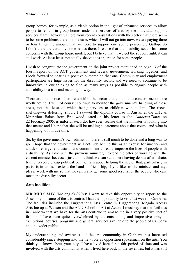group homes, for example, as a viable option in the light of enhanced services to allow people to remain in group homes under the services offered by the individual support services team. However, I note from recent consultations with the sector that there seem to be some problems there. In one case, which I will not go into now, we are paying three or four times the amount that we were to support one young person pre Gallop. So I think there are certainly some issues there. I realise that the disability sector has some concerns with the group house model, but I believe that, if we get the support right, it can still work. At least let us not totally shelve it as an option for some people.

I wish to congratulate the government on the joint project mentioned on page 13 of the fourth report of the ACT government and federal government working together, and I look forward to hearing a positive outcome on that one. Community and employment participation are huge issues for the disability sector, and we need to continue to be innovative in our thinking to find as many ways as possible to engage people with a disability in a true and meaningful way.

There are one or two other areas within the sector that continue to concern me and are worth noting. I will, of course, continue to monitor the government's handling of these areas, not the least of which being services to children with autism. The recent shelving—or deferring, should I say—of the diploma course in Auslan at the CIT, as Mr Arthur Baker from Braidwood stated in his letter to the *Canberra Times* on 22 February 2005, is unfortunate. I do, however, realise that the minister is looking into that matter and I hope that she will be making a statement about that course and what is happening to it in due time.

So, by the government's own admission, there is still much to be done and a long way to go. I hope that the government will not hide behind this as an excuse for inaction and a lack of energy, enthusiasm and commitment to really improve the lives of people with a disability. As I did with the previous minister, I extend the offer of working with the current minister because I just do not think we can stand here having debate after debate, trying to score cheap political points. I am about helping the sector that, particularly in parts, is in crisis. I extend the hand of friendship, if you like, to the minister and say: please work with me so that we can really get some good results for the people who care most, the disability sector.

## **Arts facilities**

**MR MULCAHY** (Molonglo) (6.04): I want to take this opportunity to report to the Assembly on some of the arts centres I had the opportunity to visit last week in Canberra. The facilities included the Tuggeranong Arts Centre in Tuggeranong, Megalo Access Arts Inc up at Watson and the ANU School of Art at Acton. I must say that the facilities in Canberra that we have for the arts continue to amaze me in a very positive sort of fashion. I have been quite overwhelmed by the outstanding and impressive array of exhibitions, courses, programs and general services available to the people of Canberra and the wider public.

My understanding and awareness of the arts community in Canberra has increased considerably since stepping into the new role as opposition spokesman on the arts. You think you know about your city. I have lived here for a fair period of time and was involved with the arts community when I lived here back in the seventies, but it has still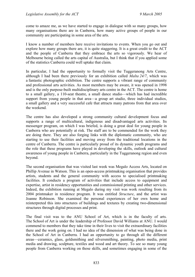come to amaze me, as we have started to engage in dialogue with so many groups, how many organisations there are in Canberra, how many active groups of people in our community are participating in some area of the arts.

I know a number of members here receive invitations to events. When you go out and explore how many groups there are, it is quite staggering. It is a great credit to the ACT and the people of Canberra that they embrace the arts so vigorously. We hear of Melbourne being called the arts capital of Australia, but I think that if you applied some of the statistics Canberra could well uptake that claim.

In particular, I had the opportunity to formally visit the Tuggeranong Arts Centre, although I had been there previously for an exhibition called *Malta 24/7*, which was a fantastic photographic exhibition. The centre supports a vibrant range of community and professional arts activities. As most members may be aware, it was opened in 1998 and is the only purpose-built multidisciplinary arts centre in the ACT. The centre is home to a small gallery, a 110-seat theatre, a small dance studio—which has had incredible support from young people in that area—a group art studio, three individual studios, a small gallery and a very successful cafe that attracts many patrons from that area over the weekend.

The centre has also developed a strong community cultural development focus and supports a range of multicultural, indigenous and disadvantaged arts activities. Its messenger program, on which I was briefed, is doing a great deal for young people in Canberra who are potentially at risk. The staff are to be commended for the work they are doing there. They are also forging links with the diplomatic community, who are starting to use their facilities and moving away from the traditional locations in the centre of Canberra. The centre is particularly proud of its dynamic youth programs and the role that these programs have played in developing the skills, outlook and cultural awareness of young people in Canberra, particularly in the Tuggeranong region and even beyond.

The second organisation that was visited last week was Megalo Access Arts, located on Phillip Avenue in Watson. This is an open-access printmaking organisation that provides artists, students and the general community with access to specialised printmaking facilities. It conducts a program of activities that include access to equipment and expertise, artist in residency opportunities and commissioned printing and other services. Indeed, the exhibition running at Megalo during my visit was work resulting from its 2004 printmaker in residence program. It was entitled *Structure*, and the artist was Joanne Robinson. She examined the personal experiences of her own home and reinterpreted this into structures of buildings and textures by creating two-dimensional structures through digital processes and print.

The final visit was to the ANU School of Art, which is in the faculty of arts. The School of Art is under the leadership of Professor David Williams at ANU. I would commend to members that they take time in their lives to visit the extraordinary facilities there and the work going on. I had no idea of the dimension of what was being done in the School of Art in Canberra. I had an opportunity to go through all the different areas—ceramics, glass, goldsmithing and silversmithing, painting, photo media, print media and drawing, sculpture, textiles and wood and art theory. To see so many young people from Canberra working on those skills, and sometimes engaging in some of the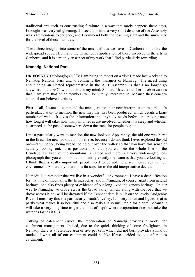traditional arts such as constructing furniture in a way that rarely happens these days, I thought was very enlightening. To see this within a very short distance of the Assembly was a tremendous experience, and I commend both the teaching staff and the university for the level of those facilities.

These three insights into some of the arts facilities we have in Canberra underline the widespread support from and the tremendous application of those involved in the arts in Canberra, and it is certainly an aspect of my work that I find particularly rewarding.

### **Namadgi National Park**

**DR FOSKEY** (Molonglo) (6.09): I am rising to report on a visit I made last weekend to Namadgi National Park and to commend the managers of Namadgi. The nicest thing about being an elected representative in the ACT Assembly is that I no longer go anywhere in the ACT without that in my mind. So here I have a number of observations that I am sure that other members will be vitally interested in, because they concern a part of our beloved territory.

First of all, I want to commend the managers for their new interpretation materials. In particular, I want to mention the new map that has been produced, which details a large number of walks. It gives the information that anybody needs before undertaking one: how long it will take, how many kilometres are involved, whether it is steep and whether a car needs to be posted somewhere down the track for people to get to.

I most particularly want to mention the new lookout. Apparently, the old one was burnt in the fires. The new lookout is—I believe, because I do not think I ever explored the old one—far superior, being broad, going out over the valley so that you have this sense of actually looking out. It is positioned so that you can see the whole line of the Brindabellas. Each of the mountains is named and there is a very wide-angled lens photograph that you can look at and identify exactly the features that you are looking at. I think that is really important; people need to be able to place themselves in their environment. Apparently, that too is far superior to the old interpretative device.

Namadji is a reminder that we live in a wonderful environment. I have a deep affection for that line of mountains, the Brindabellas, and in Namadji, of course, apart from natural heritage, one also finds plenty of evidence of our long-lived indigenous heritage. On our way to Namadii, we drove across the broad valley which, along with the road that we drove across it on, will be drowned if the Tennent dam is built on the lovely Gudgenby River. I must say this is a particularly beautiful valley. It is very broad and I guess that is partly what makes it so beautiful and also makes it so unsuitable for a dam, because it will take a very long time to get the kind of depth where evaporation does not take the water as fast as it fills.

Talking of catchment issues, the regeneration of Namadji provides a model for catchment management. Indeed, due to the quick thinking of some firefighters, in Namadji there is a reference area of five per cent which did not burn provides a kind of model of what all of our catchment could be like if we decided to look after it as catchment.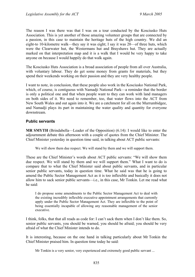The reason I was there was that I was on a tour conducted by the Kosciusko Huts Association. This is yet another of those amazing volunteer groups that are connected by a passion, in this case to maintain the heritage huts of the high country. We did an eight-to 10-kilometre walk—they say it was eight; I say it was 20—of three huts, which were the Clearwater hut, the Westermans hut and Brayshaws hut. They are actually marked on that interpretation map and it is a walk that I would be very happy to take anyone on because I would happily do that walk again.

The Kosciusko Huts Association is a broad association of people from all over Australia, with voluntary labour. They do get some money from grants for materials, but they spend their weekends working on their passion and they are very healthy people.

I want to note, in conclusion, that these people also work in the Kosciusko National Park, which, of course, is contiguous with Namadji National Park—a reminder that the border is only a political one and that when people want to they can work with land managers on both sides of it. We need to remember, too, that water flows into the ACT from New South Wales and out again into it. We are a catchment for all on the Murrumbidgee, and Namadji plays its part in maintaining the water quality and quantity for everyone downstream.

#### **Public servants**

**MR SMYTH** (Brindabella—Leader of the Opposition) (6.14): I would like to enter the adjournment debate this afternoon with a couple of quotes from the Chief Minister. The Chief Minister yesterday in question time said, in talking about ACT public servants:

We will show them due respect. We will stand by them and we will support them.

These are the Chief Minister's words about ACT public servants: "We will show them due respect. We will stand by them and we will support them." What I want to do is compare that to what the Chief Minister said about public servants, and in particular senior public servants, today in question time. What he said was that he is going to amend the Public Sector Management Act as it is too inflexible and basically it does not allow him to sack senior public servants—i.e., in this case, Mr Tonkin. Let me read what he said:

I do propose some amendments to the Public Sector Management Act to deal with the existing incredibly inflexible executive appointment arrangements that currently apply under the Public Sector Management Act. They are inflexible to the point of being essentially incapable of allowing any reasonable management of the senior executive.

I think, folks, that that all reads as code for: I can't sack them when I don't like them. So, senior public servants, you should be warned, you should be afraid; you should be very afraid of what the Chief Minister intends to do.

It is interesting, because on the one hand in talking particularly about Mr Tonkin the Chief Minister praised him. In question time today he said:

Mr Tonkin is a very senior, very experienced and extremely good public servant ...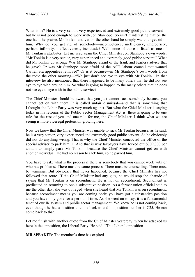What is he? He is a very senior, very experienced and extremely good public servant but he is not good enough to work with Jon Stanhope. So isn't it interesting that on the one hand he praises Mr Tonkin and yet on the other hand he simply wants to get rid of him. Why do you get rid of somebody—incompetence, inefficiency, impropriety, perhaps infirmity, ineffectiveness, ineptitude? Well, none of those is listed as one of Mr Tonkin's attributes. Let me read again the Chief Minister Jon Stanhope's own words: "Mr Tonkin is a very senior, very experienced and extremely good public servant." What did Mr Tonkin do wrong? Was Mr Stanhope afraid of the frank and fearless advice that he gave? Or was Mr Stanhope more afraid of the ACT labour council that wanted Carnell era appointees removed? Or is it because—in Mr Stanhope's own words from the radio the other morning—"We just don't see eye to eye with Mr Tonkin." In that interview he also mentioned that there happened to be many others that he did not see eye to eye with around him. So what is going to happen to the many others that he does not see eye to eye with in the public service?

The Chief Minister should be aware that you just cannot sack somebody because you cannot get on with them. It is called unfair dismissal—and that is something that I thought the Labor Party was very much against. But what the Chief Minister is saying today in his reforms of the Public Sector Management Act is: there is going to be one rule for the rest of you and one rule for me, the Chief Minister. I think what we are seeing is more viceregal pretension growing here.

Now we know that the Chief Minister was unable to sack Mr Tonkin because, as he said, he is a very senior, very experienced and extremely good public servant. So he obviously did not do anything wrong. That is why the Chief Minister concocted the office of the special adviser to park him in. And that is why taxpayers have forked out \$309,000 per annum to simply park Mr Tonkin—because the Chief Minister cannot get on with another individual. He had no reason to sack him, so he parked him.

You have to ask: what is the process if there is somebody that you cannot work with or who has problems? There must be some process. There must be counselling. There must be warnings. But obviously that never happened, because the Chief Minister has not followed that route. If the Chief Minister had any guts, he would stop the charade of saying that Mr Tonkin is on secondment. He is not on secondment. Secondment is predicated on returning to one's substantive position. As a former union official said to me the other day, she was outraged when she heard that Mr Tonkin was on secondment, because secondment means you are coming back; you have got a substantive position and you have only gone for a period of time. As she went on to say, it is a fundamental tenet of our IR system and public sector management. We know he is not coming back, even though he has a position to come back to and his position number is C25. He can come back to that.

Let me finish with another quote from the Chief Minster yesterday, when he attacked us here in the opposition, the Liberal Party. He said: "This Liberal opposition—

**MR SPEAKER**: The member's time has expired.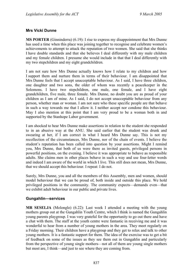### **Mrs Vicki Dunne**

**MS PORTER** (Ginninderra) (6.19): I rise to express my disappointment that Mrs Dunne has used a time when this place was joining together to recognise and celebrate women's achievements to attempt to attack the reputation of two women. She said that she thinks I have double standards and that she believes I deal differently with my male children and my female children. I presume she would include in that that I deal differently with my two stepchildren and my eight grandchildren.

I am not sure how Mrs Dunne actually knows how I relate to my children and how I support them and nurture them in terms of their behaviour. I am disappointed that Mrs Dunne feels that I accept unacceptable behaviour. As I said, I have three children, one daughter and two sons, the older of whom was recently a peacekeeper in the Solomons. I have two stepchildren, one male, one female, and I have eight grandchildren, five male, three female. Mrs Dunne, no doubt you are as proud of your children as I am of mine. As I said, I do not accept unacceptable behaviour from any person, whether man or woman. I am not sure who these specific people are that behave in such a way towards me that I allow it. I neither accept nor condone this behaviour. May I also mention at this point that I am very proud to be a woman both in and supported by the Stanhope Labor government.

I am shocked to hear Mrs Dunne make assertions in relation to the student she responded to in an abusive way at the ANU. She said earlier that the student was drunk and swearing at her, if I am correct in what I heard Mrs Dunne say. This is not my recollection of the circumstances, Mrs Dunne, nor of the chain of events. I believe the student's reputation has been called into question by your assertions. Might I remind you, Mrs Dunne, that both of us were there as invited guests, privileged persons in powerful positions, on the evening. I believe it was appropriate to behave as responsible adults. She claims men in other places behave in such a way and use four-letter words and indeed I am aware of the world in which I live. This still does not mean, Mrs Dunne, that we should accept this behaviour. I repeat: I do not.

Surely, Mrs Dunne, you and all the members of this Assembly, men and women, should model behaviour that we can be proud of, both inside and outside this place. We hold privileged positions in the community. The community expects—demands even—that we exhibit adult behaviour in our public and private lives.

### **Gungahlin—services**

**MR SESELJA** (Molonglo) (6.22): Last week I attended a meeting with the young mothers group out at the Gungahlin Youth Centre, which I think is named the Gungahlin young parents playgroup. I was very grateful for the opportunity to go out there and have a chat with them. The staff at the youth centre were fantastic in receiving me and it was wonderful to hear from a number of young mothers in the area. They meet regularly on a Friday morning. Their children have a playgroup and they get to relax and talk to other young mothers. It is a fantastic support for them. The idea of the exercise was to get a bit of feedback on some of the issues as they see them out in Gungahlin and particularly from the perspective of young single mothers—not all of them are young single mothers but most are, I think—and just to see where they are coming from.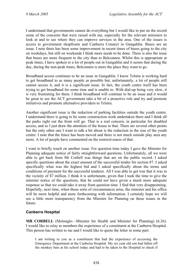I understand that governments cannot do everything but I would like to put on the record some of the concerns that were raised with me, especially for the relevant ministers to look at and to see where they can improve services in the area. One of the issues is access to government shopfronts and Canberra Connect in Gungahlin. Buses are an issue. I note there has been some improvement in recent times of buses going to the city on weekdays, but still on weekends I think more needs to be done. There is also the issue that buses are more frequent to the city than to Belconnen. Whilst this is appropriate at peak times, I have spoken to a lot of people out in Gungahlin and it seems that during the day, during the non-peak times, Belconnen is more the place they want to go.

Broadband access continues to be an issue in Gungahlin. I know Telstra is working hard to get broadband to as many people as possible but, unfortunately, a lot of people still cannot access it, and it is a significant issue. In fact, the youth centre itself has been trying to get broadband for some time and is unable to. With dial-up being very slow, it is very frustrating for them. I think broadband will continue to be an issue and it would be great to see the ACT government take a bit of a proactive role and try and promote initiatives and promote alternative providers to Telstra.

Another significant issue is the reduction of parking facilities outside the youth centre. I understand there is going to be some construction work undertaken there and I think all the parks right out the front will go. That is a real concern, in particular for disabled access, and so I just draw the attention of the house to that. There are several other points but the only other one I want to talk a bit about is the reduction in the size of the youth centre. I note that the fence has been moved and there is not much outside play area any more. A lot of people have commented on the restrictiveness of that.

I want to briefly touch on another issue. For question time today I gave the Minister for Planning adequate notice of fairly straightforward questions. Unfortunately, all we were able to get back from Mr Corbell was things that are on the public record. I asked specific questions about the exact amount of the successful tender for section 87. I asked specifically what was the highest bid and I asked specifically about the terms and conditions of payment for the successful tenderer. All I was able to get was that it was in the vicinity of \$7 million. I think it is unfortunate, given that I took the time to give the minister notice of the questions, that he could not have given a much more adequate response so that we could take it away from question time. I find that very disappointing. Hopefully, next time, when those sorts of circumstances arise, the minister and his office will be more helpful and more forthcoming with information. I certainly hope we will see a little more transparency from the Minister for Planning on these issues in the future.

## **Canberra Hospital**

**MR CORBELL** (Molonglo—Minister for Health and Minister for Planning) (6.26): I would like to relay to members the experience of a constituent at the Canberra Hospital. This person has written to me and I would like to quote the letter in some part:

I am writing to you as a constituent that had the experience of accessing the Emergency Department at the Canberra Hospital. My six year old son had fallen off the monkey bars at his school today and had to be taken to the Hospital to check if